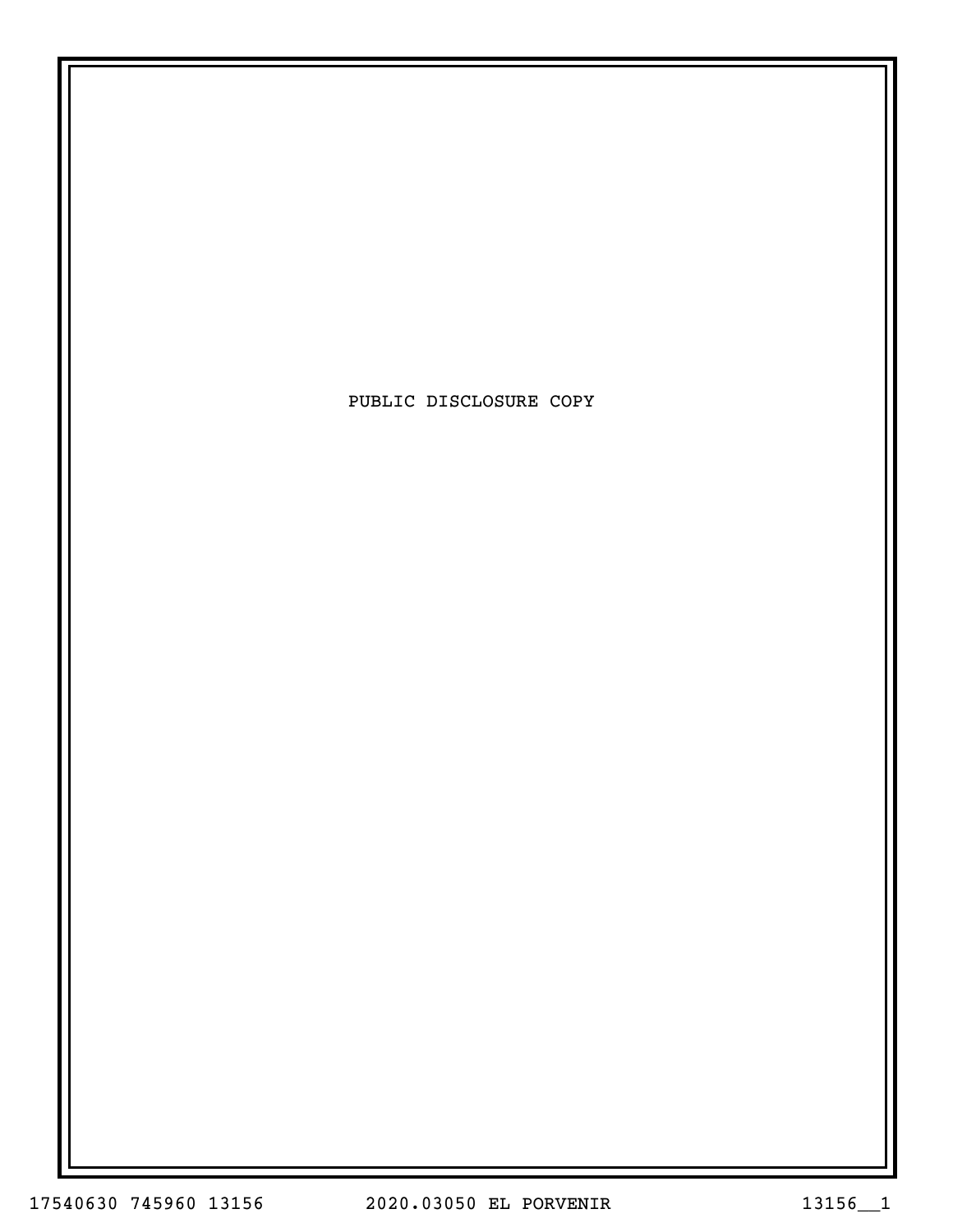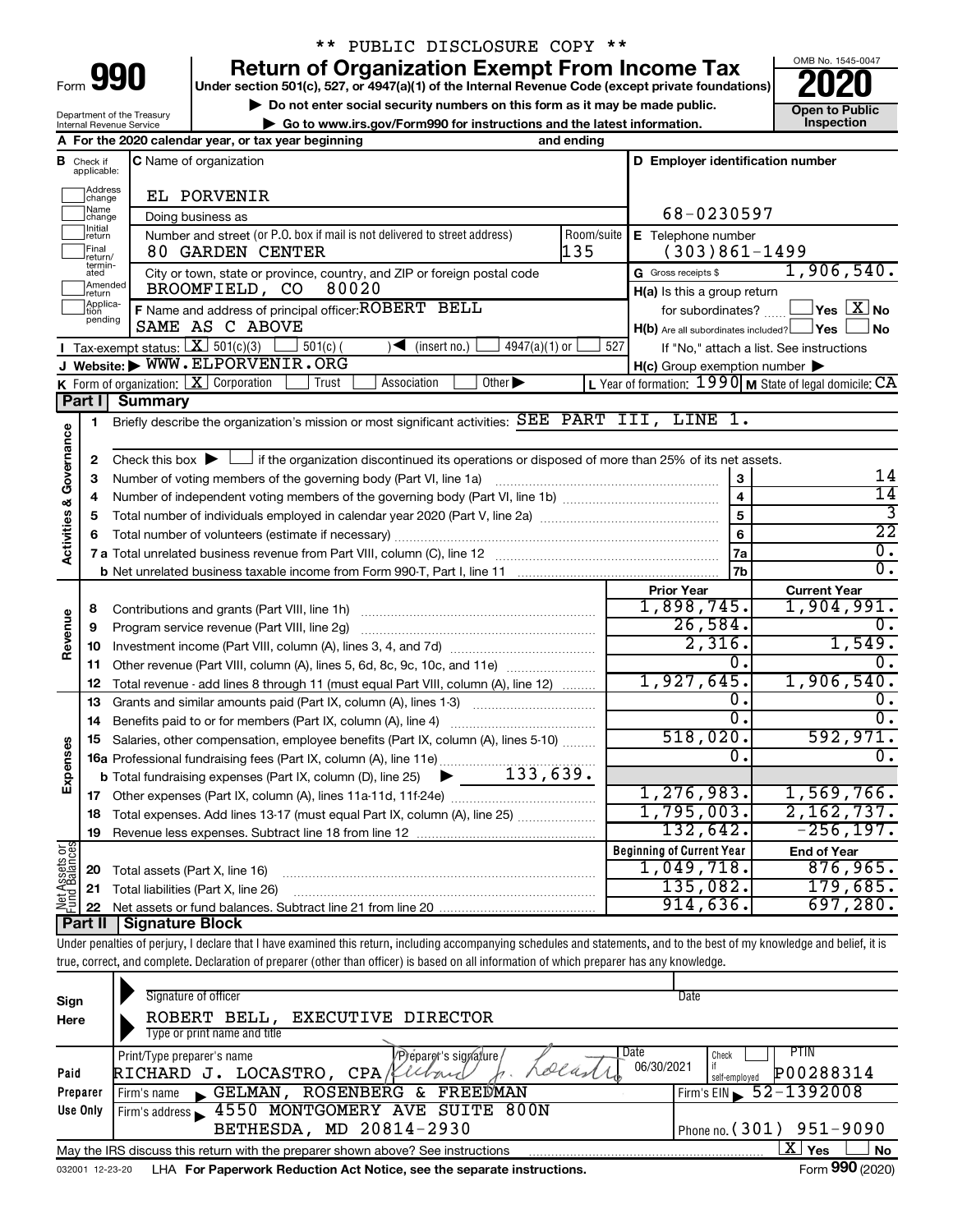| -orm |  |  |
|------|--|--|
|      |  |  |

# \*\* PUBLIC DISCLOSURE COPY \*\*

**990** Return of Organization Exempt From Income Tax <br>
Under section 501(c), 527, or 4947(a)(1) of the Internal Revenue Code (except private foundations)<br> **PO20** 

**▶ Do not enter social security numbers on this form as it may be made public. Open to Public**<br>
inspection instructions and the latest information. Inspection

**| Go to www.irs.gov/Form990 for instructions and the latest information. Inspection**



Department of the Treasury Internal Revenue Service

|                                              |                             | A For the 2020 calendar year, or tax year beginning                                                                                                                        | and ending |                                                                     |                                          |
|----------------------------------------------|-----------------------------|----------------------------------------------------------------------------------------------------------------------------------------------------------------------------|------------|---------------------------------------------------------------------|------------------------------------------|
| <b>B</b> Check if applicable:                |                             | <b>C</b> Name of organization                                                                                                                                              |            | D Employer identification number                                    |                                          |
|                                              | Address<br> change          | EL PORVENIR                                                                                                                                                                |            |                                                                     |                                          |
|                                              | Name<br>change              | Doing business as                                                                                                                                                          |            | 68-0230597                                                          |                                          |
|                                              | Initial<br>return           | Number and street (or P.O. box if mail is not delivered to street address)                                                                                                 | Room/suite | E Telephone number                                                  |                                          |
|                                              | Final<br>return/            | <b>80 GARDEN CENTER</b>                                                                                                                                                    | 135        | $(303)861 - 1499$                                                   |                                          |
|                                              | termin-<br>ated             | City or town, state or province, country, and ZIP or foreign postal code                                                                                                   |            | G Gross receipts \$                                                 | 1,906,540.                               |
|                                              | Amended<br>return           | 80020<br>BROOMFIELD, CO                                                                                                                                                    |            | H(a) Is this a group return                                         |                                          |
|                                              | Applica-<br>tion<br>pending | F Name and address of principal officer: ROBERT BELL                                                                                                                       |            | for subordinates?                                                   | $\exists$ Yes $\boxed{\text{X}}$ No      |
|                                              |                             | SAME AS C ABOVE                                                                                                                                                            |            | $H(b)$ Are all subordinates included? $\Box$ Yes                    | ∣ No                                     |
|                                              |                             | Tax-exempt status: $X \over 301(c)(3)$<br>$4947(a)(1)$ or<br>$501(c)$ (<br>(insert no.)<br>$\blacktriangleright$                                                           |            | 527                                                                 | If "No," attach a list. See instructions |
|                                              |                             | J Website: WWW.ELPORVENIR.ORG                                                                                                                                              |            | $H(c)$ Group exemption number $\blacktriangleright$                 |                                          |
|                                              |                             | K Form of organization:   X Corporation<br>Association<br>Other $\blacktriangleright$<br>Trust                                                                             |            | L Year of formation: $1990 \text{ m}$ State of legal domicile: $CA$ |                                          |
|                                              |                             | Part I Summary                                                                                                                                                             |            |                                                                     |                                          |
|                                              | 1                           | Briefly describe the organization's mission or most significant activities: SEE PART III, LINE 1.                                                                          |            |                                                                     |                                          |
|                                              |                             |                                                                                                                                                                            |            |                                                                     |                                          |
|                                              | 2                           | Check this box $\blacktriangleright$ $\Box$                                                                                                                                |            |                                                                     |                                          |
|                                              | з                           |                                                                                                                                                                            |            | $\mathbf 3$                                                         | 14                                       |
|                                              | 4                           |                                                                                                                                                                            |            | $\overline{4}$                                                      | $\overline{14}$                          |
|                                              | 5                           |                                                                                                                                                                            |            | 5                                                                   | $\overline{3}$                           |
|                                              | 6                           |                                                                                                                                                                            |            | 6                                                                   | $\overline{22}$                          |
| <b>Activities &amp; Governance</b>           |                             |                                                                                                                                                                            |            | 7a                                                                  | $\overline{0}$ .                         |
|                                              |                             |                                                                                                                                                                            |            | 7 <sub>b</sub>                                                      | $\overline{0}$ .                         |
|                                              |                             |                                                                                                                                                                            |            | <b>Prior Year</b>                                                   | <b>Current Year</b>                      |
| 8                                            |                             |                                                                                                                                                                            |            | 1,898,745.                                                          | 1,904,991.                               |
| 9                                            |                             | Program service revenue (Part VIII, line 2g) [11] [11] matter contracts are program service revenue (Part VIII, line 2g)                                                   |            | 26,584.                                                             | $\overline{0}$ .                         |
| Revenue                                      | 10                          |                                                                                                                                                                            |            | 2,316.                                                              | 1,549.                                   |
|                                              | 11                          | Other revenue (Part VIII, column (A), lines 5, 6d, 8c, 9c, 10c, and 11e)                                                                                                   |            | Ο.                                                                  |                                          |
|                                              | 12                          | Total revenue - add lines 8 through 11 (must equal Part VIII, column (A), line 12)                                                                                         |            | 1,927,645.                                                          | 1,906,540.                               |
|                                              | 13                          | Grants and similar amounts paid (Part IX, column (A), lines 1-3)                                                                                                           |            | 0                                                                   |                                          |
|                                              | 14                          | Benefits paid to or for members (Part IX, column (A), line 4)                                                                                                              |            | $\overline{0}$ .                                                    | $\overline{0}$ .                         |
|                                              | 15                          | Salaries, other compensation, employee benefits (Part IX, column (A), lines 5-10)                                                                                          |            | 518,020.                                                            | 592,971.                                 |
|                                              |                             | 16a Professional fundraising fees (Part IX, column (A), line 11e)                                                                                                          |            | 0.                                                                  | 0.                                       |
| Expenses                                     |                             | <b>b</b> Total fundraising expenses (Part IX, column (D), line 25) $\bullet$ 133, 639.                                                                                     |            |                                                                     |                                          |
|                                              |                             |                                                                                                                                                                            |            | 1, 276, 983.                                                        | 1,569,766.                               |
|                                              |                             | 18 Total expenses. Add lines 13-17 (must equal Part IX, column (A), line 25)                                                                                               |            | 1,795,003.                                                          | 2,162,737.                               |
|                                              |                             | 19 Revenue less expenses. Subtract line 18 from line 12                                                                                                                    |            | 132,642.                                                            | $-256, 197.$                             |
| <b>Net Assets or</b><br><b>Fund Balances</b> |                             |                                                                                                                                                                            |            | <b>Beginning of Current Year</b>                                    | <b>End of Year</b>                       |
|                                              | 20                          | Total assets (Part X, line 16)                                                                                                                                             |            | 1,049,718.                                                          | 876,965.                                 |
| 21                                           |                             | Total liabilities (Part X, line 26)                                                                                                                                        |            | 135,082.                                                            | 179,685.                                 |
|                                              | 22                          |                                                                                                                                                                            |            | 914,636.                                                            | 697,280.                                 |
| ∣ Part II                                    |                             | Signature Block                                                                                                                                                            |            |                                                                     |                                          |
|                                              |                             | Under penalties of perjury, I declare that I have examined this return, including accompanying schedules and statements, and to the best of my knowledge and belief, it is |            |                                                                     |                                          |
|                                              |                             | true, correct, and complete. Declaration of preparer (other than officer) is based on all information of which preparer has any knowledge.                                 |            |                                                                     |                                          |

| Sign<br>Here     | Signature of officer<br>ROBERT BELL,<br><b>EXECUTIVE DIRECTOR</b><br>Type or print name and title                                                                                                        | Date                                                                    |
|------------------|----------------------------------------------------------------------------------------------------------------------------------------------------------------------------------------------------------|-------------------------------------------------------------------------|
| Paid<br>Preparer | Date<br>Print/Type preparer's name<br>'P) eparer's signature /<br>06/30/2021<br>Deas<br>LOCASTRO,<br><b>CPA</b><br>RICHARD J.<br>ROSENBERG<br>FREEDMAN<br>GELMAN,<br>&.<br>Firm's name<br>$\blacksquare$ | PTIN<br>Check<br>P00288314<br>self-employed<br>52-1392008<br>Firm's EIN |
| Use Only         | 4550 MONTGOMERY AVE SUITE 800N<br>Firm's address<br>BETHESDA, MD 20814-2930                                                                                                                              | Phone no. $(301)$ 951-9090                                              |
|                  | May the IRS discuss this return with the preparer shown above? See instructions                                                                                                                          | x.<br>Yes<br>No<br>$\sim$                                               |

032001 12-23-20 LHA **For Paperwork Reduction Act Notice, see the separate instructions.** Form 990 (2020)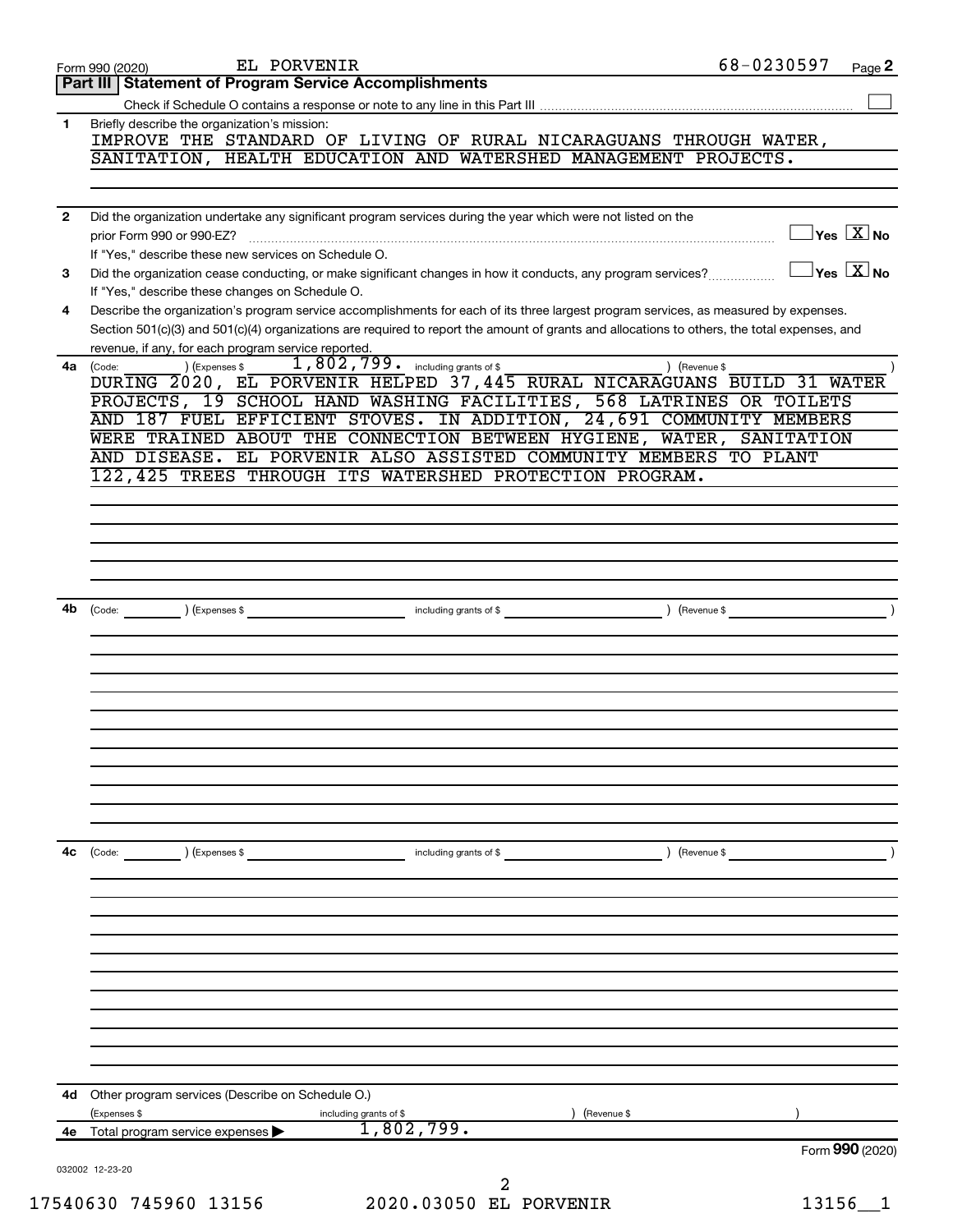|                | EL PORVENIR<br>Form 990 (2020)                                                                               |                                   | 68-0230597                                                                                                                                                                                                                       | Page 2 |
|----------------|--------------------------------------------------------------------------------------------------------------|-----------------------------------|----------------------------------------------------------------------------------------------------------------------------------------------------------------------------------------------------------------------------------|--------|
|                | Part III   Statement of Program Service Accomplishments                                                      |                                   |                                                                                                                                                                                                                                  |        |
|                |                                                                                                              |                                   |                                                                                                                                                                                                                                  |        |
| 1.             | Briefly describe the organization's mission:                                                                 |                                   | IMPROVE THE STANDARD OF LIVING OF RURAL NICARAGUANS THROUGH WATER,                                                                                                                                                               |        |
|                |                                                                                                              |                                   | SANITATION, HEALTH EDUCATION AND WATERSHED MANAGEMENT PROJECTS.                                                                                                                                                                  |        |
|                |                                                                                                              |                                   |                                                                                                                                                                                                                                  |        |
|                |                                                                                                              |                                   |                                                                                                                                                                                                                                  |        |
| $\overline{2}$ | Did the organization undertake any significant program services during the year which were not listed on the |                                   |                                                                                                                                                                                                                                  |        |
|                |                                                                                                              |                                   | $\Box$ Yes $[\overline{\mathrm{X}}]$ No                                                                                                                                                                                          |        |
| 3              | If "Yes," describe these new services on Schedule O.                                                         |                                   | $\Box$ Yes $\boxed{\text{X}}$ No<br>Did the organization cease conducting, or make significant changes in how it conducts, any program services?                                                                                 |        |
|                | If "Yes," describe these changes on Schedule O.                                                              |                                   |                                                                                                                                                                                                                                  |        |
| 4              |                                                                                                              |                                   | Describe the organization's program service accomplishments for each of its three largest program services, as measured by expenses.                                                                                             |        |
|                |                                                                                                              |                                   | Section 501(c)(3) and 501(c)(4) organizations are required to report the amount of grants and allocations to others, the total expenses, and                                                                                     |        |
|                | revenue, if any, for each program service reported.                                                          |                                   |                                                                                                                                                                                                                                  |        |
| 4a             | ) (Expenses \$<br>(Code:                                                                                     | 1,802,799. including grants of \$ | ) (Revenue \$                                                                                                                                                                                                                    |        |
|                |                                                                                                              |                                   | DURING 2020, EL PORVENIR HELPED 37, 445 RURAL NICARAGUANS BUILD 31 WATER<br>PROJECTS, 19 SCHOOL HAND WASHING FACILITIES, 568 LATRINES OR TOILETS                                                                                 |        |
|                |                                                                                                              |                                   | AND 187 FUEL EFFICIENT STOVES. IN ADDITION, 24,691 COMMUNITY MEMBERS                                                                                                                                                             |        |
|                |                                                                                                              |                                   | WERE TRAINED ABOUT THE CONNECTION BETWEEN HYGIENE, WATER, SANITATION                                                                                                                                                             |        |
|                |                                                                                                              |                                   | AND DISEASE. EL PORVENIR ALSO ASSISTED COMMUNITY MEMBERS TO PLANT                                                                                                                                                                |        |
|                | 122,425 TREES THROUGH ITS WATERSHED PROTECTION PROGRAM.                                                      |                                   |                                                                                                                                                                                                                                  |        |
|                |                                                                                                              |                                   |                                                                                                                                                                                                                                  |        |
|                |                                                                                                              |                                   |                                                                                                                                                                                                                                  |        |
|                |                                                                                                              |                                   |                                                                                                                                                                                                                                  |        |
|                |                                                                                                              |                                   |                                                                                                                                                                                                                                  |        |
|                |                                                                                                              |                                   |                                                                                                                                                                                                                                  |        |
|                |                                                                                                              |                                   | 4b (Code: ) (Expenses \$ contract a set of the including grants of \$ and the set of the set of the set of the set of the set of the set of the set of the set of the set of the set of the set of the set of the set of the set |        |
|                |                                                                                                              |                                   |                                                                                                                                                                                                                                  |        |
|                |                                                                                                              |                                   |                                                                                                                                                                                                                                  |        |
|                |                                                                                                              |                                   |                                                                                                                                                                                                                                  |        |
|                |                                                                                                              |                                   |                                                                                                                                                                                                                                  |        |
|                |                                                                                                              |                                   |                                                                                                                                                                                                                                  |        |
|                |                                                                                                              |                                   |                                                                                                                                                                                                                                  |        |
|                |                                                                                                              |                                   |                                                                                                                                                                                                                                  |        |
|                |                                                                                                              |                                   |                                                                                                                                                                                                                                  |        |
|                |                                                                                                              |                                   |                                                                                                                                                                                                                                  |        |
|                |                                                                                                              |                                   |                                                                                                                                                                                                                                  |        |
|                |                                                                                                              |                                   |                                                                                                                                                                                                                                  |        |
| 4c             | (Expenses \$<br>$\left(\text{Code:}\right)$                                                                  | including grants of \$            | ) (Revenue \$                                                                                                                                                                                                                    |        |
|                |                                                                                                              |                                   |                                                                                                                                                                                                                                  |        |
|                |                                                                                                              |                                   |                                                                                                                                                                                                                                  |        |
|                |                                                                                                              |                                   |                                                                                                                                                                                                                                  |        |
|                |                                                                                                              |                                   |                                                                                                                                                                                                                                  |        |
|                |                                                                                                              |                                   |                                                                                                                                                                                                                                  |        |
|                |                                                                                                              |                                   |                                                                                                                                                                                                                                  |        |
|                |                                                                                                              |                                   |                                                                                                                                                                                                                                  |        |
|                |                                                                                                              |                                   |                                                                                                                                                                                                                                  |        |
|                |                                                                                                              |                                   |                                                                                                                                                                                                                                  |        |
|                |                                                                                                              |                                   |                                                                                                                                                                                                                                  |        |
|                | 4d Other program services (Describe on Schedule O.)                                                          |                                   |                                                                                                                                                                                                                                  |        |
|                | (Expenses \$                                                                                                 | including grants of \$            | (Revenue \$                                                                                                                                                                                                                      |        |
|                | Total program service expenses                                                                               | 1,802,799.                        |                                                                                                                                                                                                                                  |        |
|                |                                                                                                              |                                   | Form 990 (2020)                                                                                                                                                                                                                  |        |
|                | 032002 12-23-20                                                                                              |                                   |                                                                                                                                                                                                                                  |        |
|                |                                                                                                              |                                   |                                                                                                                                                                                                                                  |        |
|                | 17540630 745960 13156                                                                                        | 2020.03050 EL PORVENIR            | 13156 1                                                                                                                                                                                                                          |        |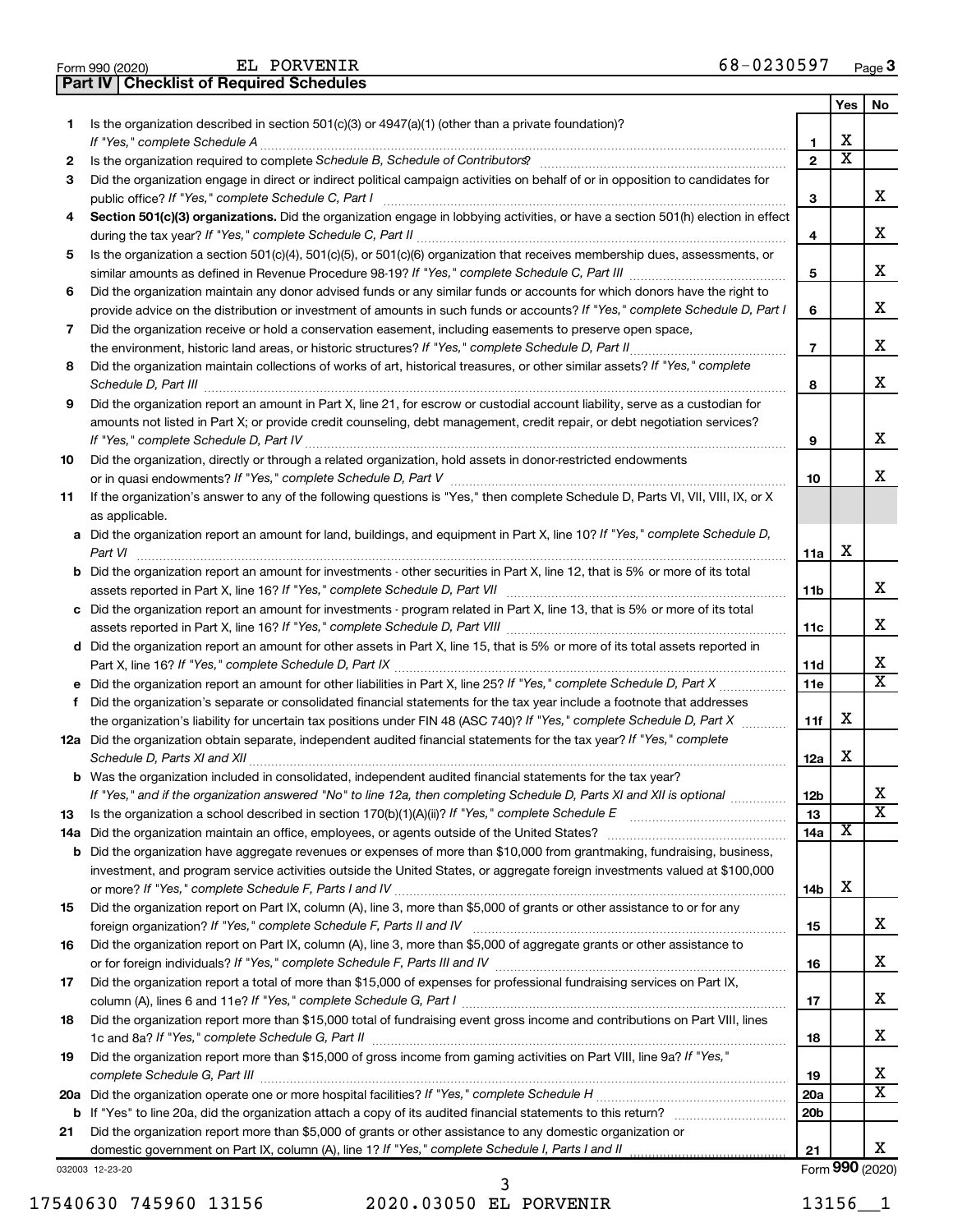|  | Form 990 (2020) |
|--|-----------------|

**Part IV Checklist of Required Schedules** EL PORVENIR

|     |                                                                                                                                       |                         | Yes                     | No                      |
|-----|---------------------------------------------------------------------------------------------------------------------------------------|-------------------------|-------------------------|-------------------------|
| 1   | Is the organization described in section 501(c)(3) or 4947(a)(1) (other than a private foundation)?                                   |                         |                         |                         |
|     | If "Yes," complete Schedule A                                                                                                         | 1                       | x                       |                         |
| 2   |                                                                                                                                       | $\mathbf{2}$            | $\overline{\textbf{x}}$ |                         |
| 3   | Did the organization engage in direct or indirect political campaign activities on behalf of or in opposition to candidates for       |                         |                         |                         |
|     | public office? If "Yes," complete Schedule C, Part I                                                                                  | 3                       |                         | x                       |
| 4   | Section 501(c)(3) organizations. Did the organization engage in lobbying activities, or have a section 501(h) election in effect      |                         |                         |                         |
|     |                                                                                                                                       | 4                       |                         | x                       |
| 5   | Is the organization a section 501(c)(4), 501(c)(5), or 501(c)(6) organization that receives membership dues, assessments, or          |                         |                         |                         |
|     |                                                                                                                                       | 5                       |                         | x                       |
| 6   | Did the organization maintain any donor advised funds or any similar funds or accounts for which donors have the right to             |                         |                         |                         |
|     | provide advice on the distribution or investment of amounts in such funds or accounts? If "Yes," complete Schedule D, Part I          | 6                       |                         | x                       |
| 7   | Did the organization receive or hold a conservation easement, including easements to preserve open space,                             |                         |                         |                         |
|     | the environment, historic land areas, or historic structures? If "Yes," complete Schedule D, Part II                                  | $\overline{\mathbf{r}}$ |                         | x                       |
| 8   | Did the organization maintain collections of works of art, historical treasures, or other similar assets? If "Yes," complete          |                         |                         |                         |
|     | Schedule D, Part III                                                                                                                  | 8                       |                         | X.                      |
| 9   | Did the organization report an amount in Part X, line 21, for escrow or custodial account liability, serve as a custodian for         |                         |                         |                         |
|     | amounts not listed in Part X; or provide credit counseling, debt management, credit repair, or debt negotiation services?             |                         |                         |                         |
|     |                                                                                                                                       | 9                       |                         | x                       |
| 10  | Did the organization, directly or through a related organization, hold assets in donor-restricted endowments                          |                         |                         |                         |
|     |                                                                                                                                       | 10                      |                         | x                       |
| 11  | If the organization's answer to any of the following questions is "Yes," then complete Schedule D, Parts VI, VII, VIII, IX, or X      |                         |                         |                         |
|     | as applicable.                                                                                                                        |                         |                         |                         |
|     | a Did the organization report an amount for land, buildings, and equipment in Part X, line 10? If "Yes," complete Schedule D,         |                         |                         |                         |
|     | Part VI                                                                                                                               | 11a                     | х                       |                         |
|     | <b>b</b> Did the organization report an amount for investments - other securities in Part X, line 12, that is 5% or more of its total |                         |                         |                         |
|     |                                                                                                                                       | 11b                     |                         | x                       |
|     | c Did the organization report an amount for investments - program related in Part X, line 13, that is 5% or more of its total         |                         |                         |                         |
|     |                                                                                                                                       | 11c                     |                         | х                       |
|     | d Did the organization report an amount for other assets in Part X, line 15, that is 5% or more of its total assets reported in       |                         |                         |                         |
|     |                                                                                                                                       | 11d                     |                         | x.                      |
|     |                                                                                                                                       | 11e                     |                         | $\overline{\texttt{x}}$ |
| f   | Did the organization's separate or consolidated financial statements for the tax year include a footnote that addresses               |                         |                         |                         |
|     | the organization's liability for uncertain tax positions under FIN 48 (ASC 740)? If "Yes," complete Schedule D, Part X                |                         | х                       |                         |
|     | 12a Did the organization obtain separate, independent audited financial statements for the tax year? If "Yes," complete               | 11f                     |                         |                         |
|     | Schedule D, Parts XI and XII                                                                                                          | 12a                     | х                       |                         |
|     | <b>b</b> Was the organization included in consolidated, independent audited financial statements for the tax year?                    |                         |                         |                         |
|     | If "Yes," and if the organization answered "No" to line 12a, then completing Schedule D, Parts XI and XII is optional <i>www.</i>     | 12 <sub>b</sub>         |                         | х                       |
|     |                                                                                                                                       | 13                      |                         | $\overline{\texttt{x}}$ |
| 13  |                                                                                                                                       | 14a                     | х                       |                         |
| 14a | Did the organization have aggregate revenues or expenses of more than \$10,000 from grantmaking, fundraising, business,               |                         |                         |                         |
| b   | investment, and program service activities outside the United States, or aggregate foreign investments valued at \$100,000            |                         |                         |                         |
|     |                                                                                                                                       | 14b                     | х                       |                         |
| 15  | Did the organization report on Part IX, column (A), line 3, more than \$5,000 of grants or other assistance to or for any             |                         |                         |                         |
|     |                                                                                                                                       | 15                      |                         | X.                      |
| 16  | Did the organization report on Part IX, column (A), line 3, more than \$5,000 of aggregate grants or other assistance to              |                         |                         |                         |
|     |                                                                                                                                       | 16                      |                         | X.                      |
| 17  | Did the organization report a total of more than \$15,000 of expenses for professional fundraising services on Part IX,               |                         |                         |                         |
|     |                                                                                                                                       | 17                      |                         | X.                      |
|     | Did the organization report more than \$15,000 total of fundraising event gross income and contributions on Part VIII, lines          |                         |                         |                         |
| 18  |                                                                                                                                       |                         |                         | X.                      |
|     | Did the organization report more than \$15,000 of gross income from gaming activities on Part VIII, line 9a? If "Yes,"                | 18                      |                         |                         |
| 19  |                                                                                                                                       |                         |                         | x                       |
|     |                                                                                                                                       | 19                      |                         | х                       |
| 20a |                                                                                                                                       | 20a                     |                         |                         |
| b   |                                                                                                                                       | 20 <sub>b</sub>         |                         |                         |
| 21  | Did the organization report more than \$5,000 of grants or other assistance to any domestic organization or                           | 21                      |                         | x                       |
|     |                                                                                                                                       |                         |                         | Form 990 (2020)         |
|     | 032003 12-23-20                                                                                                                       |                         |                         |                         |

17540630 745960 13156 2020.03050 EL PORVENIR 13156\_\_1 3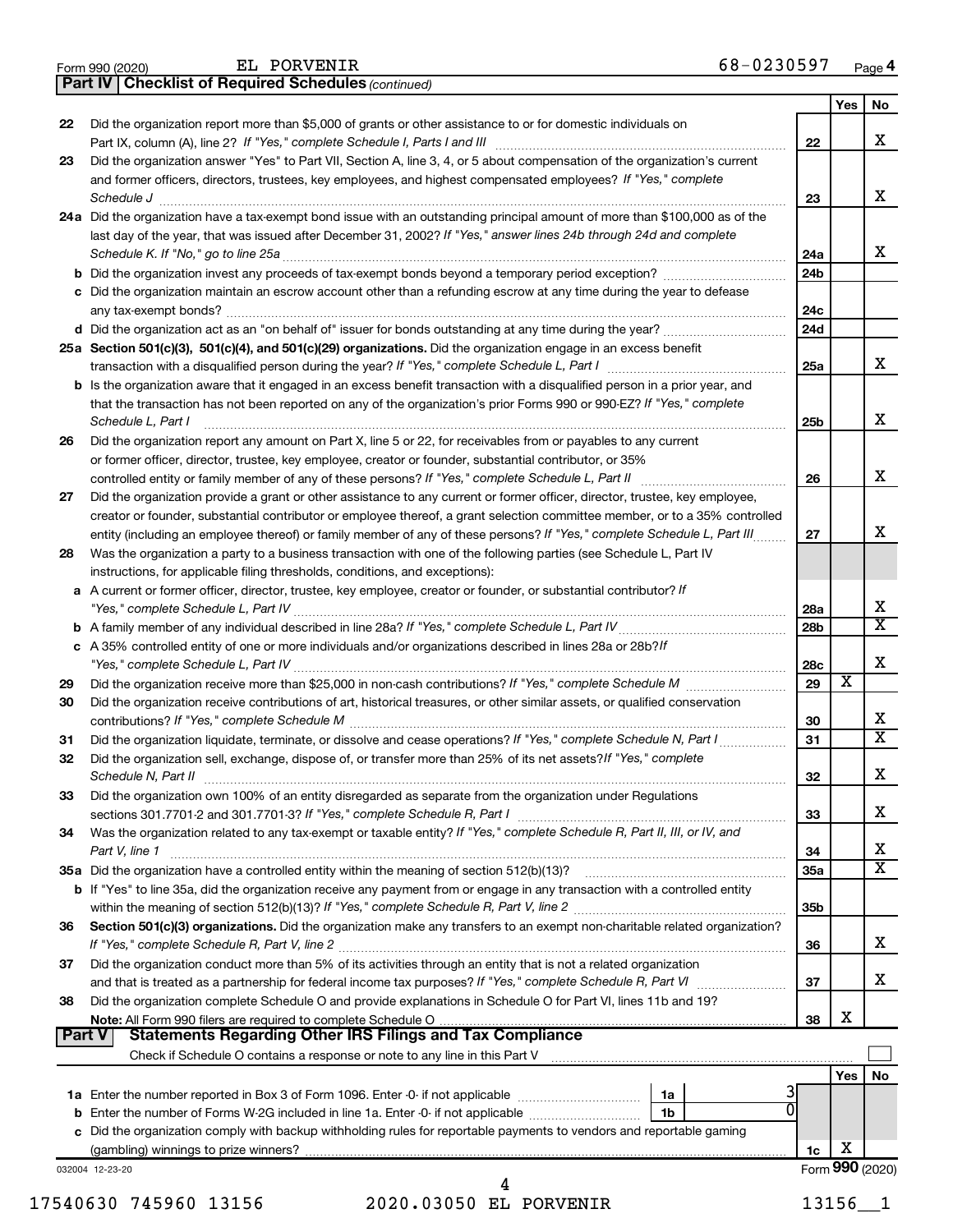|  | Form 990 (2020) |
|--|-----------------|
|  |                 |

EL PORVENIR

*(continued)* **Part IV Checklist of Required Schedules**

|               |                                                                                                                                                                 |                 | Yes | No                           |
|---------------|-----------------------------------------------------------------------------------------------------------------------------------------------------------------|-----------------|-----|------------------------------|
| 22            | Did the organization report more than \$5,000 of grants or other assistance to or for domestic individuals on                                                   |                 |     |                              |
|               |                                                                                                                                                                 | 22              |     | x                            |
| 23            | Did the organization answer "Yes" to Part VII, Section A, line 3, 4, or 5 about compensation of the organization's current                                      |                 |     |                              |
|               | and former officers, directors, trustees, key employees, and highest compensated employees? If "Yes," complete                                                  |                 |     | x                            |
|               |                                                                                                                                                                 | 23              |     |                              |
|               | 24a Did the organization have a tax-exempt bond issue with an outstanding principal amount of more than \$100,000 as of the                                     |                 |     |                              |
|               | last day of the year, that was issued after December 31, 2002? If "Yes," answer lines 24b through 24d and complete                                              | 24a             |     | x                            |
|               |                                                                                                                                                                 | 24 <sub>b</sub> |     |                              |
|               | c Did the organization maintain an escrow account other than a refunding escrow at any time during the year to defease                                          |                 |     |                              |
|               |                                                                                                                                                                 | 24c             |     |                              |
|               |                                                                                                                                                                 | 24d             |     |                              |
|               | 25a Section 501(c)(3), 501(c)(4), and 501(c)(29) organizations. Did the organization engage in an excess benefit                                                |                 |     |                              |
|               |                                                                                                                                                                 | 25a             |     | x                            |
|               | b Is the organization aware that it engaged in an excess benefit transaction with a disqualified person in a prior year, and                                    |                 |     |                              |
|               | that the transaction has not been reported on any of the organization's prior Forms 990 or 990-EZ? If "Yes," complete                                           |                 |     |                              |
|               | Schedule L, Part I                                                                                                                                              | 25b             |     | х                            |
| 26            | Did the organization report any amount on Part X, line 5 or 22, for receivables from or payables to any current                                                 |                 |     |                              |
|               | or former officer, director, trustee, key employee, creator or founder, substantial contributor, or 35%                                                         |                 |     |                              |
|               |                                                                                                                                                                 | 26              |     | x                            |
| 27            | Did the organization provide a grant or other assistance to any current or former officer, director, trustee, key employee,                                     |                 |     |                              |
|               | creator or founder, substantial contributor or employee thereof, a grant selection committee member, or to a 35% controlled                                     |                 |     |                              |
|               | entity (including an employee thereof) or family member of any of these persons? If "Yes," complete Schedule L, Part III                                        | 27              |     | x                            |
| 28            | Was the organization a party to a business transaction with one of the following parties (see Schedule L, Part IV                                               |                 |     |                              |
|               | instructions, for applicable filing thresholds, conditions, and exceptions):                                                                                    |                 |     |                              |
|               | a A current or former officer, director, trustee, key employee, creator or founder, or substantial contributor? If                                              |                 |     |                              |
|               |                                                                                                                                                                 | 28a             |     | x<br>$\overline{\mathtt{x}}$ |
|               |                                                                                                                                                                 | 28b             |     |                              |
|               | c A 35% controlled entity of one or more individuals and/or organizations described in lines 28a or 28b?If                                                      |                 |     | X                            |
| 29            |                                                                                                                                                                 | 28c<br>29       | X   |                              |
| 30            | Did the organization receive contributions of art, historical treasures, or other similar assets, or qualified conservation                                     |                 |     |                              |
|               |                                                                                                                                                                 | 30              |     | x                            |
| 31            | Did the organization liquidate, terminate, or dissolve and cease operations? If "Yes," complete Schedule N, Part I                                              | 31              |     | $\overline{\mathtt{x}}$      |
| 32            | Did the organization sell, exchange, dispose of, or transfer more than 25% of its net assets? If "Yes," complete                                                |                 |     |                              |
|               | Schedule N, Part II                                                                                                                                             | 32              |     | x                            |
| 33            | Did the organization own 100% of an entity disregarded as separate from the organization under Regulations                                                      |                 |     |                              |
|               |                                                                                                                                                                 | 33              |     | X                            |
| 34            | Was the organization related to any tax-exempt or taxable entity? If "Yes," complete Schedule R, Part II, III, or IV, and                                       |                 |     |                              |
|               | Part V, line 1                                                                                                                                                  | 34              |     | x                            |
|               | 35a Did the organization have a controlled entity within the meaning of section 512(b)(13)?                                                                     | 35a             |     | $\overline{\mathtt{x}}$      |
|               | <b>b</b> If "Yes" to line 35a, did the organization receive any payment from or engage in any transaction with a controlled entity                              |                 |     |                              |
|               |                                                                                                                                                                 | 35b             |     |                              |
| 36            | Section 501(c)(3) organizations. Did the organization make any transfers to an exempt non-charitable related organization?                                      |                 |     |                              |
|               |                                                                                                                                                                 | 36              |     | x                            |
| 37            | Did the organization conduct more than 5% of its activities through an entity that is not a related organization                                                |                 |     |                              |
|               |                                                                                                                                                                 | 37              |     | x                            |
| 38            | Did the organization complete Schedule O and provide explanations in Schedule O for Part VI, lines 11b and 19?                                                  |                 | х   |                              |
| <b>Part V</b> | <b>Statements Regarding Other IRS Filings and Tax Compliance</b>                                                                                                | 38              |     |                              |
|               | Check if Schedule O contains a response or note to any line in this Part V [11] [12] Check if Schedule O contains a response or note to any line in this Part V |                 |     |                              |
|               |                                                                                                                                                                 |                 | Yes | No                           |
|               | 1a                                                                                                                                                              |                 |     |                              |
|               | 1b                                                                                                                                                              |                 |     |                              |
|               | c Did the organization comply with backup withholding rules for reportable payments to vendors and reportable gaming                                            |                 |     |                              |
|               |                                                                                                                                                                 | 1c              | х   |                              |
|               | 032004 12-23-20                                                                                                                                                 |                 |     | Form 990 (2020)              |

17540630 745960 13156 2020.03050 EL PORVENIR 13156\_\_1 4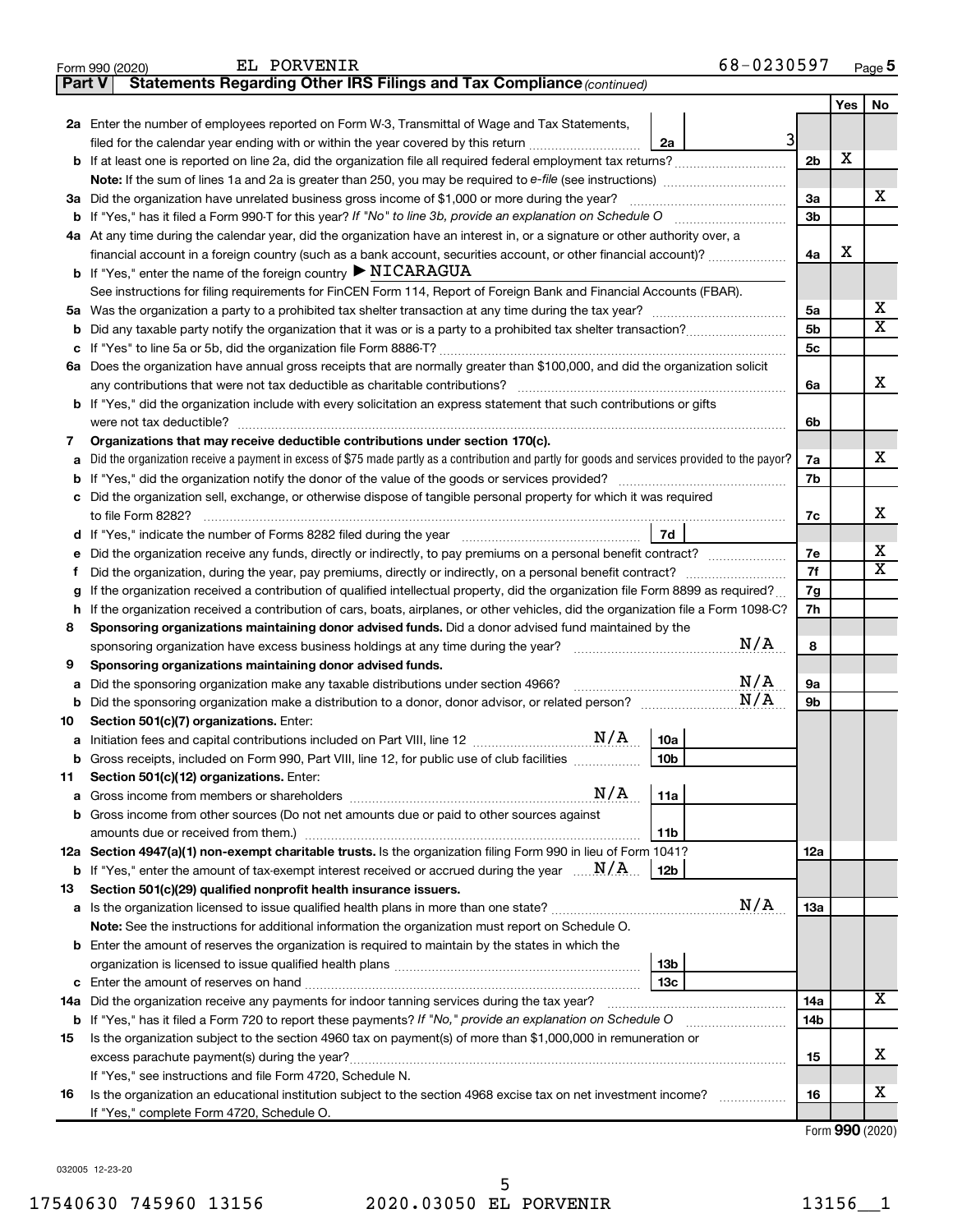| Form 990 (2020) |
|-----------------|
|-----------------|

EL PORVENIR

**Part V** Statements Regarding Other IRS Filings and Tax Compliance (continued)

| 2a Enter the number of employees reported on Form W-3, Transmittal of Wage and Tax Statements,<br>3<br>filed for the calendar year ending with or within the year covered by this return<br>2a<br>х<br>2 <sub>b</sub><br>x<br>3a Did the organization have unrelated business gross income of \$1,000 or more during the year?<br>За<br><b>b</b> If "Yes," has it filed a Form 990-T for this year? If "No" to line 3b, provide an explanation on Schedule O<br>3b<br>4a At any time during the calendar year, did the organization have an interest in, or a signature or other authority over, a<br>x<br>financial account in a foreign country (such as a bank account, securities account, or other financial account)?<br>4a<br><b>b</b> If "Yes," enter the name of the foreign country <b>&gt; NICARAGUA</b><br>See instructions for filing requirements for FinCEN Form 114, Report of Foreign Bank and Financial Accounts (FBAR).<br>х<br>5a<br>$\overline{\texttt{x}}$<br>5b<br>b<br>5с<br>c<br>6a Does the organization have annual gross receipts that are normally greater than \$100,000, and did the organization solicit<br>x<br>6a<br><b>b</b> If "Yes," did the organization include with every solicitation an express statement that such contributions or gifts<br>6b<br>Organizations that may receive deductible contributions under section 170(c).<br>7<br>x<br>Did the organization receive a payment in excess of \$75 made partly as a contribution and partly for goods and services provided to the payor?<br>7a<br>a<br>7b<br>c Did the organization sell, exchange, or otherwise dispose of tangible personal property for which it was required<br>х<br>7c<br>7d<br>d If "Yes," indicate the number of Forms 8282 filed during the year [11] [11] No. 2010 [12] Henry Marian Republicance of Forms 8282 filed during the year<br>x<br>7е<br>е<br>X<br>7f<br>f.<br>If the organization received a contribution of qualified intellectual property, did the organization file Form 8899 as required?<br>7g<br>g<br>If the organization received a contribution of cars, boats, airplanes, or other vehicles, did the organization file a Form 1098-C?<br>7h<br>h.<br>Sponsoring organizations maintaining donor advised funds. Did a donor advised fund maintained by the<br>8<br>N/A<br>8<br>Sponsoring organizations maintaining donor advised funds.<br>9<br>N/A<br>9а<br>Did the sponsoring organization make any taxable distributions under section 4966?<br>а<br>9b<br>b<br>Section 501(c)(7) organizations. Enter:<br>10<br>10a<br>а<br>b Gross receipts, included on Form 990, Part VIII, line 12, for public use of club facilities<br>10 <sub>b</sub><br>Section 501(c)(12) organizations. Enter:<br>11<br> 11a <br>b Gross income from other sources (Do not net amounts due or paid to other sources against<br>11b<br>12a Section 4947(a)(1) non-exempt charitable trusts. Is the organization filing Form 990 in lieu of Form 1041?<br>12a<br><b>b</b> If "Yes," enter the amount of tax-exempt interest received or accrued during the year $\ldots$ $\mathbf{N}/\mathbf{A}$<br>12b<br>Section 501(c)(29) qualified nonprofit health insurance issuers.<br>13<br>N/A<br>13a<br>Note: See the instructions for additional information the organization must report on Schedule O.<br><b>b</b> Enter the amount of reserves the organization is required to maintain by the states in which the<br>13 <sub>b</sub><br>13с<br>x<br>14a Did the organization receive any payments for indoor tanning services during the tax year?<br>14a<br><b>b</b> If "Yes," has it filed a Form 720 to report these payments? If "No," provide an explanation on Schedule O<br>14b<br>Is the organization subject to the section 4960 tax on payment(s) of more than \$1,000,000 in remuneration or<br>15<br>X.<br>15<br>If "Yes," see instructions and file Form 4720, Schedule N.<br>x<br>Is the organization an educational institution subject to the section 4968 excise tax on net investment income?<br>16<br>16<br>If "Yes," complete Form 4720, Schedule O. |  |  | Yes | No |
|-----------------------------------------------------------------------------------------------------------------------------------------------------------------------------------------------------------------------------------------------------------------------------------------------------------------------------------------------------------------------------------------------------------------------------------------------------------------------------------------------------------------------------------------------------------------------------------------------------------------------------------------------------------------------------------------------------------------------------------------------------------------------------------------------------------------------------------------------------------------------------------------------------------------------------------------------------------------------------------------------------------------------------------------------------------------------------------------------------------------------------------------------------------------------------------------------------------------------------------------------------------------------------------------------------------------------------------------------------------------------------------------------------------------------------------------------------------------------------------------------------------------------------------------------------------------------------------------------------------------------------------------------------------------------------------------------------------------------------------------------------------------------------------------------------------------------------------------------------------------------------------------------------------------------------------------------------------------------------------------------------------------------------------------------------------------------------------------------------------------------------------------------------------------------------------------------------------------------------------------------------------------------------------------------------------------------------------------------------------------------------------------------------------------------------------------------------------------------------------------------------------------------------------------------------------------------------------------------------------------------------------------------------------------------------------------------------------------------------------------------------------------------------------------------------------------------------------------------------------------------------------------------------------------------------------------------------------------------------------------------------------------------------------------------------------------------------------------------------------------------------------------------------------------------------------------------------------------------------------------------------------------------------------------------------------------------------------------------------------------------------------------------------------------------------------------------------------------------------------------------------------------------------------------------------------------------------------------------------------------------------------------------------------------------------------------------------------------------------------------------------------------------------------------------------------------------------------------------------------------------------------------------------------------------------------------------------------------------------------------------------------------------------------------------------------------------------------------------------|--|--|-----|----|
|                                                                                                                                                                                                                                                                                                                                                                                                                                                                                                                                                                                                                                                                                                                                                                                                                                                                                                                                                                                                                                                                                                                                                                                                                                                                                                                                                                                                                                                                                                                                                                                                                                                                                                                                                                                                                                                                                                                                                                                                                                                                                                                                                                                                                                                                                                                                                                                                                                                                                                                                                                                                                                                                                                                                                                                                                                                                                                                                                                                                                                                                                                                                                                                                                                                                                                                                                                                                                                                                                                                                                                                                                                                                                                                                                                                                                                                                                                                                                                                                                                                                                                     |  |  |     |    |
|                                                                                                                                                                                                                                                                                                                                                                                                                                                                                                                                                                                                                                                                                                                                                                                                                                                                                                                                                                                                                                                                                                                                                                                                                                                                                                                                                                                                                                                                                                                                                                                                                                                                                                                                                                                                                                                                                                                                                                                                                                                                                                                                                                                                                                                                                                                                                                                                                                                                                                                                                                                                                                                                                                                                                                                                                                                                                                                                                                                                                                                                                                                                                                                                                                                                                                                                                                                                                                                                                                                                                                                                                                                                                                                                                                                                                                                                                                                                                                                                                                                                                                     |  |  |     |    |
|                                                                                                                                                                                                                                                                                                                                                                                                                                                                                                                                                                                                                                                                                                                                                                                                                                                                                                                                                                                                                                                                                                                                                                                                                                                                                                                                                                                                                                                                                                                                                                                                                                                                                                                                                                                                                                                                                                                                                                                                                                                                                                                                                                                                                                                                                                                                                                                                                                                                                                                                                                                                                                                                                                                                                                                                                                                                                                                                                                                                                                                                                                                                                                                                                                                                                                                                                                                                                                                                                                                                                                                                                                                                                                                                                                                                                                                                                                                                                                                                                                                                                                     |  |  |     |    |
|                                                                                                                                                                                                                                                                                                                                                                                                                                                                                                                                                                                                                                                                                                                                                                                                                                                                                                                                                                                                                                                                                                                                                                                                                                                                                                                                                                                                                                                                                                                                                                                                                                                                                                                                                                                                                                                                                                                                                                                                                                                                                                                                                                                                                                                                                                                                                                                                                                                                                                                                                                                                                                                                                                                                                                                                                                                                                                                                                                                                                                                                                                                                                                                                                                                                                                                                                                                                                                                                                                                                                                                                                                                                                                                                                                                                                                                                                                                                                                                                                                                                                                     |  |  |     |    |
|                                                                                                                                                                                                                                                                                                                                                                                                                                                                                                                                                                                                                                                                                                                                                                                                                                                                                                                                                                                                                                                                                                                                                                                                                                                                                                                                                                                                                                                                                                                                                                                                                                                                                                                                                                                                                                                                                                                                                                                                                                                                                                                                                                                                                                                                                                                                                                                                                                                                                                                                                                                                                                                                                                                                                                                                                                                                                                                                                                                                                                                                                                                                                                                                                                                                                                                                                                                                                                                                                                                                                                                                                                                                                                                                                                                                                                                                                                                                                                                                                                                                                                     |  |  |     |    |
|                                                                                                                                                                                                                                                                                                                                                                                                                                                                                                                                                                                                                                                                                                                                                                                                                                                                                                                                                                                                                                                                                                                                                                                                                                                                                                                                                                                                                                                                                                                                                                                                                                                                                                                                                                                                                                                                                                                                                                                                                                                                                                                                                                                                                                                                                                                                                                                                                                                                                                                                                                                                                                                                                                                                                                                                                                                                                                                                                                                                                                                                                                                                                                                                                                                                                                                                                                                                                                                                                                                                                                                                                                                                                                                                                                                                                                                                                                                                                                                                                                                                                                     |  |  |     |    |
|                                                                                                                                                                                                                                                                                                                                                                                                                                                                                                                                                                                                                                                                                                                                                                                                                                                                                                                                                                                                                                                                                                                                                                                                                                                                                                                                                                                                                                                                                                                                                                                                                                                                                                                                                                                                                                                                                                                                                                                                                                                                                                                                                                                                                                                                                                                                                                                                                                                                                                                                                                                                                                                                                                                                                                                                                                                                                                                                                                                                                                                                                                                                                                                                                                                                                                                                                                                                                                                                                                                                                                                                                                                                                                                                                                                                                                                                                                                                                                                                                                                                                                     |  |  |     |    |
|                                                                                                                                                                                                                                                                                                                                                                                                                                                                                                                                                                                                                                                                                                                                                                                                                                                                                                                                                                                                                                                                                                                                                                                                                                                                                                                                                                                                                                                                                                                                                                                                                                                                                                                                                                                                                                                                                                                                                                                                                                                                                                                                                                                                                                                                                                                                                                                                                                                                                                                                                                                                                                                                                                                                                                                                                                                                                                                                                                                                                                                                                                                                                                                                                                                                                                                                                                                                                                                                                                                                                                                                                                                                                                                                                                                                                                                                                                                                                                                                                                                                                                     |  |  |     |    |
|                                                                                                                                                                                                                                                                                                                                                                                                                                                                                                                                                                                                                                                                                                                                                                                                                                                                                                                                                                                                                                                                                                                                                                                                                                                                                                                                                                                                                                                                                                                                                                                                                                                                                                                                                                                                                                                                                                                                                                                                                                                                                                                                                                                                                                                                                                                                                                                                                                                                                                                                                                                                                                                                                                                                                                                                                                                                                                                                                                                                                                                                                                                                                                                                                                                                                                                                                                                                                                                                                                                                                                                                                                                                                                                                                                                                                                                                                                                                                                                                                                                                                                     |  |  |     |    |
|                                                                                                                                                                                                                                                                                                                                                                                                                                                                                                                                                                                                                                                                                                                                                                                                                                                                                                                                                                                                                                                                                                                                                                                                                                                                                                                                                                                                                                                                                                                                                                                                                                                                                                                                                                                                                                                                                                                                                                                                                                                                                                                                                                                                                                                                                                                                                                                                                                                                                                                                                                                                                                                                                                                                                                                                                                                                                                                                                                                                                                                                                                                                                                                                                                                                                                                                                                                                                                                                                                                                                                                                                                                                                                                                                                                                                                                                                                                                                                                                                                                                                                     |  |  |     |    |
|                                                                                                                                                                                                                                                                                                                                                                                                                                                                                                                                                                                                                                                                                                                                                                                                                                                                                                                                                                                                                                                                                                                                                                                                                                                                                                                                                                                                                                                                                                                                                                                                                                                                                                                                                                                                                                                                                                                                                                                                                                                                                                                                                                                                                                                                                                                                                                                                                                                                                                                                                                                                                                                                                                                                                                                                                                                                                                                                                                                                                                                                                                                                                                                                                                                                                                                                                                                                                                                                                                                                                                                                                                                                                                                                                                                                                                                                                                                                                                                                                                                                                                     |  |  |     |    |
|                                                                                                                                                                                                                                                                                                                                                                                                                                                                                                                                                                                                                                                                                                                                                                                                                                                                                                                                                                                                                                                                                                                                                                                                                                                                                                                                                                                                                                                                                                                                                                                                                                                                                                                                                                                                                                                                                                                                                                                                                                                                                                                                                                                                                                                                                                                                                                                                                                                                                                                                                                                                                                                                                                                                                                                                                                                                                                                                                                                                                                                                                                                                                                                                                                                                                                                                                                                                                                                                                                                                                                                                                                                                                                                                                                                                                                                                                                                                                                                                                                                                                                     |  |  |     |    |
|                                                                                                                                                                                                                                                                                                                                                                                                                                                                                                                                                                                                                                                                                                                                                                                                                                                                                                                                                                                                                                                                                                                                                                                                                                                                                                                                                                                                                                                                                                                                                                                                                                                                                                                                                                                                                                                                                                                                                                                                                                                                                                                                                                                                                                                                                                                                                                                                                                                                                                                                                                                                                                                                                                                                                                                                                                                                                                                                                                                                                                                                                                                                                                                                                                                                                                                                                                                                                                                                                                                                                                                                                                                                                                                                                                                                                                                                                                                                                                                                                                                                                                     |  |  |     |    |
|                                                                                                                                                                                                                                                                                                                                                                                                                                                                                                                                                                                                                                                                                                                                                                                                                                                                                                                                                                                                                                                                                                                                                                                                                                                                                                                                                                                                                                                                                                                                                                                                                                                                                                                                                                                                                                                                                                                                                                                                                                                                                                                                                                                                                                                                                                                                                                                                                                                                                                                                                                                                                                                                                                                                                                                                                                                                                                                                                                                                                                                                                                                                                                                                                                                                                                                                                                                                                                                                                                                                                                                                                                                                                                                                                                                                                                                                                                                                                                                                                                                                                                     |  |  |     |    |
|                                                                                                                                                                                                                                                                                                                                                                                                                                                                                                                                                                                                                                                                                                                                                                                                                                                                                                                                                                                                                                                                                                                                                                                                                                                                                                                                                                                                                                                                                                                                                                                                                                                                                                                                                                                                                                                                                                                                                                                                                                                                                                                                                                                                                                                                                                                                                                                                                                                                                                                                                                                                                                                                                                                                                                                                                                                                                                                                                                                                                                                                                                                                                                                                                                                                                                                                                                                                                                                                                                                                                                                                                                                                                                                                                                                                                                                                                                                                                                                                                                                                                                     |  |  |     |    |
|                                                                                                                                                                                                                                                                                                                                                                                                                                                                                                                                                                                                                                                                                                                                                                                                                                                                                                                                                                                                                                                                                                                                                                                                                                                                                                                                                                                                                                                                                                                                                                                                                                                                                                                                                                                                                                                                                                                                                                                                                                                                                                                                                                                                                                                                                                                                                                                                                                                                                                                                                                                                                                                                                                                                                                                                                                                                                                                                                                                                                                                                                                                                                                                                                                                                                                                                                                                                                                                                                                                                                                                                                                                                                                                                                                                                                                                                                                                                                                                                                                                                                                     |  |  |     |    |
|                                                                                                                                                                                                                                                                                                                                                                                                                                                                                                                                                                                                                                                                                                                                                                                                                                                                                                                                                                                                                                                                                                                                                                                                                                                                                                                                                                                                                                                                                                                                                                                                                                                                                                                                                                                                                                                                                                                                                                                                                                                                                                                                                                                                                                                                                                                                                                                                                                                                                                                                                                                                                                                                                                                                                                                                                                                                                                                                                                                                                                                                                                                                                                                                                                                                                                                                                                                                                                                                                                                                                                                                                                                                                                                                                                                                                                                                                                                                                                                                                                                                                                     |  |  |     |    |
|                                                                                                                                                                                                                                                                                                                                                                                                                                                                                                                                                                                                                                                                                                                                                                                                                                                                                                                                                                                                                                                                                                                                                                                                                                                                                                                                                                                                                                                                                                                                                                                                                                                                                                                                                                                                                                                                                                                                                                                                                                                                                                                                                                                                                                                                                                                                                                                                                                                                                                                                                                                                                                                                                                                                                                                                                                                                                                                                                                                                                                                                                                                                                                                                                                                                                                                                                                                                                                                                                                                                                                                                                                                                                                                                                                                                                                                                                                                                                                                                                                                                                                     |  |  |     |    |
|                                                                                                                                                                                                                                                                                                                                                                                                                                                                                                                                                                                                                                                                                                                                                                                                                                                                                                                                                                                                                                                                                                                                                                                                                                                                                                                                                                                                                                                                                                                                                                                                                                                                                                                                                                                                                                                                                                                                                                                                                                                                                                                                                                                                                                                                                                                                                                                                                                                                                                                                                                                                                                                                                                                                                                                                                                                                                                                                                                                                                                                                                                                                                                                                                                                                                                                                                                                                                                                                                                                                                                                                                                                                                                                                                                                                                                                                                                                                                                                                                                                                                                     |  |  |     |    |
|                                                                                                                                                                                                                                                                                                                                                                                                                                                                                                                                                                                                                                                                                                                                                                                                                                                                                                                                                                                                                                                                                                                                                                                                                                                                                                                                                                                                                                                                                                                                                                                                                                                                                                                                                                                                                                                                                                                                                                                                                                                                                                                                                                                                                                                                                                                                                                                                                                                                                                                                                                                                                                                                                                                                                                                                                                                                                                                                                                                                                                                                                                                                                                                                                                                                                                                                                                                                                                                                                                                                                                                                                                                                                                                                                                                                                                                                                                                                                                                                                                                                                                     |  |  |     |    |
|                                                                                                                                                                                                                                                                                                                                                                                                                                                                                                                                                                                                                                                                                                                                                                                                                                                                                                                                                                                                                                                                                                                                                                                                                                                                                                                                                                                                                                                                                                                                                                                                                                                                                                                                                                                                                                                                                                                                                                                                                                                                                                                                                                                                                                                                                                                                                                                                                                                                                                                                                                                                                                                                                                                                                                                                                                                                                                                                                                                                                                                                                                                                                                                                                                                                                                                                                                                                                                                                                                                                                                                                                                                                                                                                                                                                                                                                                                                                                                                                                                                                                                     |  |  |     |    |
|                                                                                                                                                                                                                                                                                                                                                                                                                                                                                                                                                                                                                                                                                                                                                                                                                                                                                                                                                                                                                                                                                                                                                                                                                                                                                                                                                                                                                                                                                                                                                                                                                                                                                                                                                                                                                                                                                                                                                                                                                                                                                                                                                                                                                                                                                                                                                                                                                                                                                                                                                                                                                                                                                                                                                                                                                                                                                                                                                                                                                                                                                                                                                                                                                                                                                                                                                                                                                                                                                                                                                                                                                                                                                                                                                                                                                                                                                                                                                                                                                                                                                                     |  |  |     |    |
|                                                                                                                                                                                                                                                                                                                                                                                                                                                                                                                                                                                                                                                                                                                                                                                                                                                                                                                                                                                                                                                                                                                                                                                                                                                                                                                                                                                                                                                                                                                                                                                                                                                                                                                                                                                                                                                                                                                                                                                                                                                                                                                                                                                                                                                                                                                                                                                                                                                                                                                                                                                                                                                                                                                                                                                                                                                                                                                                                                                                                                                                                                                                                                                                                                                                                                                                                                                                                                                                                                                                                                                                                                                                                                                                                                                                                                                                                                                                                                                                                                                                                                     |  |  |     |    |
|                                                                                                                                                                                                                                                                                                                                                                                                                                                                                                                                                                                                                                                                                                                                                                                                                                                                                                                                                                                                                                                                                                                                                                                                                                                                                                                                                                                                                                                                                                                                                                                                                                                                                                                                                                                                                                                                                                                                                                                                                                                                                                                                                                                                                                                                                                                                                                                                                                                                                                                                                                                                                                                                                                                                                                                                                                                                                                                                                                                                                                                                                                                                                                                                                                                                                                                                                                                                                                                                                                                                                                                                                                                                                                                                                                                                                                                                                                                                                                                                                                                                                                     |  |  |     |    |
|                                                                                                                                                                                                                                                                                                                                                                                                                                                                                                                                                                                                                                                                                                                                                                                                                                                                                                                                                                                                                                                                                                                                                                                                                                                                                                                                                                                                                                                                                                                                                                                                                                                                                                                                                                                                                                                                                                                                                                                                                                                                                                                                                                                                                                                                                                                                                                                                                                                                                                                                                                                                                                                                                                                                                                                                                                                                                                                                                                                                                                                                                                                                                                                                                                                                                                                                                                                                                                                                                                                                                                                                                                                                                                                                                                                                                                                                                                                                                                                                                                                                                                     |  |  |     |    |
|                                                                                                                                                                                                                                                                                                                                                                                                                                                                                                                                                                                                                                                                                                                                                                                                                                                                                                                                                                                                                                                                                                                                                                                                                                                                                                                                                                                                                                                                                                                                                                                                                                                                                                                                                                                                                                                                                                                                                                                                                                                                                                                                                                                                                                                                                                                                                                                                                                                                                                                                                                                                                                                                                                                                                                                                                                                                                                                                                                                                                                                                                                                                                                                                                                                                                                                                                                                                                                                                                                                                                                                                                                                                                                                                                                                                                                                                                                                                                                                                                                                                                                     |  |  |     |    |
|                                                                                                                                                                                                                                                                                                                                                                                                                                                                                                                                                                                                                                                                                                                                                                                                                                                                                                                                                                                                                                                                                                                                                                                                                                                                                                                                                                                                                                                                                                                                                                                                                                                                                                                                                                                                                                                                                                                                                                                                                                                                                                                                                                                                                                                                                                                                                                                                                                                                                                                                                                                                                                                                                                                                                                                                                                                                                                                                                                                                                                                                                                                                                                                                                                                                                                                                                                                                                                                                                                                                                                                                                                                                                                                                                                                                                                                                                                                                                                                                                                                                                                     |  |  |     |    |
|                                                                                                                                                                                                                                                                                                                                                                                                                                                                                                                                                                                                                                                                                                                                                                                                                                                                                                                                                                                                                                                                                                                                                                                                                                                                                                                                                                                                                                                                                                                                                                                                                                                                                                                                                                                                                                                                                                                                                                                                                                                                                                                                                                                                                                                                                                                                                                                                                                                                                                                                                                                                                                                                                                                                                                                                                                                                                                                                                                                                                                                                                                                                                                                                                                                                                                                                                                                                                                                                                                                                                                                                                                                                                                                                                                                                                                                                                                                                                                                                                                                                                                     |  |  |     |    |
|                                                                                                                                                                                                                                                                                                                                                                                                                                                                                                                                                                                                                                                                                                                                                                                                                                                                                                                                                                                                                                                                                                                                                                                                                                                                                                                                                                                                                                                                                                                                                                                                                                                                                                                                                                                                                                                                                                                                                                                                                                                                                                                                                                                                                                                                                                                                                                                                                                                                                                                                                                                                                                                                                                                                                                                                                                                                                                                                                                                                                                                                                                                                                                                                                                                                                                                                                                                                                                                                                                                                                                                                                                                                                                                                                                                                                                                                                                                                                                                                                                                                                                     |  |  |     |    |
|                                                                                                                                                                                                                                                                                                                                                                                                                                                                                                                                                                                                                                                                                                                                                                                                                                                                                                                                                                                                                                                                                                                                                                                                                                                                                                                                                                                                                                                                                                                                                                                                                                                                                                                                                                                                                                                                                                                                                                                                                                                                                                                                                                                                                                                                                                                                                                                                                                                                                                                                                                                                                                                                                                                                                                                                                                                                                                                                                                                                                                                                                                                                                                                                                                                                                                                                                                                                                                                                                                                                                                                                                                                                                                                                                                                                                                                                                                                                                                                                                                                                                                     |  |  |     |    |
|                                                                                                                                                                                                                                                                                                                                                                                                                                                                                                                                                                                                                                                                                                                                                                                                                                                                                                                                                                                                                                                                                                                                                                                                                                                                                                                                                                                                                                                                                                                                                                                                                                                                                                                                                                                                                                                                                                                                                                                                                                                                                                                                                                                                                                                                                                                                                                                                                                                                                                                                                                                                                                                                                                                                                                                                                                                                                                                                                                                                                                                                                                                                                                                                                                                                                                                                                                                                                                                                                                                                                                                                                                                                                                                                                                                                                                                                                                                                                                                                                                                                                                     |  |  |     |    |
|                                                                                                                                                                                                                                                                                                                                                                                                                                                                                                                                                                                                                                                                                                                                                                                                                                                                                                                                                                                                                                                                                                                                                                                                                                                                                                                                                                                                                                                                                                                                                                                                                                                                                                                                                                                                                                                                                                                                                                                                                                                                                                                                                                                                                                                                                                                                                                                                                                                                                                                                                                                                                                                                                                                                                                                                                                                                                                                                                                                                                                                                                                                                                                                                                                                                                                                                                                                                                                                                                                                                                                                                                                                                                                                                                                                                                                                                                                                                                                                                                                                                                                     |  |  |     |    |
|                                                                                                                                                                                                                                                                                                                                                                                                                                                                                                                                                                                                                                                                                                                                                                                                                                                                                                                                                                                                                                                                                                                                                                                                                                                                                                                                                                                                                                                                                                                                                                                                                                                                                                                                                                                                                                                                                                                                                                                                                                                                                                                                                                                                                                                                                                                                                                                                                                                                                                                                                                                                                                                                                                                                                                                                                                                                                                                                                                                                                                                                                                                                                                                                                                                                                                                                                                                                                                                                                                                                                                                                                                                                                                                                                                                                                                                                                                                                                                                                                                                                                                     |  |  |     |    |
|                                                                                                                                                                                                                                                                                                                                                                                                                                                                                                                                                                                                                                                                                                                                                                                                                                                                                                                                                                                                                                                                                                                                                                                                                                                                                                                                                                                                                                                                                                                                                                                                                                                                                                                                                                                                                                                                                                                                                                                                                                                                                                                                                                                                                                                                                                                                                                                                                                                                                                                                                                                                                                                                                                                                                                                                                                                                                                                                                                                                                                                                                                                                                                                                                                                                                                                                                                                                                                                                                                                                                                                                                                                                                                                                                                                                                                                                                                                                                                                                                                                                                                     |  |  |     |    |
|                                                                                                                                                                                                                                                                                                                                                                                                                                                                                                                                                                                                                                                                                                                                                                                                                                                                                                                                                                                                                                                                                                                                                                                                                                                                                                                                                                                                                                                                                                                                                                                                                                                                                                                                                                                                                                                                                                                                                                                                                                                                                                                                                                                                                                                                                                                                                                                                                                                                                                                                                                                                                                                                                                                                                                                                                                                                                                                                                                                                                                                                                                                                                                                                                                                                                                                                                                                                                                                                                                                                                                                                                                                                                                                                                                                                                                                                                                                                                                                                                                                                                                     |  |  |     |    |
|                                                                                                                                                                                                                                                                                                                                                                                                                                                                                                                                                                                                                                                                                                                                                                                                                                                                                                                                                                                                                                                                                                                                                                                                                                                                                                                                                                                                                                                                                                                                                                                                                                                                                                                                                                                                                                                                                                                                                                                                                                                                                                                                                                                                                                                                                                                                                                                                                                                                                                                                                                                                                                                                                                                                                                                                                                                                                                                                                                                                                                                                                                                                                                                                                                                                                                                                                                                                                                                                                                                                                                                                                                                                                                                                                                                                                                                                                                                                                                                                                                                                                                     |  |  |     |    |
|                                                                                                                                                                                                                                                                                                                                                                                                                                                                                                                                                                                                                                                                                                                                                                                                                                                                                                                                                                                                                                                                                                                                                                                                                                                                                                                                                                                                                                                                                                                                                                                                                                                                                                                                                                                                                                                                                                                                                                                                                                                                                                                                                                                                                                                                                                                                                                                                                                                                                                                                                                                                                                                                                                                                                                                                                                                                                                                                                                                                                                                                                                                                                                                                                                                                                                                                                                                                                                                                                                                                                                                                                                                                                                                                                                                                                                                                                                                                                                                                                                                                                                     |  |  |     |    |
|                                                                                                                                                                                                                                                                                                                                                                                                                                                                                                                                                                                                                                                                                                                                                                                                                                                                                                                                                                                                                                                                                                                                                                                                                                                                                                                                                                                                                                                                                                                                                                                                                                                                                                                                                                                                                                                                                                                                                                                                                                                                                                                                                                                                                                                                                                                                                                                                                                                                                                                                                                                                                                                                                                                                                                                                                                                                                                                                                                                                                                                                                                                                                                                                                                                                                                                                                                                                                                                                                                                                                                                                                                                                                                                                                                                                                                                                                                                                                                                                                                                                                                     |  |  |     |    |
|                                                                                                                                                                                                                                                                                                                                                                                                                                                                                                                                                                                                                                                                                                                                                                                                                                                                                                                                                                                                                                                                                                                                                                                                                                                                                                                                                                                                                                                                                                                                                                                                                                                                                                                                                                                                                                                                                                                                                                                                                                                                                                                                                                                                                                                                                                                                                                                                                                                                                                                                                                                                                                                                                                                                                                                                                                                                                                                                                                                                                                                                                                                                                                                                                                                                                                                                                                                                                                                                                                                                                                                                                                                                                                                                                                                                                                                                                                                                                                                                                                                                                                     |  |  |     |    |
|                                                                                                                                                                                                                                                                                                                                                                                                                                                                                                                                                                                                                                                                                                                                                                                                                                                                                                                                                                                                                                                                                                                                                                                                                                                                                                                                                                                                                                                                                                                                                                                                                                                                                                                                                                                                                                                                                                                                                                                                                                                                                                                                                                                                                                                                                                                                                                                                                                                                                                                                                                                                                                                                                                                                                                                                                                                                                                                                                                                                                                                                                                                                                                                                                                                                                                                                                                                                                                                                                                                                                                                                                                                                                                                                                                                                                                                                                                                                                                                                                                                                                                     |  |  |     |    |
|                                                                                                                                                                                                                                                                                                                                                                                                                                                                                                                                                                                                                                                                                                                                                                                                                                                                                                                                                                                                                                                                                                                                                                                                                                                                                                                                                                                                                                                                                                                                                                                                                                                                                                                                                                                                                                                                                                                                                                                                                                                                                                                                                                                                                                                                                                                                                                                                                                                                                                                                                                                                                                                                                                                                                                                                                                                                                                                                                                                                                                                                                                                                                                                                                                                                                                                                                                                                                                                                                                                                                                                                                                                                                                                                                                                                                                                                                                                                                                                                                                                                                                     |  |  |     |    |
|                                                                                                                                                                                                                                                                                                                                                                                                                                                                                                                                                                                                                                                                                                                                                                                                                                                                                                                                                                                                                                                                                                                                                                                                                                                                                                                                                                                                                                                                                                                                                                                                                                                                                                                                                                                                                                                                                                                                                                                                                                                                                                                                                                                                                                                                                                                                                                                                                                                                                                                                                                                                                                                                                                                                                                                                                                                                                                                                                                                                                                                                                                                                                                                                                                                                                                                                                                                                                                                                                                                                                                                                                                                                                                                                                                                                                                                                                                                                                                                                                                                                                                     |  |  |     |    |
|                                                                                                                                                                                                                                                                                                                                                                                                                                                                                                                                                                                                                                                                                                                                                                                                                                                                                                                                                                                                                                                                                                                                                                                                                                                                                                                                                                                                                                                                                                                                                                                                                                                                                                                                                                                                                                                                                                                                                                                                                                                                                                                                                                                                                                                                                                                                                                                                                                                                                                                                                                                                                                                                                                                                                                                                                                                                                                                                                                                                                                                                                                                                                                                                                                                                                                                                                                                                                                                                                                                                                                                                                                                                                                                                                                                                                                                                                                                                                                                                                                                                                                     |  |  |     |    |
|                                                                                                                                                                                                                                                                                                                                                                                                                                                                                                                                                                                                                                                                                                                                                                                                                                                                                                                                                                                                                                                                                                                                                                                                                                                                                                                                                                                                                                                                                                                                                                                                                                                                                                                                                                                                                                                                                                                                                                                                                                                                                                                                                                                                                                                                                                                                                                                                                                                                                                                                                                                                                                                                                                                                                                                                                                                                                                                                                                                                                                                                                                                                                                                                                                                                                                                                                                                                                                                                                                                                                                                                                                                                                                                                                                                                                                                                                                                                                                                                                                                                                                     |  |  |     |    |
|                                                                                                                                                                                                                                                                                                                                                                                                                                                                                                                                                                                                                                                                                                                                                                                                                                                                                                                                                                                                                                                                                                                                                                                                                                                                                                                                                                                                                                                                                                                                                                                                                                                                                                                                                                                                                                                                                                                                                                                                                                                                                                                                                                                                                                                                                                                                                                                                                                                                                                                                                                                                                                                                                                                                                                                                                                                                                                                                                                                                                                                                                                                                                                                                                                                                                                                                                                                                                                                                                                                                                                                                                                                                                                                                                                                                                                                                                                                                                                                                                                                                                                     |  |  |     |    |
|                                                                                                                                                                                                                                                                                                                                                                                                                                                                                                                                                                                                                                                                                                                                                                                                                                                                                                                                                                                                                                                                                                                                                                                                                                                                                                                                                                                                                                                                                                                                                                                                                                                                                                                                                                                                                                                                                                                                                                                                                                                                                                                                                                                                                                                                                                                                                                                                                                                                                                                                                                                                                                                                                                                                                                                                                                                                                                                                                                                                                                                                                                                                                                                                                                                                                                                                                                                                                                                                                                                                                                                                                                                                                                                                                                                                                                                                                                                                                                                                                                                                                                     |  |  |     |    |
|                                                                                                                                                                                                                                                                                                                                                                                                                                                                                                                                                                                                                                                                                                                                                                                                                                                                                                                                                                                                                                                                                                                                                                                                                                                                                                                                                                                                                                                                                                                                                                                                                                                                                                                                                                                                                                                                                                                                                                                                                                                                                                                                                                                                                                                                                                                                                                                                                                                                                                                                                                                                                                                                                                                                                                                                                                                                                                                                                                                                                                                                                                                                                                                                                                                                                                                                                                                                                                                                                                                                                                                                                                                                                                                                                                                                                                                                                                                                                                                                                                                                                                     |  |  |     |    |
|                                                                                                                                                                                                                                                                                                                                                                                                                                                                                                                                                                                                                                                                                                                                                                                                                                                                                                                                                                                                                                                                                                                                                                                                                                                                                                                                                                                                                                                                                                                                                                                                                                                                                                                                                                                                                                                                                                                                                                                                                                                                                                                                                                                                                                                                                                                                                                                                                                                                                                                                                                                                                                                                                                                                                                                                                                                                                                                                                                                                                                                                                                                                                                                                                                                                                                                                                                                                                                                                                                                                                                                                                                                                                                                                                                                                                                                                                                                                                                                                                                                                                                     |  |  |     |    |
|                                                                                                                                                                                                                                                                                                                                                                                                                                                                                                                                                                                                                                                                                                                                                                                                                                                                                                                                                                                                                                                                                                                                                                                                                                                                                                                                                                                                                                                                                                                                                                                                                                                                                                                                                                                                                                                                                                                                                                                                                                                                                                                                                                                                                                                                                                                                                                                                                                                                                                                                                                                                                                                                                                                                                                                                                                                                                                                                                                                                                                                                                                                                                                                                                                                                                                                                                                                                                                                                                                                                                                                                                                                                                                                                                                                                                                                                                                                                                                                                                                                                                                     |  |  |     |    |
|                                                                                                                                                                                                                                                                                                                                                                                                                                                                                                                                                                                                                                                                                                                                                                                                                                                                                                                                                                                                                                                                                                                                                                                                                                                                                                                                                                                                                                                                                                                                                                                                                                                                                                                                                                                                                                                                                                                                                                                                                                                                                                                                                                                                                                                                                                                                                                                                                                                                                                                                                                                                                                                                                                                                                                                                                                                                                                                                                                                                                                                                                                                                                                                                                                                                                                                                                                                                                                                                                                                                                                                                                                                                                                                                                                                                                                                                                                                                                                                                                                                                                                     |  |  |     |    |
|                                                                                                                                                                                                                                                                                                                                                                                                                                                                                                                                                                                                                                                                                                                                                                                                                                                                                                                                                                                                                                                                                                                                                                                                                                                                                                                                                                                                                                                                                                                                                                                                                                                                                                                                                                                                                                                                                                                                                                                                                                                                                                                                                                                                                                                                                                                                                                                                                                                                                                                                                                                                                                                                                                                                                                                                                                                                                                                                                                                                                                                                                                                                                                                                                                                                                                                                                                                                                                                                                                                                                                                                                                                                                                                                                                                                                                                                                                                                                                                                                                                                                                     |  |  |     |    |
|                                                                                                                                                                                                                                                                                                                                                                                                                                                                                                                                                                                                                                                                                                                                                                                                                                                                                                                                                                                                                                                                                                                                                                                                                                                                                                                                                                                                                                                                                                                                                                                                                                                                                                                                                                                                                                                                                                                                                                                                                                                                                                                                                                                                                                                                                                                                                                                                                                                                                                                                                                                                                                                                                                                                                                                                                                                                                                                                                                                                                                                                                                                                                                                                                                                                                                                                                                                                                                                                                                                                                                                                                                                                                                                                                                                                                                                                                                                                                                                                                                                                                                     |  |  |     |    |

Form (2020) **990**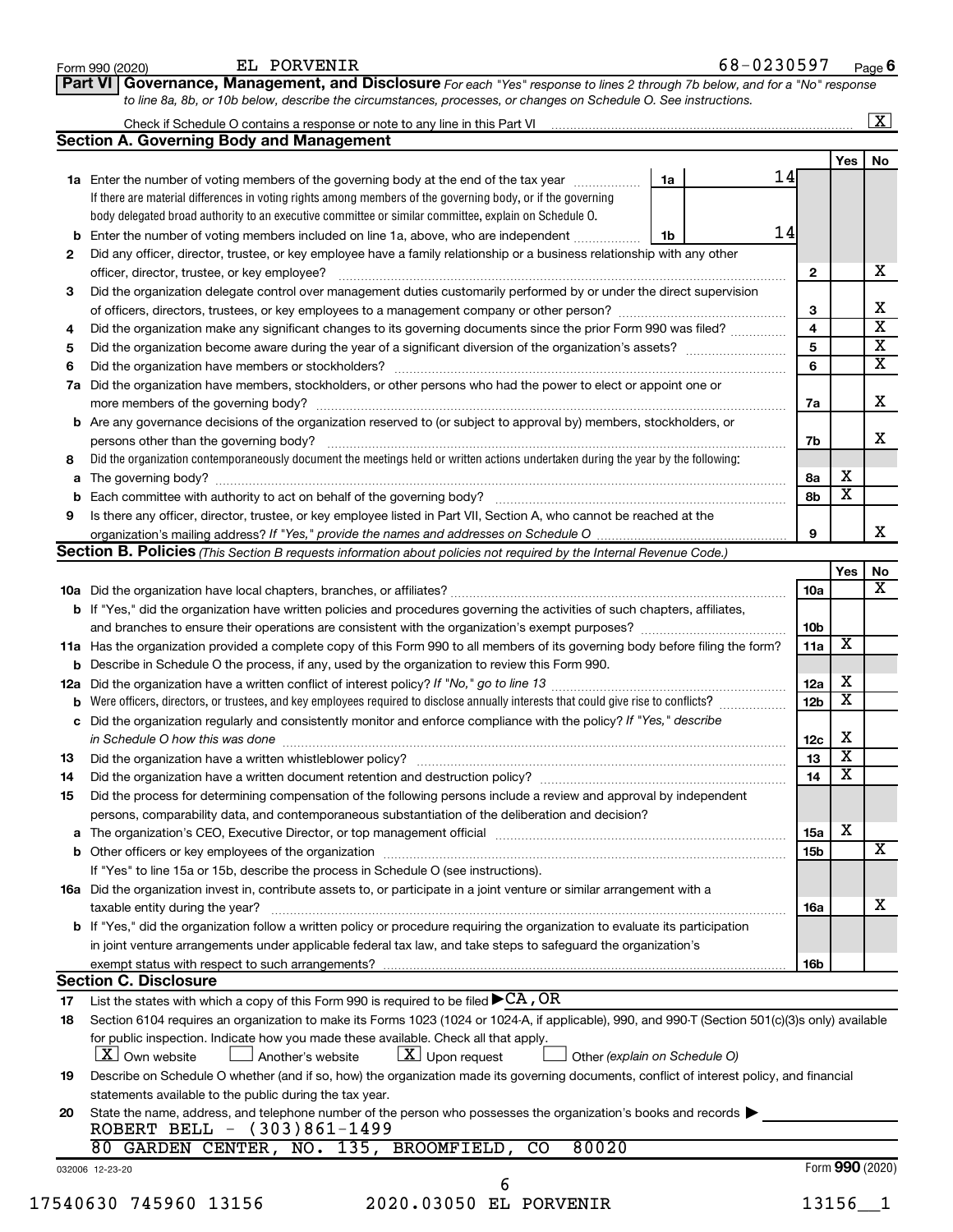|    | EL PORVENIR<br>Form 990 (2020)                                                                                                                                              |    | 68-0230597 |                 |                 | Page 6                  |
|----|-----------------------------------------------------------------------------------------------------------------------------------------------------------------------------|----|------------|-----------------|-----------------|-------------------------|
|    | Governance, Management, and Disclosure For each "Yes" response to lines 2 through 7b below, and for a "No" response<br>Part VI                                              |    |            |                 |                 |                         |
|    | to line 8a, 8b, or 10b below, describe the circumstances, processes, or changes on Schedule O. See instructions.                                                            |    |            |                 |                 |                         |
|    |                                                                                                                                                                             |    |            |                 |                 | $\boxed{\textbf{X}}$    |
|    | <b>Section A. Governing Body and Management</b>                                                                                                                             |    |            |                 |                 |                         |
|    |                                                                                                                                                                             |    | 14         |                 | Yes             | No                      |
|    | 1a Enter the number of voting members of the governing body at the end of the tax year                                                                                      | 1a |            |                 |                 |                         |
|    | If there are material differences in voting rights among members of the governing body, or if the governing                                                                 |    |            |                 |                 |                         |
|    | body delegated broad authority to an executive committee or similar committee, explain on Schedule O.                                                                       |    | 14         |                 |                 |                         |
|    | <b>b</b> Enter the number of voting members included on line 1a, above, who are independent                                                                                 | 1b |            |                 |                 |                         |
| 2  | Did any officer, director, trustee, or key employee have a family relationship or a business relationship with any other                                                    |    |            |                 |                 | х                       |
|    | Did the organization delegate control over management duties customarily performed by or under the direct supervision                                                       |    |            | 2               |                 |                         |
| 3  |                                                                                                                                                                             |    |            | 3               |                 | Х                       |
| 4  | Did the organization make any significant changes to its governing documents since the prior Form 990 was filed?                                                            |    |            | 4               |                 | $\overline{\text{x}}$   |
| 5  |                                                                                                                                                                             |    |            | 5               |                 | $\overline{\mathbf{x}}$ |
| 6  |                                                                                                                                                                             |    |            | 6               |                 | $\overline{\mathbf{x}}$ |
|    | 7a Did the organization have members, stockholders, or other persons who had the power to elect or appoint one or                                                           |    |            |                 |                 |                         |
|    |                                                                                                                                                                             |    |            |                 |                 | X                       |
|    |                                                                                                                                                                             |    |            | 7a              |                 |                         |
|    | <b>b</b> Are any governance decisions of the organization reserved to (or subject to approval by) members, stockholders, or                                                 |    |            |                 |                 | х                       |
|    | persons other than the governing body?<br>Did the organization contemporaneously document the meetings held or written actions undertaken during the year by the following: |    |            | 7b              |                 |                         |
| 8  |                                                                                                                                                                             |    |            | 8a              | х               |                         |
|    |                                                                                                                                                                             |    |            | 8b              | X               |                         |
| 9  | Is there any officer, director, trustee, or key employee listed in Part VII, Section A, who cannot be reached at the                                                        |    |            |                 |                 |                         |
|    |                                                                                                                                                                             |    |            | 9               |                 | x                       |
|    | <b>Section B. Policies</b> (This Section B requests information about policies not required by the Internal Revenue Code.)                                                  |    |            |                 |                 |                         |
|    |                                                                                                                                                                             |    |            |                 | Yes             | No                      |
|    |                                                                                                                                                                             |    |            | 10a             |                 | х                       |
|    | b If "Yes," did the organization have written policies and procedures governing the activities of such chapters, affiliates,                                                |    |            |                 |                 |                         |
|    |                                                                                                                                                                             |    |            | 10b             |                 |                         |
|    | 11a Has the organization provided a complete copy of this Form 990 to all members of its governing body before filing the form?                                             |    |            | 11a             | X               |                         |
|    | <b>b</b> Describe in Schedule O the process, if any, used by the organization to review this Form 990.                                                                      |    |            |                 |                 |                         |
|    |                                                                                                                                                                             |    |            | 12a             | х               |                         |
|    |                                                                                                                                                                             |    |            | 12 <sub>b</sub> | X               |                         |
|    | c Did the organization regularly and consistently monitor and enforce compliance with the policy? If "Yes," describe                                                        |    |            |                 |                 |                         |
|    | in Schedule O how this was done manufactured and continuum and contact the was done manufactured and contact t                                                              |    |            | 12c             | х               |                         |
| 13 | Did the organization have a written whistleblower policy?                                                                                                                   |    |            | 13              | X.              |                         |
| 14 |                                                                                                                                                                             |    |            | 14              | X               |                         |
| 15 | Did the process for determining compensation of the following persons include a review and approval by independent                                                          |    |            |                 |                 |                         |
|    | persons, comparability data, and contemporaneous substantiation of the deliberation and decision?                                                                           |    |            |                 |                 |                         |
|    |                                                                                                                                                                             |    |            | 15a             | X               |                         |
|    |                                                                                                                                                                             |    |            | 15b             |                 | X                       |
|    | If "Yes" to line 15a or 15b, describe the process in Schedule O (see instructions).                                                                                         |    |            |                 |                 |                         |
|    | 16a Did the organization invest in, contribute assets to, or participate in a joint venture or similar arrangement with a                                                   |    |            |                 |                 |                         |
|    | taxable entity during the year?                                                                                                                                             |    |            | 16a             |                 | x                       |
|    | b If "Yes," did the organization follow a written policy or procedure requiring the organization to evaluate its participation                                              |    |            |                 |                 |                         |
|    | in joint venture arrangements under applicable federal tax law, and take steps to safeguard the organization's                                                              |    |            |                 |                 |                         |
|    |                                                                                                                                                                             |    |            | 16b             |                 |                         |
|    | <b>Section C. Disclosure</b>                                                                                                                                                |    |            |                 |                 |                         |
| 17 | List the states with which a copy of this Form 990 is required to be filed $\blacktriangleright$ CA, OR                                                                     |    |            |                 |                 |                         |
| 18 | Section 6104 requires an organization to make its Forms 1023 (1024 or 1024-A, if applicable), 990, and 990-T (Section 501(c)(3)s only) available                            |    |            |                 |                 |                         |
|    | for public inspection. Indicate how you made these available. Check all that apply.                                                                                         |    |            |                 |                 |                         |
|    | $ \mathbf{X} $ Own website<br>$ \underline{X} $ Upon request<br>Another's website<br>Other (explain on Schedule O)                                                          |    |            |                 |                 |                         |
| 19 | Describe on Schedule O whether (and if so, how) the organization made its governing documents, conflict of interest policy, and financial                                   |    |            |                 |                 |                         |
|    | statements available to the public during the tax year.                                                                                                                     |    |            |                 |                 |                         |
| 20 | State the name, address, and telephone number of the person who possesses the organization's books and records                                                              |    |            |                 |                 |                         |
|    | ROBERT BELL $ (303)861-1499$                                                                                                                                                |    |            |                 |                 |                         |
|    | 80020<br>GARDEN CENTER, NO. 135, BROOMFIELD,<br>80<br>CO                                                                                                                    |    |            |                 |                 |                         |
|    | 032006 12-23-20                                                                                                                                                             |    |            |                 | Form 990 (2020) |                         |
|    |                                                                                                                                                                             |    |            |                 |                 |                         |
|    | 17540630 745960 13156<br>2020.03050 EL PORVENIR                                                                                                                             |    |            |                 | 13156           |                         |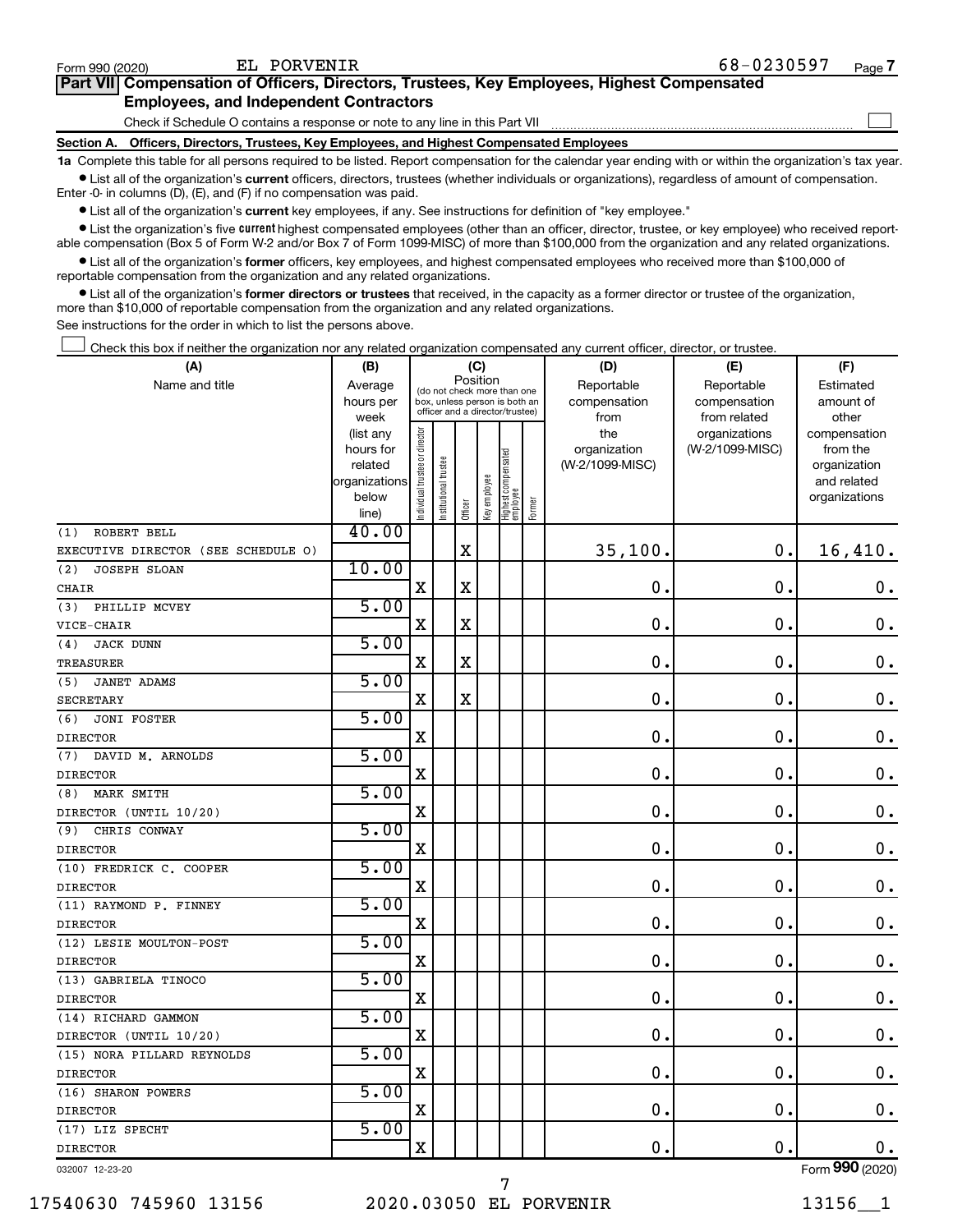$\Box$ 

| Part VII Compensation of Officers, Directors, Trustees, Key Employees, Highest Compensated |
|--------------------------------------------------------------------------------------------|
| <b>Employees, and Independent Contractors</b>                                              |

Check if Schedule O contains a response or note to any line in this Part VII

**Section A. Officers, Directors, Trustees, Key Employees, and Highest Compensated Employees**

**1a**  Complete this table for all persons required to be listed. Report compensation for the calendar year ending with or within the organization's tax year.  $\bullet$  List all of the organization's current officers, directors, trustees (whether individuals or organizations), regardless of amount of compensation.

Enter -0- in columns (D), (E), and (F) if no compensation was paid.

**•** List all of the organization's current key employees, if any. See instructions for definition of "key employee."

• List the organization's five *current* highest compensated employees (other than an officer, director, trustee, or key employee) who received reportable compensation (Box 5 of Form W-2 and/or Box 7 of Form 1099-MISC) of more than \$100,000 from the organization and any related organizations.

 $\bullet$  List all of the organization's former officers, key employees, and highest compensated employees who received more than \$100,000 of reportable compensation from the organization and any related organizations.

**•** List all of the organization's former directors or trustees that received, in the capacity as a former director or trustee of the organization, more than \$10,000 of reportable compensation from the organization and any related organizations.

See instructions for the order in which to list the persons above.

Check this box if neither the organization nor any related organization compensated any current officer, director, or trustee.  $\Box$ 

| (A)                                 | (B)                    |                               |                                                                  | (C)         |              |                                   |        | (D)                 | (E)                                                                                                                                                                               | (F)                      |
|-------------------------------------|------------------------|-------------------------------|------------------------------------------------------------------|-------------|--------------|-----------------------------------|--------|---------------------|-----------------------------------------------------------------------------------------------------------------------------------------------------------------------------------|--------------------------|
| Name and title                      | Average                |                               | (do not check more than one                                      |             | Position     |                                   |        | Reportable          | Reportable                                                                                                                                                                        | Estimated                |
|                                     | hours per              |                               | box, unless person is both an<br>officer and a director/trustee) |             |              |                                   |        | compensation        | compensation                                                                                                                                                                      | amount of                |
|                                     | week                   |                               |                                                                  |             |              |                                   |        | from                | from related<br>organizations<br>(W-2/1099-MISC)<br>0.<br>$\mathbf 0$ .<br>0.<br>$\mathbf 0$ .<br>$\mathbf 0$ .<br>$\mathbf 0$ .<br>$\mathbf 0$<br>$\mathbf 0$ .<br>$\mathbf 0$ . | other                    |
|                                     | (list any<br>hours for | ndividual trustee or director |                                                                  |             |              |                                   |        | the<br>organization |                                                                                                                                                                                   | compensation<br>from the |
|                                     | related                |                               |                                                                  |             |              |                                   |        | (W-2/1099-MISC)     |                                                                                                                                                                                   | organization             |
|                                     | organizations          |                               |                                                                  |             |              |                                   |        |                     |                                                                                                                                                                                   | and related              |
|                                     | below                  |                               | nstitutional trustee                                             |             | Key employee |                                   |        |                     |                                                                                                                                                                                   | organizations            |
|                                     | line)                  |                               |                                                                  | Officer     |              | Highest compensated<br>  employee | Former |                     |                                                                                                                                                                                   |                          |
| ROBERT BELL<br>(1)                  | 40.00                  |                               |                                                                  |             |              |                                   |        |                     |                                                                                                                                                                                   |                          |
| EXECUTIVE DIRECTOR (SEE SCHEDULE O) |                        |                               |                                                                  | $\rm X$     |              |                                   |        | 35,100.             |                                                                                                                                                                                   | 16,410.                  |
| (2)<br><b>JOSEPH SLOAN</b>          | 10.00                  |                               |                                                                  |             |              |                                   |        |                     |                                                                                                                                                                                   |                          |
| CHAIR                               |                        | $\mathbf X$                   |                                                                  | $\mathbf X$ |              |                                   |        | $\mathbf 0$ .       |                                                                                                                                                                                   | 0.                       |
| (3)<br>PHILLIP MCVEY                | 5.00                   |                               |                                                                  |             |              |                                   |        |                     |                                                                                                                                                                                   |                          |
| VICE-CHAIR                          |                        | X                             |                                                                  | X           |              |                                   |        | $\mathbf 0$         |                                                                                                                                                                                   | 0.                       |
| <b>JACK DUNN</b><br>(4)             | 5.00                   |                               |                                                                  |             |              |                                   |        |                     |                                                                                                                                                                                   |                          |
| TREASURER                           |                        | X                             |                                                                  | $\mathbf X$ |              |                                   |        | $\mathbf 0$ .       |                                                                                                                                                                                   | $\mathbf 0$ .            |
| (5)<br><b>JANET ADAMS</b>           | 5.00                   |                               |                                                                  |             |              |                                   |        |                     |                                                                                                                                                                                   |                          |
| <b>SECRETARY</b>                    |                        | X                             |                                                                  | $\mathbf X$ |              |                                   |        | 0                   |                                                                                                                                                                                   | $\mathbf 0$ .            |
| <b>JONI FOSTER</b><br>(6)           | 5.00                   |                               |                                                                  |             |              |                                   |        |                     |                                                                                                                                                                                   |                          |
| <b>DIRECTOR</b>                     |                        | X                             |                                                                  |             |              |                                   |        | 0                   |                                                                                                                                                                                   | 0.                       |
| (7)<br>DAVID M. ARNOLDS             | 5.00                   |                               |                                                                  |             |              |                                   |        |                     |                                                                                                                                                                                   |                          |
| <b>DIRECTOR</b>                     |                        | X                             |                                                                  |             |              |                                   |        | $\mathbf 0$         |                                                                                                                                                                                   | $\mathbf 0$ .            |
| MARK SMITH<br>(8)                   | 5.00                   |                               |                                                                  |             |              |                                   |        |                     |                                                                                                                                                                                   |                          |
| DIRECTOR (UNTIL 10/20)              |                        | X                             |                                                                  |             |              |                                   |        | 0                   |                                                                                                                                                                                   | 0.                       |
| CHRIS CONWAY<br>(9)                 | 5.00                   |                               |                                                                  |             |              |                                   |        |                     |                                                                                                                                                                                   |                          |
| <b>DIRECTOR</b>                     |                        | $\mathbf X$                   |                                                                  |             |              |                                   |        | $\mathbf 0$ .       |                                                                                                                                                                                   | $\mathbf 0$ .            |
| (10) FREDRICK C. COOPER             | 5.00                   |                               |                                                                  |             |              |                                   |        |                     |                                                                                                                                                                                   |                          |
| <b>DIRECTOR</b>                     |                        | X                             |                                                                  |             |              |                                   |        | $\mathbf 0$         | $\mathbf 0$ .                                                                                                                                                                     | $\mathbf 0$ .            |
| (11) RAYMOND P. FINNEY              | 5.00                   |                               |                                                                  |             |              |                                   |        |                     |                                                                                                                                                                                   |                          |
| <b>DIRECTOR</b>                     |                        | $\mathbf X$                   |                                                                  |             |              |                                   |        | 0                   | $\mathbf 0$                                                                                                                                                                       | $\mathbf 0$ .            |
| (12) LESIE MOULTON-POST             | 5.00                   |                               |                                                                  |             |              |                                   |        |                     |                                                                                                                                                                                   |                          |
| <b>DIRECTOR</b>                     |                        | $\mathbf X$                   |                                                                  |             |              |                                   |        | 0                   | $\mathbf 0$ .                                                                                                                                                                     | 0.                       |
| (13) GABRIELA TINOCO                | 5.00                   |                               |                                                                  |             |              |                                   |        |                     |                                                                                                                                                                                   |                          |
| <b>DIRECTOR</b>                     |                        | X                             |                                                                  |             |              |                                   |        | $\mathbf 0$ .       | $\mathbf 0$ .                                                                                                                                                                     | 0.                       |
| (14) RICHARD GAMMON                 | 5.00                   |                               |                                                                  |             |              |                                   |        |                     |                                                                                                                                                                                   |                          |
| DIRECTOR (UNTIL 10/20)              |                        | $\mathbf X$                   |                                                                  |             |              |                                   |        | $\mathbf 0$ .       | $\mathbf 0$ .                                                                                                                                                                     | $\mathbf 0$ .            |
| (15) NORA PILLARD REYNOLDS          | 5.00                   |                               |                                                                  |             |              |                                   |        |                     |                                                                                                                                                                                   |                          |
| <b>DIRECTOR</b>                     |                        | X                             |                                                                  |             |              |                                   |        | 0                   | $\mathbf 0$                                                                                                                                                                       | $\boldsymbol{0}$ .       |
| (16) SHARON POWERS                  | 5.00                   |                               |                                                                  |             |              |                                   |        |                     |                                                                                                                                                                                   |                          |
| <b>DIRECTOR</b>                     |                        | X                             |                                                                  |             |              |                                   |        | $\mathbf 0$         | $\mathbf 0$ .                                                                                                                                                                     | $0$ .                    |
| (17) LIZ SPECHT                     | 5.00                   |                               |                                                                  |             |              |                                   |        |                     |                                                                                                                                                                                   |                          |
| <b>DIRECTOR</b>                     |                        | $\mathbf X$                   |                                                                  |             |              |                                   |        | $\mathbf 0$ .       | $\mathbf 0$ .                                                                                                                                                                     | 0.                       |
| 032007 12-23-20                     |                        |                               |                                                                  |             |              |                                   |        |                     |                                                                                                                                                                                   | Form 990 (2020)          |

7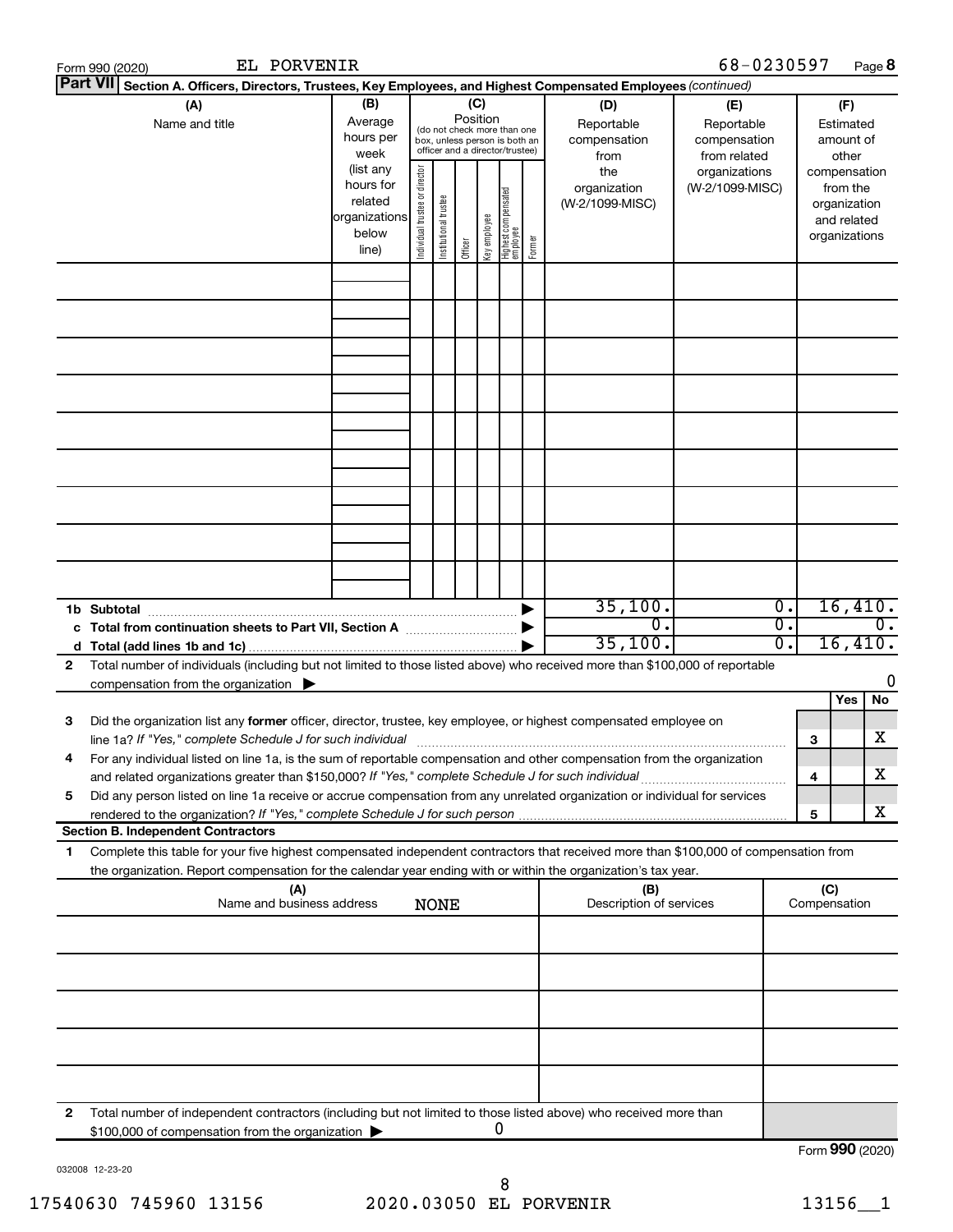|    | EL PORVENIR<br>Form 990 (2020)                                                                                                                                                                                                      |                                                                      |                                                                                                                                                                 |                       |         |              |                                   |                                                   |                                        | 68-0230597                       |                                        |              | Page 8                                                                   |
|----|-------------------------------------------------------------------------------------------------------------------------------------------------------------------------------------------------------------------------------------|----------------------------------------------------------------------|-----------------------------------------------------------------------------------------------------------------------------------------------------------------|-----------------------|---------|--------------|-----------------------------------|---------------------------------------------------|----------------------------------------|----------------------------------|----------------------------------------|--------------|--------------------------------------------------------------------------|
|    | <b>Part VII</b><br>Section A. Officers, Directors, Trustees, Key Employees, and Highest Compensated Employees (continued)                                                                                                           |                                                                      |                                                                                                                                                                 |                       |         |              |                                   |                                                   |                                        |                                  |                                        |              |                                                                          |
|    | (A)<br>Name and title                                                                                                                                                                                                               | (B)<br>Average<br>hours per<br>week                                  | (C)<br>(D)<br>Position<br>Reportable<br>(do not check more than one<br>compensation<br>box, unless person is both an<br>officer and a director/trustee)<br>from |                       |         |              |                                   | (E)<br>Reportable<br>compensation<br>from related |                                        |                                  | (F)<br>Estimated<br>amount of<br>other |              |                                                                          |
|    |                                                                                                                                                                                                                                     | (list any<br>hours for<br>related<br>organizations<br>below<br>line) | Individual trustee or director                                                                                                                                  | Institutional trustee | Officer | Key employee | Highest compensated<br>  employee | Former                                            | the<br>organization<br>(W-2/1099-MISC) | organizations<br>(W-2/1099-MISC) |                                        |              | compensation<br>from the<br>organization<br>and related<br>organizations |
|    |                                                                                                                                                                                                                                     |                                                                      |                                                                                                                                                                 |                       |         |              |                                   |                                                   |                                        |                                  |                                        |              |                                                                          |
|    |                                                                                                                                                                                                                                     |                                                                      |                                                                                                                                                                 |                       |         |              |                                   |                                                   |                                        |                                  |                                        |              |                                                                          |
|    |                                                                                                                                                                                                                                     |                                                                      |                                                                                                                                                                 |                       |         |              |                                   |                                                   |                                        |                                  |                                        |              |                                                                          |
|    |                                                                                                                                                                                                                                     |                                                                      |                                                                                                                                                                 |                       |         |              |                                   |                                                   |                                        |                                  |                                        |              |                                                                          |
|    | 1b Subtotal                                                                                                                                                                                                                         |                                                                      |                                                                                                                                                                 |                       |         |              |                                   |                                                   | 35,100.                                |                                  | $\overline{0}$ .                       |              | 16,410.                                                                  |
| 2  | c Total from continuation sheets to Part VII, Section A manufactured by<br>Total number of individuals (including but not limited to those listed above) who received more than \$100,000 of reportable                             |                                                                      |                                                                                                                                                                 |                       |         |              |                                   |                                                   | $\overline{0}$ .<br>35,100.            |                                  | σ.<br>0.                               |              | $\overline{0}$ .<br>16,410.                                              |
|    | compensation from the organization $\blacktriangleright$                                                                                                                                                                            |                                                                      |                                                                                                                                                                 |                       |         |              |                                   |                                                   |                                        |                                  |                                        |              | 0<br>Yes<br>No                                                           |
| 3  | Did the organization list any former officer, director, trustee, key employee, or highest compensated employee on<br>line 1a? If "Yes," complete Schedule J for such individual manufactured content to the set of the set of the s |                                                                      |                                                                                                                                                                 |                       |         |              |                                   |                                                   |                                        |                                  |                                        | 3            | х                                                                        |
|    | For any individual listed on line 1a, is the sum of reportable compensation and other compensation from the organization<br>and related organizations greater than \$150,000? If "Yes," complete Schedule J for such individual     |                                                                      |                                                                                                                                                                 |                       |         |              |                                   |                                                   |                                        |                                  |                                        | 4            | х                                                                        |
| 5  | Did any person listed on line 1a receive or accrue compensation from any unrelated organization or individual for services<br><b>Section B. Independent Contractors</b>                                                             |                                                                      |                                                                                                                                                                 |                       |         |              |                                   |                                                   |                                        |                                  |                                        | 5            | х                                                                        |
| 1. | Complete this table for your five highest compensated independent contractors that received more than \$100,000 of compensation from                                                                                                |                                                                      |                                                                                                                                                                 |                       |         |              |                                   |                                                   |                                        |                                  |                                        |              |                                                                          |
|    | the organization. Report compensation for the calendar year ending with or within the organization's tax year.<br>(A)                                                                                                               |                                                                      |                                                                                                                                                                 |                       |         |              |                                   |                                                   | (B)                                    |                                  |                                        | (C)          |                                                                          |
|    | Name and business address                                                                                                                                                                                                           |                                                                      |                                                                                                                                                                 | <b>NONE</b>           |         |              |                                   |                                                   | Description of services                |                                  |                                        | Compensation |                                                                          |
|    |                                                                                                                                                                                                                                     |                                                                      |                                                                                                                                                                 |                       |         |              |                                   |                                                   |                                        |                                  |                                        |              |                                                                          |
|    |                                                                                                                                                                                                                                     |                                                                      |                                                                                                                                                                 |                       |         |              |                                   |                                                   |                                        |                                  |                                        |              |                                                                          |
|    |                                                                                                                                                                                                                                     |                                                                      |                                                                                                                                                                 |                       |         |              |                                   |                                                   |                                        |                                  |                                        |              |                                                                          |
| 2  | Total number of independent contractors (including but not limited to those listed above) who received more than                                                                                                                    |                                                                      |                                                                                                                                                                 |                       |         |              |                                   |                                                   |                                        |                                  |                                        |              |                                                                          |
|    | \$100,000 of compensation from the organization                                                                                                                                                                                     |                                                                      |                                                                                                                                                                 |                       |         |              | 0                                 |                                                   |                                        |                                  |                                        |              | Form 990 (2020)                                                          |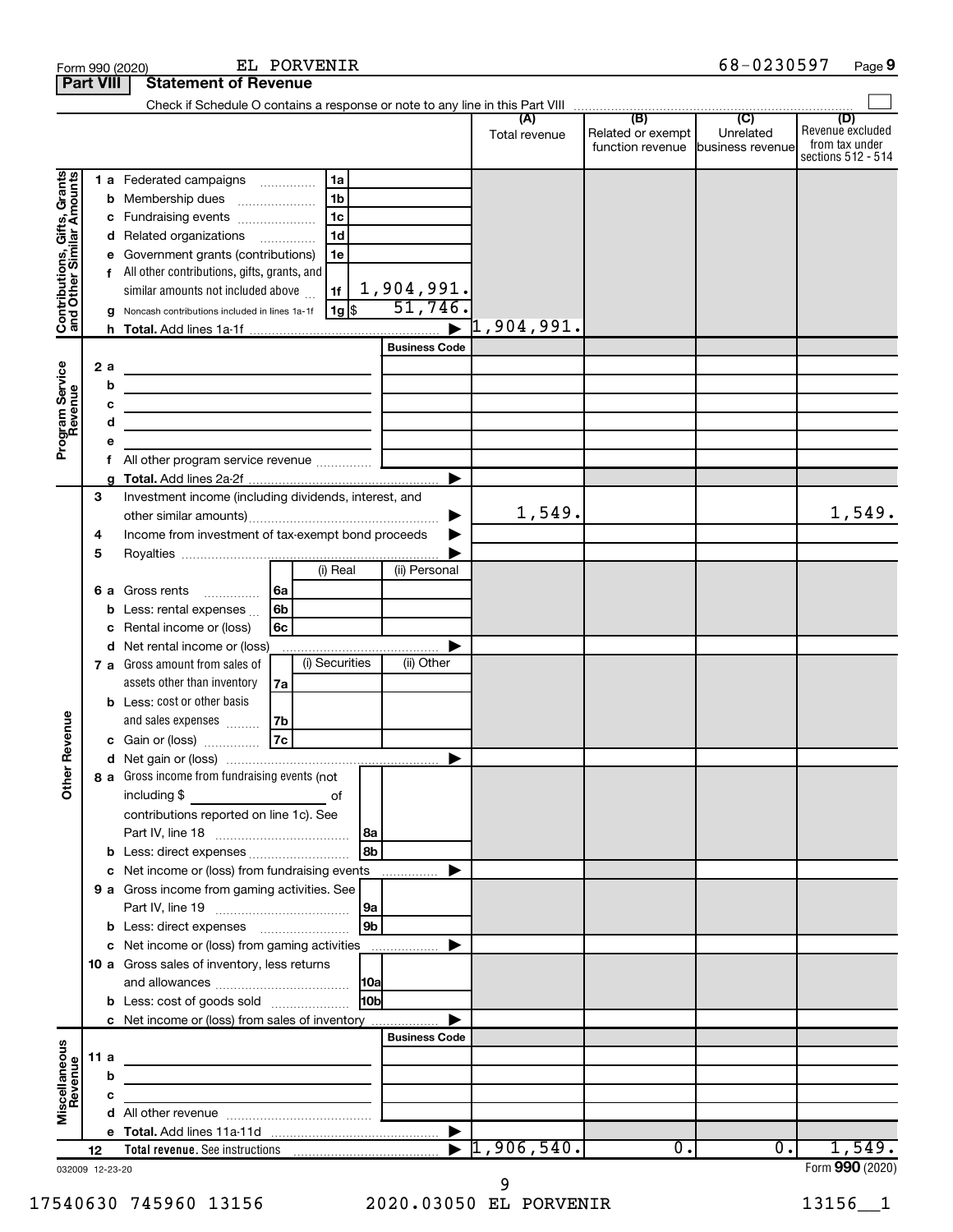|                                                           |                  |      | EL PORVENIR<br>Form 990 (2020)                                                                                       |                |                       |                      |                                   | 68-0230597                  |                         | Page 9 |
|-----------------------------------------------------------|------------------|------|----------------------------------------------------------------------------------------------------------------------|----------------|-----------------------|----------------------|-----------------------------------|-----------------------------|-------------------------|--------|
|                                                           | <b>Part VIII</b> |      | <b>Statement of Revenue</b>                                                                                          |                |                       |                      |                                   |                             |                         |        |
|                                                           |                  |      |                                                                                                                      |                |                       |                      |                                   |                             |                         |        |
|                                                           |                  |      |                                                                                                                      |                |                       | (A)<br>Total revenue | (B)<br>Related or exempt          | $\overline{C}$<br>Unrelated | (D)<br>Revenue excluded |        |
|                                                           |                  |      |                                                                                                                      |                |                       |                      | function revenue business revenue |                             | from tax under          |        |
|                                                           |                  |      |                                                                                                                      |                |                       |                      |                                   |                             | sections 512 - 514      |        |
| Contributions, Gifts, Grants<br>and Other Similar Amounts |                  |      | 1 a Federated campaigns<br>1a                                                                                        |                |                       |                      |                                   |                             |                         |        |
|                                                           |                  |      | 1 <sub>b</sub><br><b>b</b> Membership dues<br>$\ldots \ldots \ldots \ldots \ldots$                                   |                |                       |                      |                                   |                             |                         |        |
|                                                           |                  |      | 1 <sub>c</sub><br>c Fundraising events                                                                               |                |                       |                      |                                   |                             |                         |        |
|                                                           |                  |      | 1 <sub>d</sub><br>d Related organizations                                                                            |                |                       |                      |                                   |                             |                         |        |
|                                                           |                  |      | e Government grants (contributions)<br>1e                                                                            |                |                       |                      |                                   |                             |                         |        |
|                                                           |                  |      | f All other contributions, gifts, grants, and                                                                        |                |                       |                      |                                   |                             |                         |        |
|                                                           |                  |      | similar amounts not included above<br>1f                                                                             |                | <u>1,904,991.</u>     |                      |                                   |                             |                         |        |
|                                                           |                  |      | $1g$ \$<br>Noncash contributions included in lines 1a-1f                                                             |                | 51,746.               |                      |                                   |                             |                         |        |
|                                                           |                  |      |                                                                                                                      |                |                       | $\rceil$ 1,904,991.  |                                   |                             |                         |        |
|                                                           |                  |      |                                                                                                                      |                | <b>Business Code</b>  |                      |                                   |                             |                         |        |
|                                                           |                  | 2 a  | the control of the control of the control of the control of the control of                                           |                |                       |                      |                                   |                             |                         |        |
|                                                           |                  | b    | <u> 1980 - Johann John Stein, markin fizik eta idazlearia (h. 1980).</u>                                             |                |                       |                      |                                   |                             |                         |        |
|                                                           |                  | с    | <u> 1989 - Johann Barbara, martxa alemaniar a</u>                                                                    |                |                       |                      |                                   |                             |                         |        |
|                                                           |                  | d    | the contract of the contract of the contract of the contract of                                                      |                |                       |                      |                                   |                             |                         |        |
| Program Service<br>Revenue                                |                  |      |                                                                                                                      |                |                       |                      |                                   |                             |                         |        |
|                                                           |                  | f.   |                                                                                                                      |                |                       |                      |                                   |                             |                         |        |
|                                                           |                  |      |                                                                                                                      |                | ▶                     |                      |                                   |                             |                         |        |
|                                                           | 3                |      | Investment income (including dividends, interest, and                                                                |                |                       |                      |                                   |                             |                         |        |
|                                                           |                  |      |                                                                                                                      |                |                       | 1,549.               |                                   |                             | 1,549.                  |        |
|                                                           | 4                |      | Income from investment of tax-exempt bond proceeds                                                                   |                |                       |                      |                                   |                             |                         |        |
|                                                           | 5                |      |                                                                                                                      |                |                       |                      |                                   |                             |                         |        |
|                                                           |                  |      | (i) Real                                                                                                             |                | (ii) Personal         |                      |                                   |                             |                         |        |
|                                                           |                  |      | l 6a<br>6 a Gross rents<br>$\ldots \ldots \ldots$                                                                    |                |                       |                      |                                   |                             |                         |        |
|                                                           |                  | b    | Less: rental expenses<br>l 6b                                                                                        |                |                       |                      |                                   |                             |                         |        |
|                                                           |                  | c    | Rental income or (loss)<br>l 6c                                                                                      |                |                       |                      |                                   |                             |                         |        |
|                                                           |                  |      | d Net rental income or (loss)                                                                                        |                |                       |                      |                                   |                             |                         |        |
|                                                           |                  |      | (i) Securities<br>7 a Gross amount from sales of                                                                     |                | (ii) Other            |                      |                                   |                             |                         |        |
|                                                           |                  |      | assets other than inventory<br>7a                                                                                    |                |                       |                      |                                   |                             |                         |        |
|                                                           |                  |      | <b>b</b> Less: cost or other basis                                                                                   |                |                       |                      |                                   |                             |                         |        |
|                                                           |                  |      | and sales expenses<br>l 7b                                                                                           |                |                       |                      |                                   |                             |                         |        |
| venue                                                     |                  |      | 7c<br>c Gain or (loss)                                                                                               |                |                       |                      |                                   |                             |                         |        |
| č                                                         |                  |      |                                                                                                                      |                |                       |                      |                                   |                             |                         |        |
| Other                                                     |                  |      | 8 a Gross income from fundraising events (not                                                                        |                |                       |                      |                                   |                             |                         |        |
|                                                           |                  |      |                                                                                                                      |                |                       |                      |                                   |                             |                         |        |
|                                                           |                  |      | contributions reported on line 1c). See                                                                              |                |                       |                      |                                   |                             |                         |        |
|                                                           |                  |      |                                                                                                                      | 8a             |                       |                      |                                   |                             |                         |        |
|                                                           |                  |      |                                                                                                                      | 8b             |                       |                      |                                   |                             |                         |        |
|                                                           |                  |      | c Net income or (loss) from fundraising events                                                                       |                | .                     |                      |                                   |                             |                         |        |
|                                                           |                  |      | 9 a Gross income from gaming activities. See                                                                         |                |                       |                      |                                   |                             |                         |        |
|                                                           |                  |      |                                                                                                                      | 9a             |                       |                      |                                   |                             |                         |        |
|                                                           |                  |      |                                                                                                                      | 9 <sub>b</sub> |                       |                      |                                   |                             |                         |        |
|                                                           |                  |      | c Net income or (loss) from gaming activities                                                                        |                |                       |                      |                                   |                             |                         |        |
|                                                           |                  |      | 10 a Gross sales of inventory, less returns                                                                          |                |                       |                      |                                   |                             |                         |        |
|                                                           |                  |      |                                                                                                                      | 10a            |                       |                      |                                   |                             |                         |        |
|                                                           |                  |      | <b>b</b> Less: cost of goods sold                                                                                    | 10bl           |                       |                      |                                   |                             |                         |        |
|                                                           |                  |      | c Net income or (loss) from sales of inventory                                                                       |                |                       |                      |                                   |                             |                         |        |
|                                                           |                  |      |                                                                                                                      |                | <b>Business Code</b>  |                      |                                   |                             |                         |        |
| Miscellaneous<br>Revenue                                  |                  | 11 a |                                                                                                                      |                |                       |                      |                                   |                             |                         |        |
|                                                           |                  | b    | the control of the control of the control of the control of the control of                                           |                |                       |                      |                                   |                             |                         |        |
|                                                           |                  | с    | <u> 1989 - Johann John Stein, markin fan it ferstjer fan de ferstjer fan it ferstjer fan it ferstjer fan it fers</u> |                |                       |                      |                                   |                             |                         |        |
|                                                           |                  |      | <u> 1989 - Johann John Stein, markin fan it ferstjer fan it ferstjer fan it ferstjer fan it ferstjer fan it fers</u> |                |                       |                      |                                   |                             |                         |        |
|                                                           |                  |      |                                                                                                                      |                |                       |                      |                                   |                             |                         |        |
|                                                           | 12               |      |                                                                                                                      |                | $\blacktriangleright$ | 1,906,540.           | $\overline{0}$ .                  | $\overline{0}$ .            | 1,549.                  |        |
| 032009 12-23-20                                           |                  |      |                                                                                                                      |                |                       |                      |                                   |                             | Form 990 (2020)         |        |

<sup>032009 12-23-20</sup>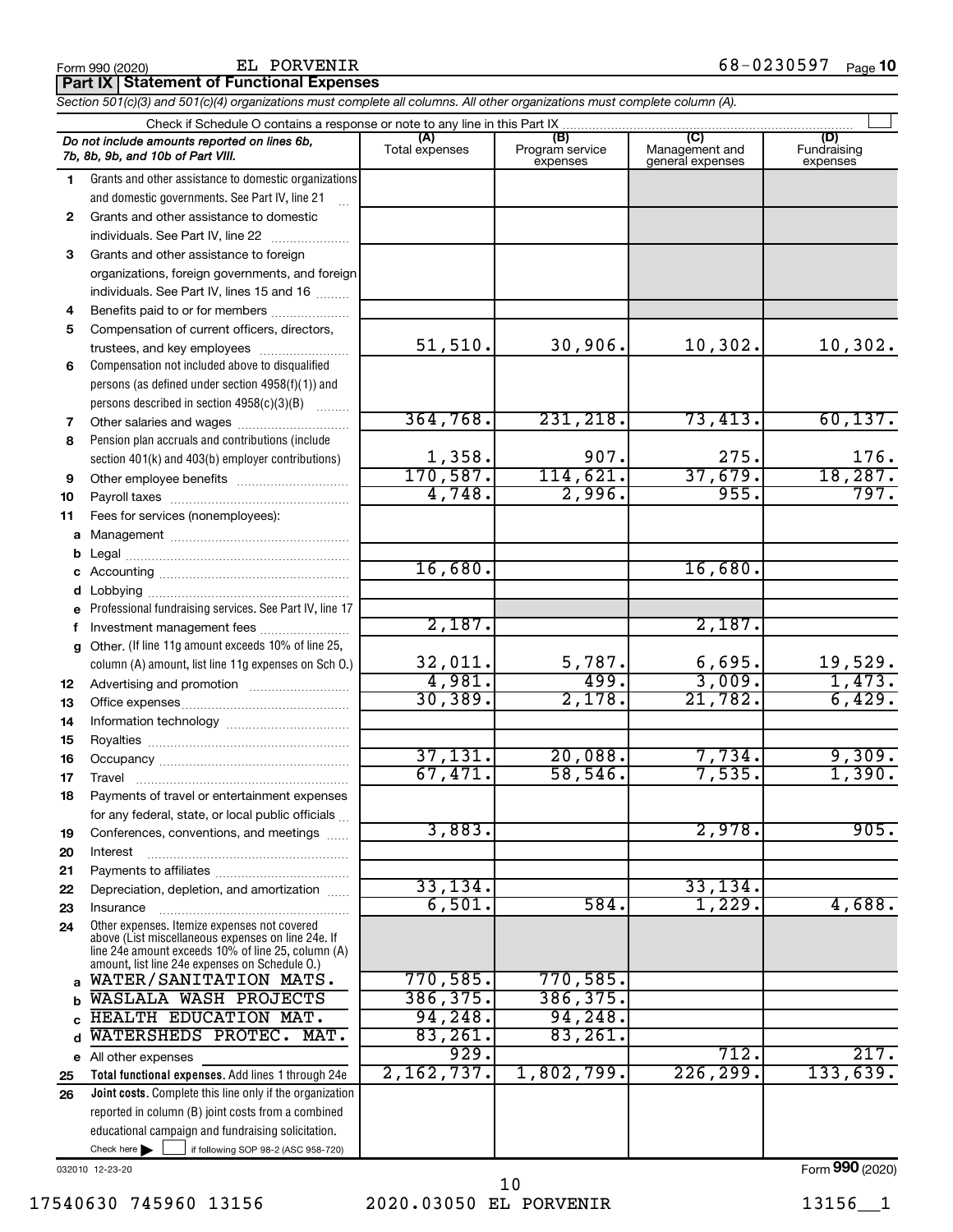# EL PORVENIR

**Part IX Statement of Functional Expenses**

*Section 501(c)(3) and 501(c)(4) organizations must complete all columns. All other organizations must complete column (A).*

|              | Check if Schedule O contains a response or note to any line in this Part IX                          |                         |                                    |                                    |                                |
|--------------|------------------------------------------------------------------------------------------------------|-------------------------|------------------------------------|------------------------------------|--------------------------------|
|              | Do not include amounts reported on lines 6b,<br>7b, 8b, 9b, and 10b of Part VIII.                    | Total expenses          | (B)<br>Program service<br>expenses | Management and<br>general expenses | (D)<br>Fundraising<br>expenses |
| 1.           | Grants and other assistance to domestic organizations                                                |                         |                                    |                                    |                                |
|              | and domestic governments. See Part IV, line 21                                                       |                         |                                    |                                    |                                |
| $\mathbf{2}$ | Grants and other assistance to domestic                                                              |                         |                                    |                                    |                                |
|              | individuals. See Part IV, line 22                                                                    |                         |                                    |                                    |                                |
| 3            | Grants and other assistance to foreign                                                               |                         |                                    |                                    |                                |
|              | organizations, foreign governments, and foreign                                                      |                         |                                    |                                    |                                |
|              | individuals. See Part IV, lines 15 and 16                                                            |                         |                                    |                                    |                                |
| 4            | Benefits paid to or for members                                                                      |                         |                                    |                                    |                                |
| 5            | Compensation of current officers, directors,                                                         |                         |                                    |                                    |                                |
|              | trustees, and key employees                                                                          | 51,510.                 | 30,906.                            | 10,302.                            | 10,302.                        |
| 6            | Compensation not included above to disqualified                                                      |                         |                                    |                                    |                                |
|              | persons (as defined under section 4958(f)(1)) and                                                    |                         |                                    |                                    |                                |
|              | persons described in section 4958(c)(3)(B)                                                           |                         |                                    |                                    |                                |
| 7            | Other salaries and wages                                                                             | 364,768.                | 231,218.                           | 73,413.                            | 60, 137.                       |
| 8            | Pension plan accruals and contributions (include                                                     |                         |                                    |                                    |                                |
|              | section 401(k) and 403(b) employer contributions)                                                    | $\frac{1,358}{170,587}$ | 907.<br>114,621.                   | 275.<br>37,679.                    | 176.<br>18, 287.               |
| 9            |                                                                                                      | 4,748.                  | 2,996.                             | 955.                               | 797.                           |
| 10           |                                                                                                      |                         |                                    |                                    |                                |
| 11           | Fees for services (nonemployees):                                                                    |                         |                                    |                                    |                                |
| a            |                                                                                                      |                         |                                    |                                    |                                |
| с            |                                                                                                      | 16,680.                 |                                    | 16,680.                            |                                |
| d            |                                                                                                      |                         |                                    |                                    |                                |
|              | Professional fundraising services. See Part IV, line 17                                              |                         |                                    |                                    |                                |
| f            | Investment management fees                                                                           | 2,187.                  |                                    | 2,187.                             |                                |
| g            | Other. (If line 11g amount exceeds 10% of line 25,                                                   |                         |                                    |                                    |                                |
|              | column (A) amount, list line 11g expenses on Sch O.)                                                 | 32,011.                 | 5,787.                             | $\frac{6,695}{3,009}$              | 19,529.                        |
| 12           |                                                                                                      | 4,981.                  | 499.                               |                                    | 1,473.                         |
| 13           |                                                                                                      | 30, 389.                | 2,178.                             | 21,782.                            | 6,429.                         |
| 14           |                                                                                                      |                         |                                    |                                    |                                |
| 15           |                                                                                                      |                         |                                    |                                    |                                |
| 16           |                                                                                                      | 37,131.                 | 20,088.                            | 7,734.                             | 9,309.                         |
| 17           |                                                                                                      | 67,471.                 | 58,546.                            | 7,535.                             | 1,390.                         |
| 18           | Payments of travel or entertainment expenses                                                         |                         |                                    |                                    |                                |
|              | for any federal, state, or local public officials                                                    |                         |                                    |                                    |                                |
| 19           | Conferences, conventions, and meetings                                                               | 3,883.                  |                                    | 2,978.                             | 905.                           |
| 20           | Interest                                                                                             |                         |                                    |                                    |                                |
| 21           |                                                                                                      | 33,134.                 |                                    | 33,134.                            |                                |
| 22           | Depreciation, depletion, and amortization                                                            | 6,501.                  | 584.                               | 1,229.                             | 4,688.                         |
| 23           | Insurance<br>Other expenses. Itemize expenses not covered                                            |                         |                                    |                                    |                                |
| 24           | above (List miscellaneous expenses on line 24e. If                                                   |                         |                                    |                                    |                                |
|              | line 24e amount exceeds 10% of line 25, column (A)<br>amount, list line 24e expenses on Schedule O.) |                         |                                    |                                    |                                |
| a            | WATER/SANITATION MATS.                                                                               | 770,585.                | 770,585.                           |                                    |                                |
|              | WASLALA WASH PROJECTS                                                                                | 386, 375.               | 386, 375.                          |                                    |                                |
|              | HEALTH EDUCATION MAT.                                                                                | 94, 248.                | 94, 248.                           |                                    |                                |
|              | WATERSHEDS PROTEC. MAT.                                                                              | 83, 261.                | 83,261.                            |                                    |                                |
|              | e All other expenses                                                                                 | 929.                    |                                    | 712.                               | 217.                           |
| 25           | Total functional expenses. Add lines 1 through 24e                                                   | 2,162,737.              | 1,802,799.                         | 226, 299.                          | 133,639.                       |
| 26           | Joint costs. Complete this line only if the organization                                             |                         |                                    |                                    |                                |
|              | reported in column (B) joint costs from a combined                                                   |                         |                                    |                                    |                                |
|              | educational campaign and fundraising solicitation.                                                   |                         |                                    |                                    |                                |
|              | Check here $\blacktriangleright$<br>if following SOP 98-2 (ASC 958-720)                              |                         |                                    |                                    |                                |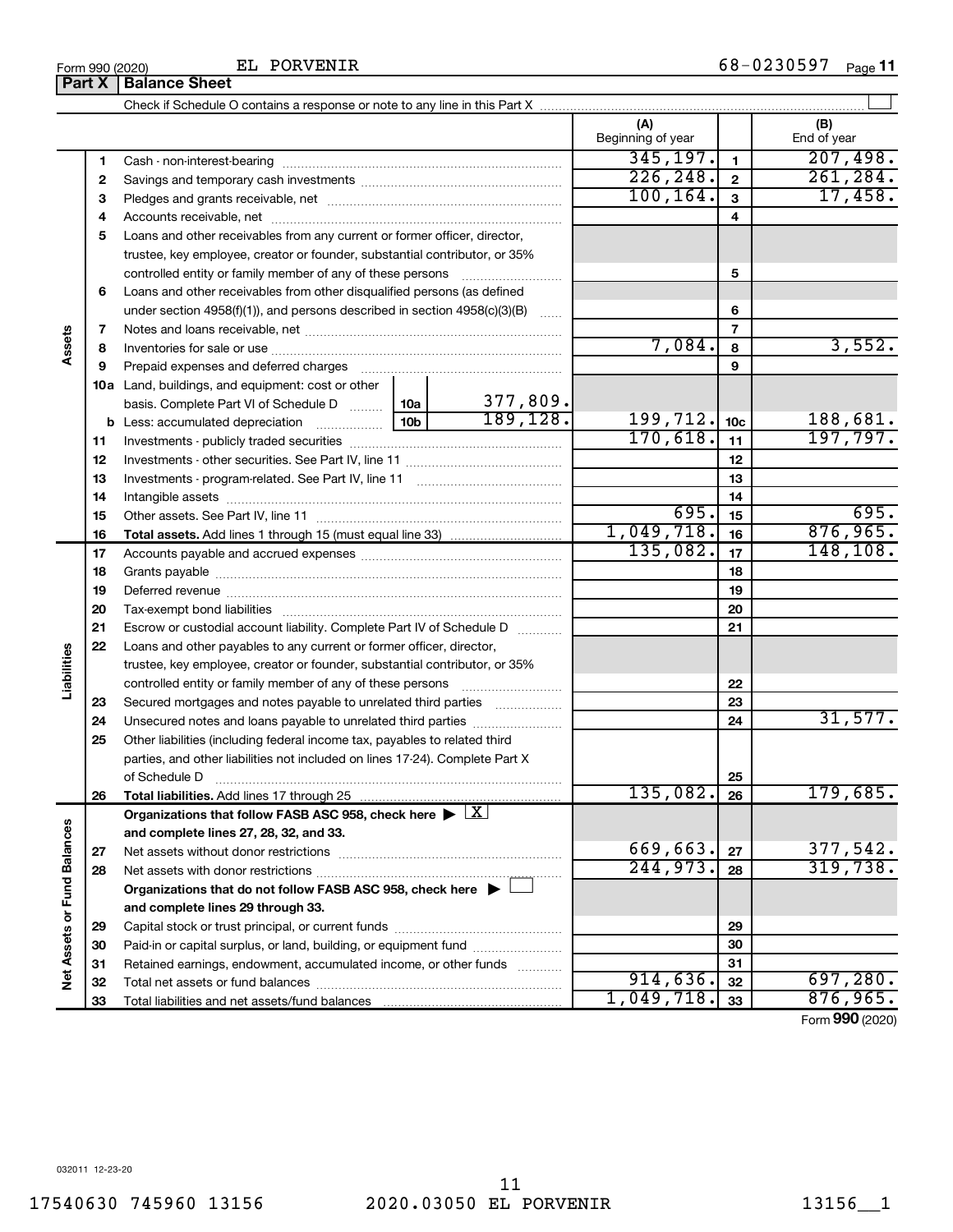EL PORVENIR 68-0230597

|                             |          |                                                                                    |                 |                           | (A)<br>Beginning of year |                         | (B)<br>End of year |
|-----------------------------|----------|------------------------------------------------------------------------------------|-----------------|---------------------------|--------------------------|-------------------------|--------------------|
|                             | 1        |                                                                                    |                 |                           | 345, 197.                | $\mathbf{1}$            | 207,498.           |
|                             | 2        |                                                                                    |                 |                           | 226, 248.                | $\mathbf{2}$            | 261, 284.          |
|                             | 3        |                                                                                    |                 |                           | 100, 164.                | $\overline{\mathbf{3}}$ | 17,458.            |
|                             | 4        |                                                                                    |                 |                           |                          | 4                       |                    |
|                             | 5        | Loans and other receivables from any current or former officer, director,          |                 |                           |                          |                         |                    |
|                             |          | trustee, key employee, creator or founder, substantial contributor, or 35%         |                 |                           |                          |                         |                    |
|                             |          |                                                                                    |                 |                           |                          | 5                       |                    |
|                             | 6        | Loans and other receivables from other disqualified persons (as defined            |                 |                           |                          |                         |                    |
|                             |          | under section $4958(f)(1)$ , and persons described in section $4958(c)(3)(B)$      |                 |                           |                          | 6                       |                    |
| Assets                      | 7        |                                                                                    |                 |                           |                          | $\overline{7}$          |                    |
|                             | 8        |                                                                                    |                 |                           | 7,084.                   | 8                       | 3,552.             |
|                             | 9        | Prepaid expenses and deferred charges                                              |                 |                           |                          | 9                       |                    |
|                             |          | 10a Land, buildings, and equipment: cost or other                                  |                 |                           |                          |                         |                    |
|                             |          | basis. Complete Part VI of Schedule D  10a                                         | 10 <sub>b</sub> | $\frac{377,809}{189,128}$ |                          |                         |                    |
|                             | b        |                                                                                    |                 | 199,712.<br>170,618.      | 10 <sub>c</sub>          | 188,681.<br>197,797.    |                    |
|                             | 11       |                                                                                    |                 | 11                        |                          |                         |                    |
|                             | 12       |                                                                                    |                 | 12                        |                          |                         |                    |
|                             | 13       |                                                                                    |                 | 13                        |                          |                         |                    |
|                             | 14       |                                                                                    |                 |                           | 695.                     | 14                      | 695.               |
|                             | 15       |                                                                                    |                 |                           | 1,049,718.               | 15                      | 876,965.           |
|                             | 16       |                                                                                    |                 |                           | 135,082.                 | 16<br>17                | 148,108.           |
|                             | 17<br>18 |                                                                                    |                 |                           |                          | 18                      |                    |
|                             | 19       |                                                                                    |                 | 19                        |                          |                         |                    |
|                             | 20       |                                                                                    |                 | 20                        |                          |                         |                    |
|                             | 21       | Escrow or custodial account liability. Complete Part IV of Schedule D              |                 |                           |                          | 21                      |                    |
|                             | 22       | Loans and other payables to any current or former officer, director,               |                 |                           |                          |                         |                    |
| Liabilities                 |          | trustee, key employee, creator or founder, substantial contributor, or 35%         |                 |                           |                          |                         |                    |
|                             |          | controlled entity or family member of any of these persons                         |                 |                           |                          | 22                      |                    |
|                             | 23       | Secured mortgages and notes payable to unrelated third parties                     |                 |                           |                          | 23                      |                    |
|                             | 24       |                                                                                    |                 |                           |                          | 24                      | 31,577.            |
|                             | 25       | Other liabilities (including federal income tax, payables to related third         |                 |                           |                          |                         |                    |
|                             |          | parties, and other liabilities not included on lines 17-24). Complete Part X       |                 |                           |                          |                         |                    |
|                             |          | of Schedule D                                                                      |                 |                           |                          | 25                      |                    |
|                             | 26       | Total liabilities. Add lines 17 through 25                                         |                 |                           | 135,082.                 | 26                      | 179,685.           |
|                             |          | Organizations that follow FASB ASC 958, check here $\blacktriangleright \boxed{X}$ |                 |                           |                          |                         |                    |
|                             |          | and complete lines 27, 28, 32, and 33.                                             |                 |                           |                          |                         |                    |
|                             | 27       | Net assets without donor restrictions                                              |                 |                           | 669,663.                 | 27                      | 377,542.           |
|                             | 28       |                                                                                    |                 |                           | 244,973.                 | 28                      | 319,738.           |
|                             |          | Organizations that do not follow FASB ASC 958, check here $\blacktriangleright$    |                 |                           |                          |                         |                    |
|                             |          | and complete lines 29 through 33.                                                  |                 |                           |                          |                         |                    |
|                             | 29       |                                                                                    |                 |                           |                          | 29                      |                    |
| Net Assets or Fund Balances | 30       | Paid-in or capital surplus, or land, building, or equipment fund                   |                 |                           |                          | 30                      |                    |
|                             | 31       | Retained earnings, endowment, accumulated income, or other funds                   |                 |                           |                          | 31                      |                    |
|                             | 32       |                                                                                    |                 |                           | 914,636.                 | 32                      | 697,280.           |
|                             | 33       | Total liabilities and net assets/fund balances                                     |                 |                           | 1,049,718.               | 33                      | 876,965.           |

Form (2020) **990**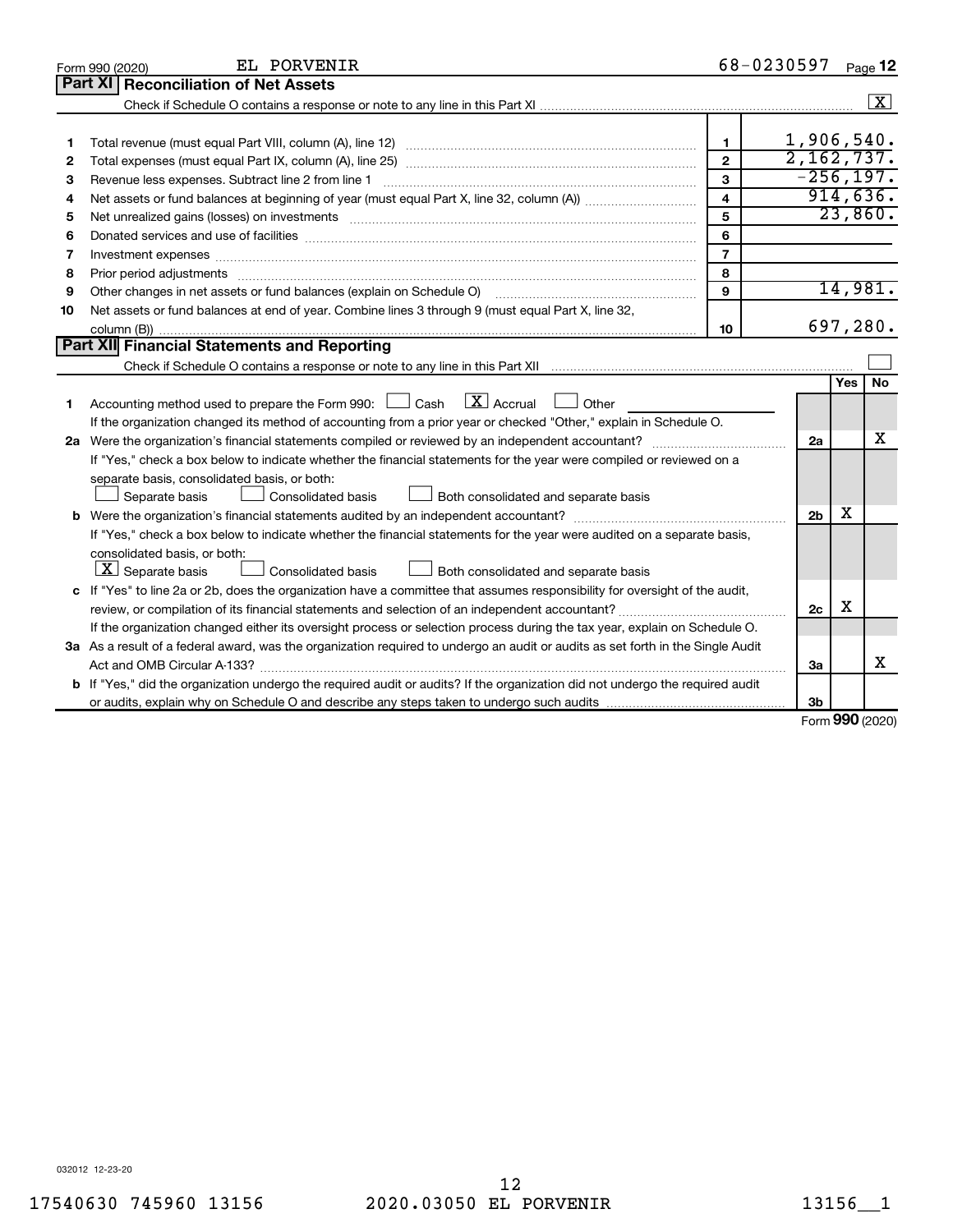|                                                                                                                                 | 68-0230597     |        | Page 12                 |
|---------------------------------------------------------------------------------------------------------------------------------|----------------|--------|-------------------------|
| Part XI<br><b>Reconciliation of Net Assets</b>                                                                                  |                |        |                         |
|                                                                                                                                 |                |        | $\overline{\mathbf{x}}$ |
|                                                                                                                                 |                |        |                         |
| $\mathbf{1}$<br>1                                                                                                               | 1,906,540.     |        |                         |
| $\mathfrak{p}$<br>2                                                                                                             | 2,162,737.     |        |                         |
| $\mathbf{3}$<br>Revenue less expenses. Subtract line 2 from line 1<br>3                                                         | $-256, 197.$   |        |                         |
| $\overline{\mathbf{4}}$<br>4                                                                                                    | 914,636.       |        |                         |
| 5<br>Net unrealized gains (losses) on investments [111] www.martime.community.community.community.community.communi<br>5        |                |        | 23,860.                 |
| 6<br>6                                                                                                                          |                |        |                         |
| $\overline{7}$<br>Investment expenses www.communication.com/www.communication.com/www.communication.com/www.com<br>7            |                |        |                         |
| 8<br>Prior period adjustments www.communication.communication.communication.com/news-managements<br>8                           |                |        |                         |
| 9<br>Other changes in net assets or fund balances (explain on Schedule O)<br>9                                                  |                |        | 14,981.                 |
| Net assets or fund balances at end of year. Combine lines 3 through 9 (must equal Part X, line 32,<br>10                        |                |        |                         |
| 10                                                                                                                              |                |        | 697,280.                |
| Part XII Financial Statements and Reporting                                                                                     |                |        |                         |
|                                                                                                                                 |                |        |                         |
|                                                                                                                                 |                | Yes    | <b>No</b>               |
| $\lfloor \mathbf{X} \rfloor$ Accrual<br>Accounting method used to prepare the Form 990: [130] Cash<br>$\Box$ Other<br>1         |                |        |                         |
| If the organization changed its method of accounting from a prior year or checked "Other," explain in Schedule O.               |                |        |                         |
|                                                                                                                                 | 2a             |        | х                       |
| If "Yes," check a box below to indicate whether the financial statements for the year were compiled or reviewed on a            |                |        |                         |
| separate basis, consolidated basis, or both:                                                                                    |                |        |                         |
| Both consolidated and separate basis<br>Separate basis<br>Consolidated basis                                                    |                |        |                         |
|                                                                                                                                 | 2 <sub>b</sub> | х      |                         |
| If "Yes," check a box below to indicate whether the financial statements for the year were audited on a separate basis,         |                |        |                         |
| consolidated basis, or both:                                                                                                    |                |        |                         |
| $ \mathbf{X} $ Separate basis<br>Consolidated basis<br>Both consolidated and separate basis                                     |                |        |                         |
| c If "Yes" to line 2a or 2b, does the organization have a committee that assumes responsibility for oversight of the audit,     |                |        |                         |
| review, or compilation of its financial statements and selection of an independent accountant?                                  | 2c             | X      |                         |
| If the organization changed either its oversight process or selection process during the tax year, explain on Schedule O.       |                |        |                         |
| 3a As a result of a federal award, was the organization required to undergo an audit or audits as set forth in the Single Audit |                |        |                         |
| Act and OMB Circular A-133?                                                                                                     | За             |        | х                       |
| b If "Yes," did the organization undergo the required audit or audits? If the organization did not undergo the required audit   |                |        |                         |
|                                                                                                                                 | 3b             | $\sim$ |                         |

Form (2020) **990**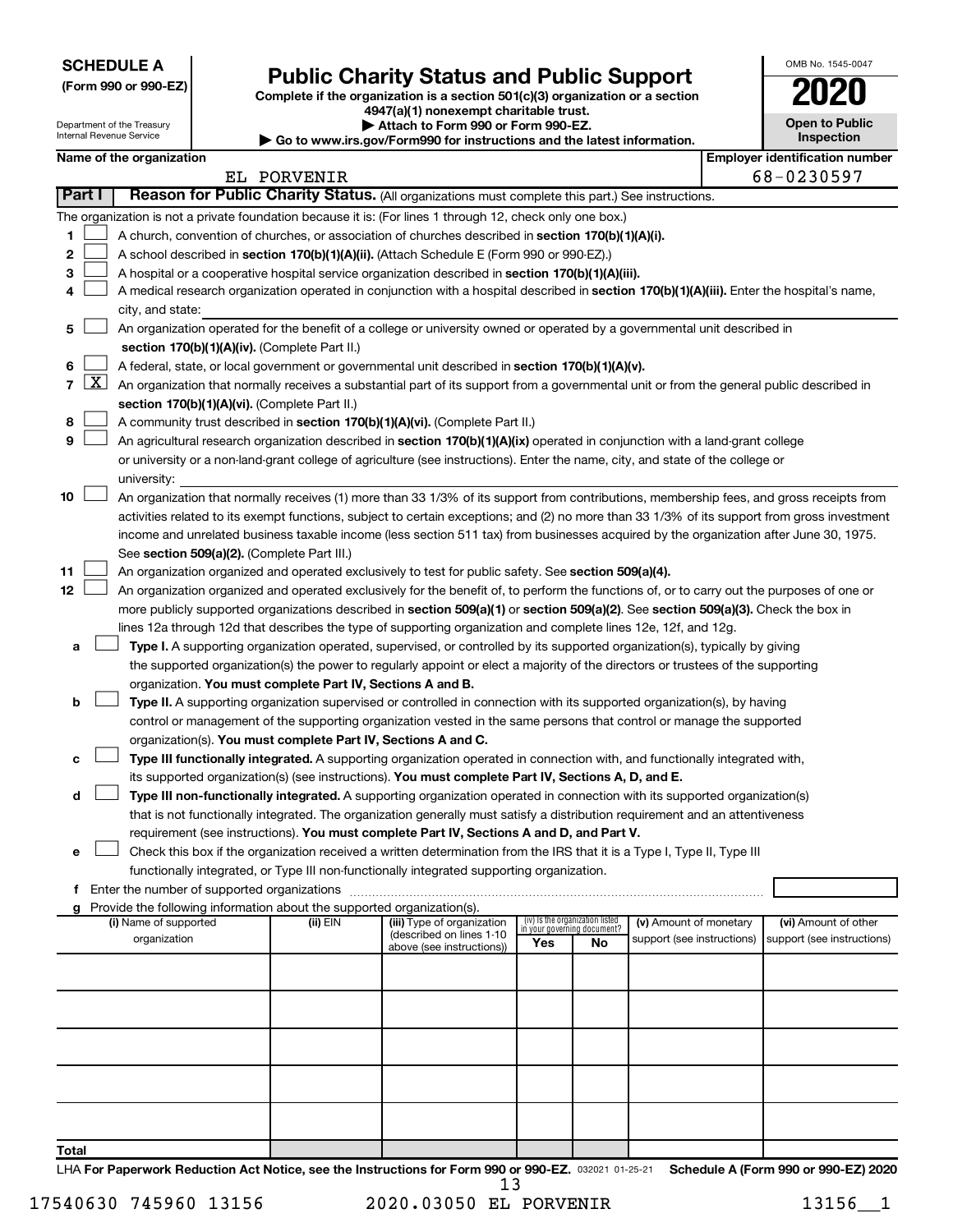| <b>SCHEDULE A</b> |  |
|-------------------|--|
|-------------------|--|

| (Form 990 or 990-EZ) |  |  |  |  |
|----------------------|--|--|--|--|
|----------------------|--|--|--|--|

#### Department of the Treasury Internal Revenue Service

Form 990 or 990-EZ) **Public Charity Status and Public Support**<br>
Complete if the organization is a section 501(c)(3) organization or a section<br> **2020** 

**4947(a)(1) nonexempt charitable trust.**

**| Attach to Form 990 or Form 990-EZ. | Go to www.irs.gov/Form990 for instructions and the latest information.**

|    | <b>Open to Public</b><br>Inspection |
|----|-------------------------------------|
| ١r | lentification nu                    |

OMB No. 1545-0047

|       | <b>Employer identification number</b><br>Name of the organization |                                                                                                                                                                                                                                                 |             |                                                        |                                                                |    |                            |  |                            |  |
|-------|-------------------------------------------------------------------|-------------------------------------------------------------------------------------------------------------------------------------------------------------------------------------------------------------------------------------------------|-------------|--------------------------------------------------------|----------------------------------------------------------------|----|----------------------------|--|----------------------------|--|
|       |                                                                   |                                                                                                                                                                                                                                                 | EL PORVENIR |                                                        |                                                                |    |                            |  | 68-0230597                 |  |
|       | Part I                                                            | Reason for Public Charity Status. (All organizations must complete this part.) See instructions.                                                                                                                                                |             |                                                        |                                                                |    |                            |  |                            |  |
|       |                                                                   | The organization is not a private foundation because it is: (For lines 1 through 12, check only one box.)                                                                                                                                       |             |                                                        |                                                                |    |                            |  |                            |  |
| 1     |                                                                   | A church, convention of churches, or association of churches described in section 170(b)(1)(A)(i).                                                                                                                                              |             |                                                        |                                                                |    |                            |  |                            |  |
| 2     |                                                                   | A school described in section 170(b)(1)(A)(ii). (Attach Schedule E (Form 990 or 990-EZ).)                                                                                                                                                       |             |                                                        |                                                                |    |                            |  |                            |  |
| 3     |                                                                   | A hospital or a cooperative hospital service organization described in section 170(b)(1)(A)(iii).                                                                                                                                               |             |                                                        |                                                                |    |                            |  |                            |  |
| 4     |                                                                   | A medical research organization operated in conjunction with a hospital described in section 170(b)(1)(A)(iii). Enter the hospital's name,                                                                                                      |             |                                                        |                                                                |    |                            |  |                            |  |
|       |                                                                   | city, and state:                                                                                                                                                                                                                                |             |                                                        |                                                                |    |                            |  |                            |  |
| 5     |                                                                   | An organization operated for the benefit of a college or university owned or operated by a governmental unit described in                                                                                                                       |             |                                                        |                                                                |    |                            |  |                            |  |
|       |                                                                   | section 170(b)(1)(A)(iv). (Complete Part II.)                                                                                                                                                                                                   |             |                                                        |                                                                |    |                            |  |                            |  |
| 6     |                                                                   | A federal, state, or local government or governmental unit described in section 170(b)(1)(A)(v).                                                                                                                                                |             |                                                        |                                                                |    |                            |  |                            |  |
|       | 7   X                                                             | An organization that normally receives a substantial part of its support from a governmental unit or from the general public described in                                                                                                       |             |                                                        |                                                                |    |                            |  |                            |  |
|       |                                                                   | section 170(b)(1)(A)(vi). (Complete Part II.)                                                                                                                                                                                                   |             |                                                        |                                                                |    |                            |  |                            |  |
| 8     |                                                                   | A community trust described in section 170(b)(1)(A)(vi). (Complete Part II.)                                                                                                                                                                    |             |                                                        |                                                                |    |                            |  |                            |  |
| 9     |                                                                   | An agricultural research organization described in section 170(b)(1)(A)(ix) operated in conjunction with a land-grant college                                                                                                                   |             |                                                        |                                                                |    |                            |  |                            |  |
|       |                                                                   | or university or a non-land-grant college of agriculture (see instructions). Enter the name, city, and state of the college or                                                                                                                  |             |                                                        |                                                                |    |                            |  |                            |  |
|       |                                                                   | university:                                                                                                                                                                                                                                     |             |                                                        |                                                                |    |                            |  |                            |  |
| 10    |                                                                   | An organization that normally receives (1) more than 33 1/3% of its support from contributions, membership fees, and gross receipts from                                                                                                        |             |                                                        |                                                                |    |                            |  |                            |  |
|       |                                                                   | activities related to its exempt functions, subject to certain exceptions; and (2) no more than 33 1/3% of its support from gross investment                                                                                                    |             |                                                        |                                                                |    |                            |  |                            |  |
|       |                                                                   | income and unrelated business taxable income (less section 511 tax) from businesses acquired by the organization after June 30, 1975.                                                                                                           |             |                                                        |                                                                |    |                            |  |                            |  |
|       |                                                                   | See section 509(a)(2). (Complete Part III.)                                                                                                                                                                                                     |             |                                                        |                                                                |    |                            |  |                            |  |
| 11    |                                                                   | An organization organized and operated exclusively to test for public safety. See section 509(a)(4).                                                                                                                                            |             |                                                        |                                                                |    |                            |  |                            |  |
| 12    |                                                                   | An organization organized and operated exclusively for the benefit of, to perform the functions of, or to carry out the purposes of one or                                                                                                      |             |                                                        |                                                                |    |                            |  |                            |  |
|       |                                                                   | more publicly supported organizations described in section 509(a)(1) or section 509(a)(2). See section 509(a)(3). Check the box in                                                                                                              |             |                                                        |                                                                |    |                            |  |                            |  |
|       |                                                                   | lines 12a through 12d that describes the type of supporting organization and complete lines 12e, 12f, and 12g.                                                                                                                                  |             |                                                        |                                                                |    |                            |  |                            |  |
| a     |                                                                   | Type I. A supporting organization operated, supervised, or controlled by its supported organization(s), typically by giving                                                                                                                     |             |                                                        |                                                                |    |                            |  |                            |  |
|       |                                                                   | the supported organization(s) the power to regularly appoint or elect a majority of the directors or trustees of the supporting                                                                                                                 |             |                                                        |                                                                |    |                            |  |                            |  |
|       |                                                                   | organization. You must complete Part IV, Sections A and B.                                                                                                                                                                                      |             |                                                        |                                                                |    |                            |  |                            |  |
| b     |                                                                   | Type II. A supporting organization supervised or controlled in connection with its supported organization(s), by having<br>control or management of the supporting organization vested in the same persons that control or manage the supported |             |                                                        |                                                                |    |                            |  |                            |  |
|       |                                                                   | organization(s). You must complete Part IV, Sections A and C.                                                                                                                                                                                   |             |                                                        |                                                                |    |                            |  |                            |  |
| с     |                                                                   | Type III functionally integrated. A supporting organization operated in connection with, and functionally integrated with,                                                                                                                      |             |                                                        |                                                                |    |                            |  |                            |  |
|       |                                                                   | its supported organization(s) (see instructions). You must complete Part IV, Sections A, D, and E.                                                                                                                                              |             |                                                        |                                                                |    |                            |  |                            |  |
| d     |                                                                   | Type III non-functionally integrated. A supporting organization operated in connection with its supported organization(s)                                                                                                                       |             |                                                        |                                                                |    |                            |  |                            |  |
|       |                                                                   | that is not functionally integrated. The organization generally must satisfy a distribution requirement and an attentiveness                                                                                                                    |             |                                                        |                                                                |    |                            |  |                            |  |
|       |                                                                   | requirement (see instructions). You must complete Part IV, Sections A and D, and Part V.                                                                                                                                                        |             |                                                        |                                                                |    |                            |  |                            |  |
|       |                                                                   | Check this box if the organization received a written determination from the IRS that it is a Type I, Type II, Type III                                                                                                                         |             |                                                        |                                                                |    |                            |  |                            |  |
|       |                                                                   | functionally integrated, or Type III non-functionally integrated supporting organization.                                                                                                                                                       |             |                                                        |                                                                |    |                            |  |                            |  |
|       |                                                                   | f Enter the number of supported organizations                                                                                                                                                                                                   |             |                                                        |                                                                |    |                            |  |                            |  |
|       |                                                                   | g Provide the following information about the supported organization(s).                                                                                                                                                                        |             |                                                        |                                                                |    |                            |  |                            |  |
|       |                                                                   | (i) Name of supported                                                                                                                                                                                                                           | (ii) EIN    | (iii) Type of organization<br>(described on lines 1-10 | (iv) Is the organization listed<br>in your governing document? |    | (v) Amount of monetary     |  | (vi) Amount of other       |  |
|       |                                                                   | organization                                                                                                                                                                                                                                    |             | above (see instructions))                              | Yes                                                            | No | support (see instructions) |  | support (see instructions) |  |
|       |                                                                   |                                                                                                                                                                                                                                                 |             |                                                        |                                                                |    |                            |  |                            |  |
|       |                                                                   |                                                                                                                                                                                                                                                 |             |                                                        |                                                                |    |                            |  |                            |  |
|       |                                                                   |                                                                                                                                                                                                                                                 |             |                                                        |                                                                |    |                            |  |                            |  |
|       |                                                                   |                                                                                                                                                                                                                                                 |             |                                                        |                                                                |    |                            |  |                            |  |
|       |                                                                   |                                                                                                                                                                                                                                                 |             |                                                        |                                                                |    |                            |  |                            |  |
|       |                                                                   |                                                                                                                                                                                                                                                 |             |                                                        |                                                                |    |                            |  |                            |  |
|       |                                                                   |                                                                                                                                                                                                                                                 |             |                                                        |                                                                |    |                            |  |                            |  |
|       |                                                                   |                                                                                                                                                                                                                                                 |             |                                                        |                                                                |    |                            |  |                            |  |
|       |                                                                   |                                                                                                                                                                                                                                                 |             |                                                        |                                                                |    |                            |  |                            |  |
| Total |                                                                   |                                                                                                                                                                                                                                                 |             |                                                        |                                                                |    |                            |  |                            |  |

LHA For Paperwork Reduction Act Notice, see the Instructions for Form 990 or 990-EZ. 032021 01-25-21 Schedule A (Form 990 or 990-EZ) 2020 13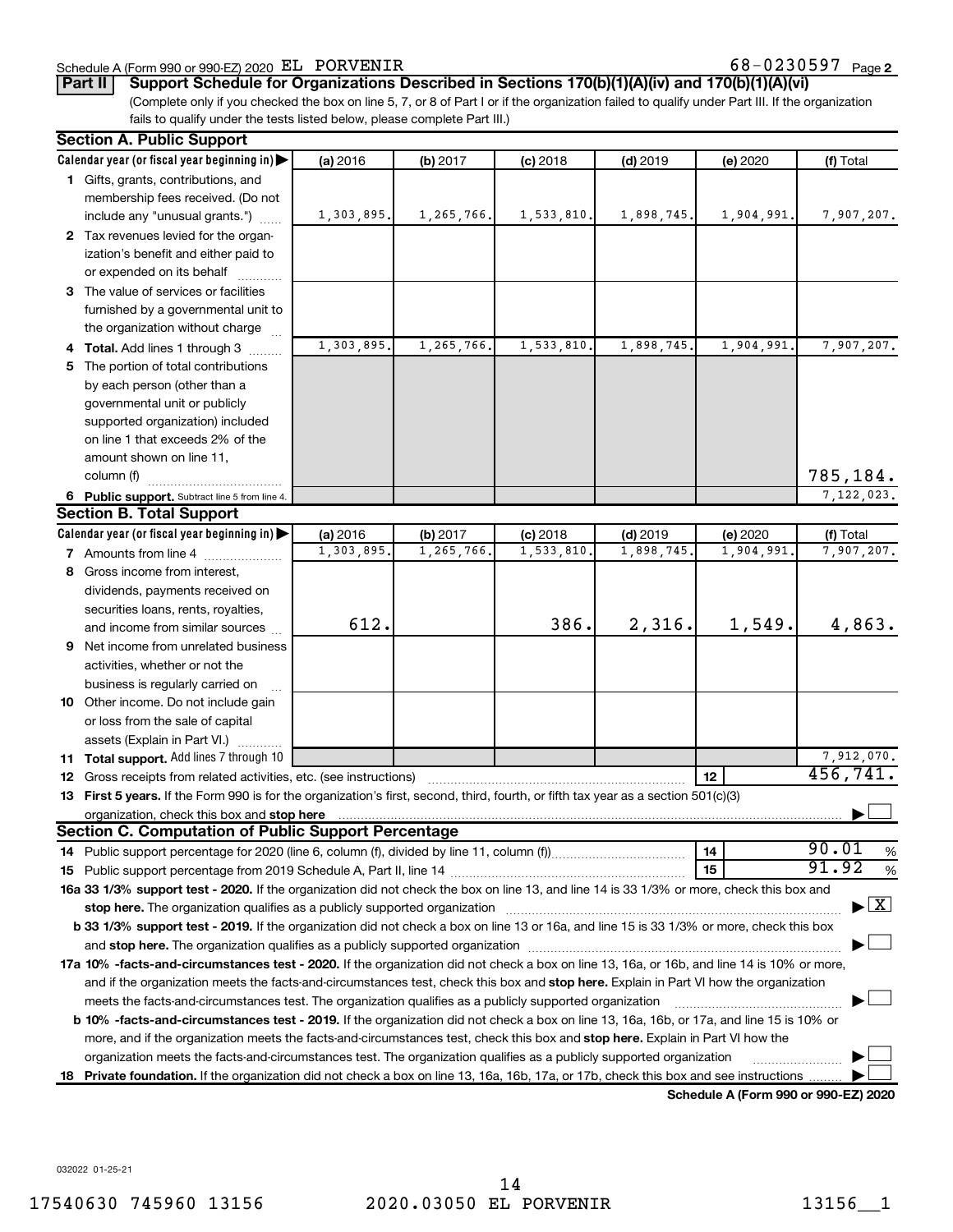## Schedule A (Form 990 or 990-EZ) 2020 Page EL PORVENIR 68-0230597

**Part II Support Schedule for Organizations Described in Sections 170(b)(1)(A)(iv) and 170(b)(1)(A)(vi)**

(Complete only if you checked the box on line 5, 7, or 8 of Part I or if the organization failed to qualify under Part III. If the organization fails to qualify under the tests listed below, please complete Part III.)

| <b>Section A. Public Support</b>                                                                                                                                                                                                    |            |            |            |            |                                      |                                    |
|-------------------------------------------------------------------------------------------------------------------------------------------------------------------------------------------------------------------------------------|------------|------------|------------|------------|--------------------------------------|------------------------------------|
| Calendar year (or fiscal year beginning in)                                                                                                                                                                                         | (a) 2016   | (b) 2017   | $(c)$ 2018 | $(d)$ 2019 | (e) 2020                             | (f) Total                          |
| 1 Gifts, grants, contributions, and                                                                                                                                                                                                 |            |            |            |            |                                      |                                    |
| membership fees received. (Do not                                                                                                                                                                                                   |            |            |            |            |                                      |                                    |
| include any "unusual grants.")                                                                                                                                                                                                      | 1,303,895. | 1,265,766. | 1,533,810. | 1,898,745. | 1,904,991.                           | 7,907,207.                         |
| 2 Tax revenues levied for the organ-                                                                                                                                                                                                |            |            |            |            |                                      |                                    |
| ization's benefit and either paid to                                                                                                                                                                                                |            |            |            |            |                                      |                                    |
| or expended on its behalf                                                                                                                                                                                                           |            |            |            |            |                                      |                                    |
| 3 The value of services or facilities                                                                                                                                                                                               |            |            |            |            |                                      |                                    |
| furnished by a governmental unit to                                                                                                                                                                                                 |            |            |            |            |                                      |                                    |
| the organization without charge                                                                                                                                                                                                     |            |            |            |            |                                      |                                    |
| 4 Total. Add lines 1 through 3                                                                                                                                                                                                      | 1,303,895. | 1,265,766. | 1,533,810  | 1,898,745. | 1,904,991                            | 7,907,207.                         |
| 5 The portion of total contributions                                                                                                                                                                                                |            |            |            |            |                                      |                                    |
| by each person (other than a                                                                                                                                                                                                        |            |            |            |            |                                      |                                    |
| governmental unit or publicly                                                                                                                                                                                                       |            |            |            |            |                                      |                                    |
| supported organization) included                                                                                                                                                                                                    |            |            |            |            |                                      |                                    |
| on line 1 that exceeds 2% of the                                                                                                                                                                                                    |            |            |            |            |                                      |                                    |
| amount shown on line 11,                                                                                                                                                                                                            |            |            |            |            |                                      |                                    |
| column (f)                                                                                                                                                                                                                          |            |            |            |            |                                      | 785,184.                           |
| 6 Public support. Subtract line 5 from line 4.                                                                                                                                                                                      |            |            |            |            |                                      | 7,122,023.                         |
| <b>Section B. Total Support</b>                                                                                                                                                                                                     |            |            |            |            |                                      |                                    |
| Calendar year (or fiscal year beginning in)                                                                                                                                                                                         | (a) 2016   | (b) 2017   | $(c)$ 2018 | $(d)$ 2019 | (e) 2020                             | (f) Total                          |
| <b>7</b> Amounts from line 4                                                                                                                                                                                                        | 1,303,895  | 1,265,766. | 1,533,810  | 1,898,745  | 1,904,991                            | 7,907,207.                         |
| 8 Gross income from interest,                                                                                                                                                                                                       |            |            |            |            |                                      |                                    |
| dividends, payments received on                                                                                                                                                                                                     |            |            |            |            |                                      |                                    |
| securities loans, rents, royalties,                                                                                                                                                                                                 |            |            |            |            |                                      |                                    |
| and income from similar sources                                                                                                                                                                                                     | 612.       |            | 386.       | 2,316.     | 1,549.                               | 4,863.                             |
| 9 Net income from unrelated business                                                                                                                                                                                                |            |            |            |            |                                      |                                    |
| activities, whether or not the                                                                                                                                                                                                      |            |            |            |            |                                      |                                    |
| business is regularly carried on                                                                                                                                                                                                    |            |            |            |            |                                      |                                    |
| 10 Other income. Do not include gain                                                                                                                                                                                                |            |            |            |            |                                      |                                    |
| or loss from the sale of capital                                                                                                                                                                                                    |            |            |            |            |                                      |                                    |
| assets (Explain in Part VI.)                                                                                                                                                                                                        |            |            |            |            |                                      |                                    |
| 11 Total support. Add lines 7 through 10                                                                                                                                                                                            |            |            |            |            |                                      | 7,912,070.                         |
| <b>12</b> Gross receipts from related activities, etc. (see instructions)                                                                                                                                                           |            |            |            |            | 12                                   | 456, 741.                          |
| 13 First 5 years. If the Form 990 is for the organization's first, second, third, fourth, or fifth tax year as a section 501(c)(3)                                                                                                  |            |            |            |            |                                      |                                    |
| organization, check this box and stop here <b>construction and construction</b> construction of the state of the state of the state of the state of the state of the state of the state of the state of the state of the state of t |            |            |            |            |                                      |                                    |
| <b>Section C. Computation of Public Support Percentage</b>                                                                                                                                                                          |            |            |            |            |                                      |                                    |
|                                                                                                                                                                                                                                     |            |            |            |            | 14                                   | 90.01<br>%                         |
|                                                                                                                                                                                                                                     |            |            |            |            | 15                                   | 91.92<br>%                         |
| 16a 33 1/3% support test - 2020. If the organization did not check the box on line 13, and line 14 is 33 1/3% or more, check this box and                                                                                           |            |            |            |            |                                      |                                    |
| stop here. The organization qualifies as a publicly supported organization manufactured content and the organization manufactured and the state of the state of the state of the state of the state of the state of the state       |            |            |            |            |                                      | $\blacktriangleright$ $\mathbf{X}$ |
| b 33 1/3% support test - 2019. If the organization did not check a box on line 13 or 16a, and line 15 is 33 1/3% or more, check this box                                                                                            |            |            |            |            |                                      |                                    |
|                                                                                                                                                                                                                                     |            |            |            |            |                                      |                                    |
| 17a 10% -facts-and-circumstances test - 2020. If the organization did not check a box on line 13, 16a, or 16b, and line 14 is 10% or more,                                                                                          |            |            |            |            |                                      |                                    |
| and if the organization meets the facts-and-circumstances test, check this box and stop here. Explain in Part VI how the organization                                                                                               |            |            |            |            |                                      |                                    |
| meets the facts-and-circumstances test. The organization qualifies as a publicly supported organization                                                                                                                             |            |            |            |            |                                      |                                    |
| <b>b 10%</b> -facts-and-circumstances test - 2019. If the organization did not check a box on line 13, 16a, 16b, or 17a, and line 15 is 10% or                                                                                      |            |            |            |            |                                      |                                    |
| more, and if the organization meets the facts-and-circumstances test, check this box and stop here. Explain in Part VI how the                                                                                                      |            |            |            |            |                                      |                                    |
| organization meets the facts-and-circumstances test. The organization qualifies as a publicly supported organization                                                                                                                |            |            |            |            |                                      |                                    |
| 18 Private foundation. If the organization did not check a box on line 13, 16a, 16b, 17a, or 17b, check this box and see instructions.                                                                                              |            |            |            |            |                                      |                                    |
|                                                                                                                                                                                                                                     |            |            |            |            | Schodule A (Form 000 or 000 EZ) 2020 |                                    |

**Schedule A (Form 990 or 990-EZ) 2020**

032022 01-25-21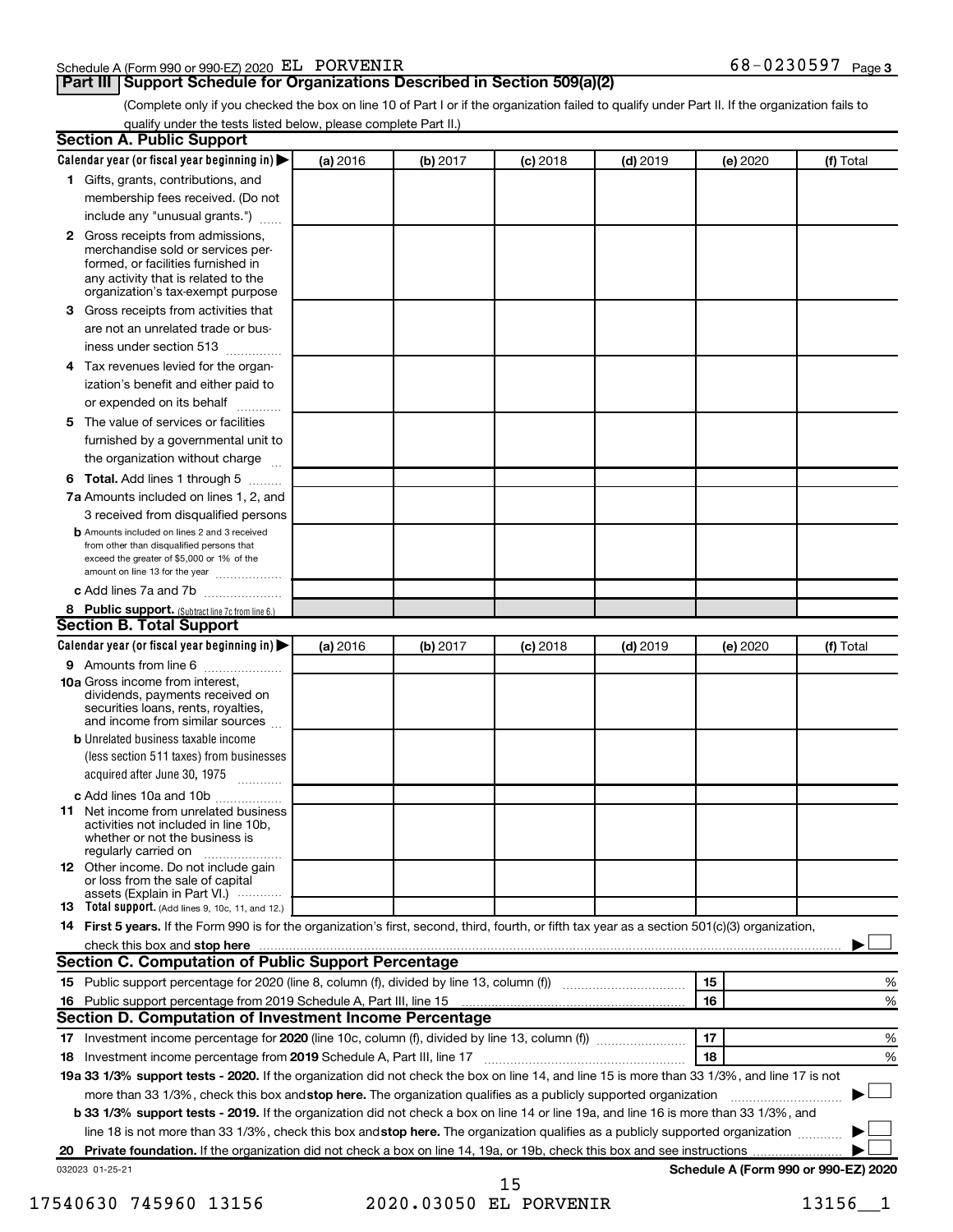**Part III Support Schedule for Organizations Described in Section 509(a)(2)** 

(Complete only if you checked the box on line 10 of Part I or if the organization failed to qualify under Part II. If the organization fails to qualify under the tests listed below, please complete Part II.)

| <b>Section A. Public Support</b>                                                                                                                                                 |          |          |            |            |          |                                      |
|----------------------------------------------------------------------------------------------------------------------------------------------------------------------------------|----------|----------|------------|------------|----------|--------------------------------------|
| Calendar year (or fiscal year beginning in)                                                                                                                                      | (a) 2016 | (b) 2017 | $(c)$ 2018 | $(d)$ 2019 | (e) 2020 | (f) Total                            |
| 1 Gifts, grants, contributions, and                                                                                                                                              |          |          |            |            |          |                                      |
| membership fees received. (Do not                                                                                                                                                |          |          |            |            |          |                                      |
| include any "unusual grants.")                                                                                                                                                   |          |          |            |            |          |                                      |
| 2 Gross receipts from admissions,<br>merchandise sold or services per-<br>formed, or facilities furnished in<br>any activity that is related to the                              |          |          |            |            |          |                                      |
| organization's tax-exempt purpose                                                                                                                                                |          |          |            |            |          |                                      |
| <b>3</b> Gross receipts from activities that                                                                                                                                     |          |          |            |            |          |                                      |
| are not an unrelated trade or bus-                                                                                                                                               |          |          |            |            |          |                                      |
| iness under section 513                                                                                                                                                          |          |          |            |            |          |                                      |
| 4 Tax revenues levied for the organ-<br>ization's benefit and either paid to                                                                                                     |          |          |            |            |          |                                      |
| or expended on its behalf                                                                                                                                                        |          |          |            |            |          |                                      |
| 5 The value of services or facilities                                                                                                                                            |          |          |            |            |          |                                      |
| furnished by a governmental unit to                                                                                                                                              |          |          |            |            |          |                                      |
| the organization without charge                                                                                                                                                  |          |          |            |            |          |                                      |
| <b>6 Total.</b> Add lines 1 through 5                                                                                                                                            |          |          |            |            |          |                                      |
| 7a Amounts included on lines 1, 2, and                                                                                                                                           |          |          |            |            |          |                                      |
| 3 received from disqualified persons                                                                                                                                             |          |          |            |            |          |                                      |
| <b>b</b> Amounts included on lines 2 and 3 received<br>from other than disqualified persons that<br>exceed the greater of \$5,000 or 1% of the<br>amount on line 13 for the year |          |          |            |            |          |                                      |
| c Add lines 7a and 7b                                                                                                                                                            |          |          |            |            |          |                                      |
| 8 Public support. (Subtract line 7c from line 6.)                                                                                                                                |          |          |            |            |          |                                      |
| <b>Section B. Total Support</b>                                                                                                                                                  |          |          |            |            |          |                                      |
| Calendar year (or fiscal year beginning in)                                                                                                                                      | (a) 2016 | (b) 2017 | $(c)$ 2018 | $(d)$ 2019 | (e) 2020 | (f) Total                            |
| <b>9</b> Amounts from line 6                                                                                                                                                     |          |          |            |            |          |                                      |
| <b>10a</b> Gross income from interest,<br>dividends, payments received on<br>securities loans, rents, royalties,<br>and income from similar sources                              |          |          |            |            |          |                                      |
| <b>b</b> Unrelated business taxable income                                                                                                                                       |          |          |            |            |          |                                      |
| (less section 511 taxes) from businesses<br>acquired after June 30, 1975                                                                                                         |          |          |            |            |          |                                      |
| c Add lines 10a and 10b                                                                                                                                                          |          |          |            |            |          |                                      |
| <b>11</b> Net income from unrelated business<br>activities not included in line 10b.<br>whether or not the business is<br>regularly carried on                                   |          |          |            |            |          |                                      |
| <b>12</b> Other income. Do not include gain<br>or loss from the sale of capital<br>assets (Explain in Part VI.)                                                                  |          |          |            |            |          |                                      |
| <b>13</b> Total support. (Add lines 9, 10c, 11, and 12.)                                                                                                                         |          |          |            |            |          |                                      |
| 14 First 5 years. If the Form 990 is for the organization's first, second, third, fourth, or fifth tax year as a section 501(c)(3) organization,                                 |          |          |            |            |          |                                      |
|                                                                                                                                                                                  |          |          |            |            |          |                                      |
| <b>Section C. Computation of Public Support Percentage</b>                                                                                                                       |          |          |            |            |          |                                      |
| 15 Public support percentage for 2020 (line 8, column (f), divided by line 13, column (f) <i></i>                                                                                |          |          |            |            | 15       | ℅                                    |
| 16 Public support percentage from 2019 Schedule A, Part III, line 15                                                                                                             |          |          |            |            | 16       | %                                    |
| Section D. Computation of Investment Income Percentage                                                                                                                           |          |          |            |            |          |                                      |
|                                                                                                                                                                                  |          |          |            |            | 17       | %                                    |
| 18 Investment income percentage from 2019 Schedule A, Part III, line 17                                                                                                          |          |          |            |            | 18       | %                                    |
| 19a 33 1/3% support tests - 2020. If the organization did not check the box on line 14, and line 15 is more than 33 1/3%, and line 17 is not                                     |          |          |            |            |          |                                      |
| more than 33 1/3%, check this box and stop here. The organization qualifies as a publicly supported organization                                                                 |          |          |            |            |          |                                      |
| b 33 1/3% support tests - 2019. If the organization did not check a box on line 14 or line 19a, and line 16 is more than 33 1/3%, and                                            |          |          |            |            |          |                                      |
| line 18 is not more than 33 1/3%, check this box and stop here. The organization qualifies as a publicly supported organization                                                  |          |          |            |            |          |                                      |
|                                                                                                                                                                                  |          |          |            |            |          |                                      |
|                                                                                                                                                                                  |          |          |            |            |          | Schedule A (Form 990 or 990-EZ) 2020 |
| 032023 01-25-21                                                                                                                                                                  |          |          | 15         |            |          |                                      |

17540630 745960 13156 2020.03050 EL PORVENIR 13156 13156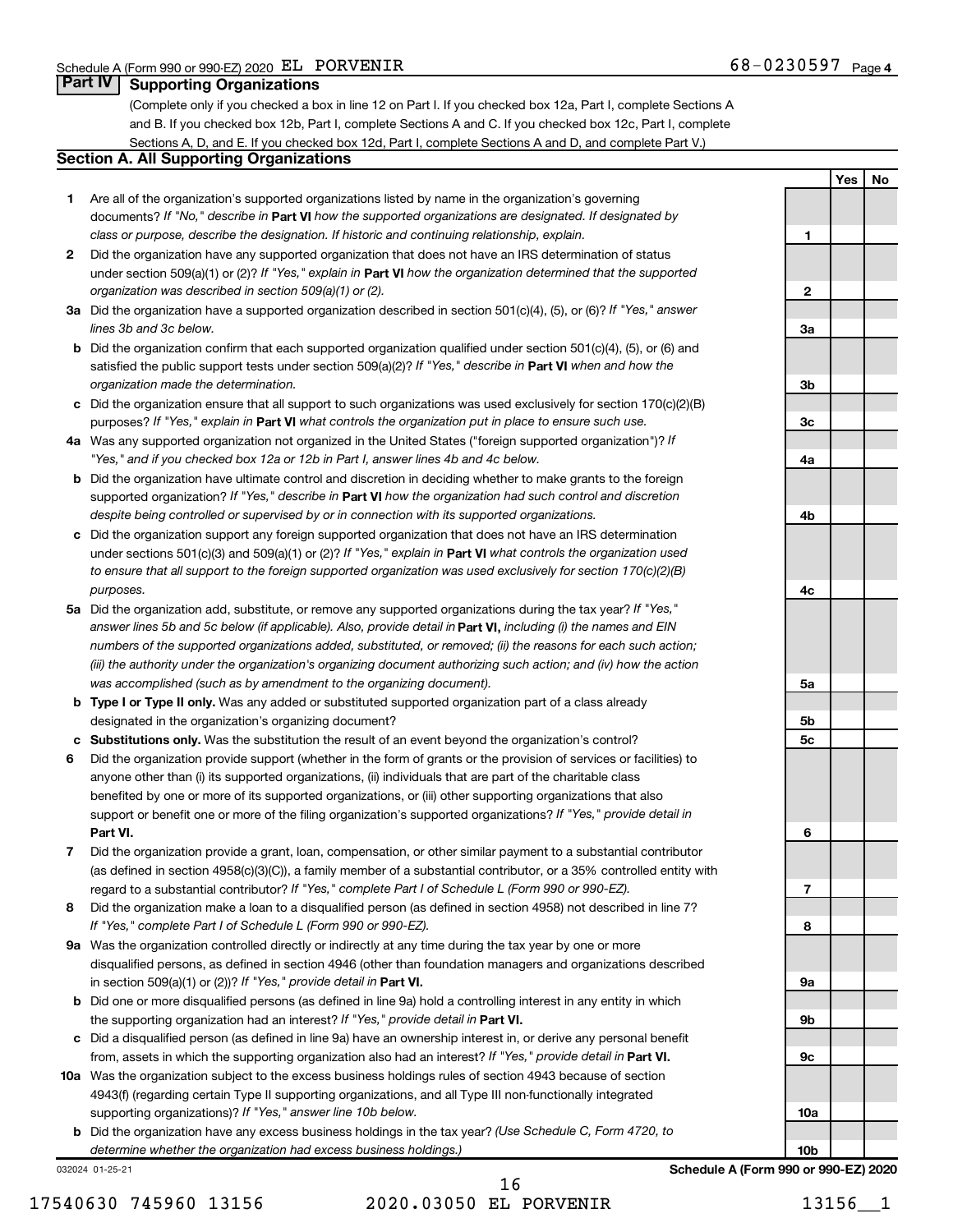**Yes No**

# **Part IV Supporting Organizations**

(Complete only if you checked a box in line 12 on Part I. If you checked box 12a, Part I, complete Sections A and B. If you checked box 12b, Part I, complete Sections A and C. If you checked box 12c, Part I, complete Sections A, D, and E. If you checked box 12d, Part I, complete Sections A and D, and complete Part V.)

# **Section A. All Supporting Organizations**

- **1** Are all of the organization's supported organizations listed by name in the organization's governing documents? If "No," describe in Part VI how the supported organizations are designated. If designated by *class or purpose, describe the designation. If historic and continuing relationship, explain.*
- **2** Did the organization have any supported organization that does not have an IRS determination of status under section 509(a)(1) or (2)? If "Yes," explain in Part **VI** how the organization determined that the supported *organization was described in section 509(a)(1) or (2).*
- **3a** Did the organization have a supported organization described in section 501(c)(4), (5), or (6)? If "Yes," answer *lines 3b and 3c below.*
- **b** Did the organization confirm that each supported organization qualified under section 501(c)(4), (5), or (6) and satisfied the public support tests under section 509(a)(2)? If "Yes," describe in Part VI when and how the *organization made the determination.*
- **c** Did the organization ensure that all support to such organizations was used exclusively for section 170(c)(2)(B) purposes? If "Yes," explain in Part VI what controls the organization put in place to ensure such use.
- **4 a** *If* Was any supported organization not organized in the United States ("foreign supported organization")? *"Yes," and if you checked box 12a or 12b in Part I, answer lines 4b and 4c below.*
- **b** Did the organization have ultimate control and discretion in deciding whether to make grants to the foreign supported organization? If "Yes," describe in Part VI how the organization had such control and discretion *despite being controlled or supervised by or in connection with its supported organizations.*
- **c** Did the organization support any foreign supported organization that does not have an IRS determination under sections 501(c)(3) and 509(a)(1) or (2)? If "Yes," explain in Part VI what controls the organization used *to ensure that all support to the foreign supported organization was used exclusively for section 170(c)(2)(B) purposes.*
- **5a** Did the organization add, substitute, or remove any supported organizations during the tax year? If "Yes," answer lines 5b and 5c below (if applicable). Also, provide detail in **Part VI,** including (i) the names and EIN *numbers of the supported organizations added, substituted, or removed; (ii) the reasons for each such action; (iii) the authority under the organization's organizing document authorizing such action; and (iv) how the action was accomplished (such as by amendment to the organizing document).*
- **b Type I or Type II only.** Was any added or substituted supported organization part of a class already designated in the organization's organizing document?
- **c Substitutions only.**  Was the substitution the result of an event beyond the organization's control?
- **6** Did the organization provide support (whether in the form of grants or the provision of services or facilities) to **Part VI.** support or benefit one or more of the filing organization's supported organizations? If "Yes," provide detail in anyone other than (i) its supported organizations, (ii) individuals that are part of the charitable class benefited by one or more of its supported organizations, or (iii) other supporting organizations that also
- **7** Did the organization provide a grant, loan, compensation, or other similar payment to a substantial contributor regard to a substantial contributor? If "Yes," complete Part I of Schedule L (Form 990 or 990-EZ). (as defined in section 4958(c)(3)(C)), a family member of a substantial contributor, or a 35% controlled entity with
- **8** Did the organization make a loan to a disqualified person (as defined in section 4958) not described in line 7? *If "Yes," complete Part I of Schedule L (Form 990 or 990-EZ).*
- **9 a** Was the organization controlled directly or indirectly at any time during the tax year by one or more in section 509(a)(1) or (2))? If "Yes," provide detail in **Part VI.** disqualified persons, as defined in section 4946 (other than foundation managers and organizations described
- **b** Did one or more disqualified persons (as defined in line 9a) hold a controlling interest in any entity in which the supporting organization had an interest? If "Yes," provide detail in Part VI.
- **c** Did a disqualified person (as defined in line 9a) have an ownership interest in, or derive any personal benefit from, assets in which the supporting organization also had an interest? If "Yes," provide detail in Part VI.
- **10 a** Was the organization subject to the excess business holdings rules of section 4943 because of section supporting organizations)? If "Yes," answer line 10b below. 4943(f) (regarding certain Type II supporting organizations, and all Type III non-functionally integrated
	- **b** Did the organization have any excess business holdings in the tax year? (Use Schedule C, Form 4720, to *determine whether the organization had excess business holdings.)*

032024 01-25-21

17540630 745960 13156 2020.03050 EL PORVENIR 13156\_\_1 16

**1 2 3a 3b 3c 4a 4b 4c 5a 5b 5c 6 7 8 9a 9b 9c 10a 10b**

**Schedule A (Form 990 or 990-EZ) 2020**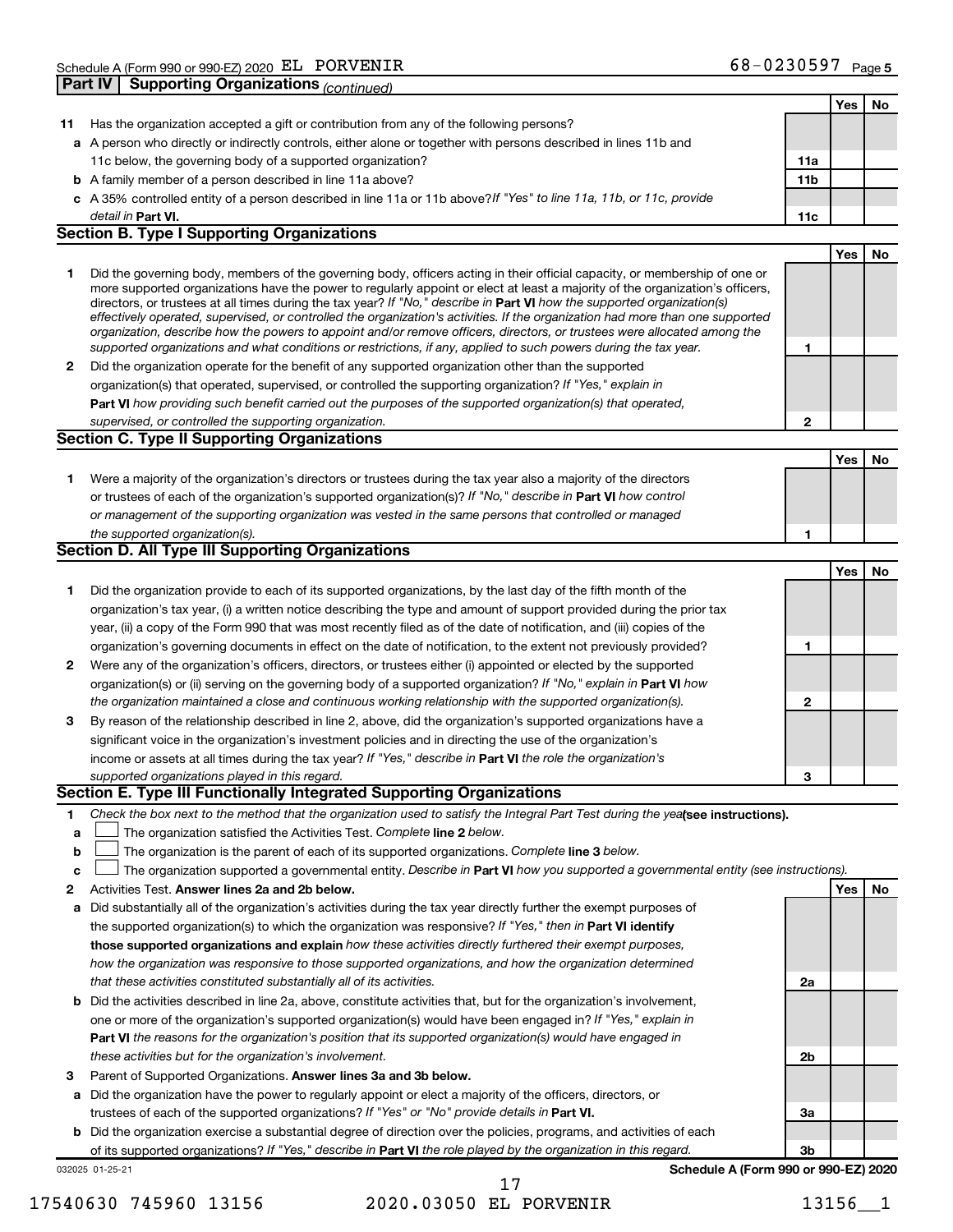|    | <b>Supporting Organizations (continued)</b><br>Part IV                                                                                                                                                                                                    |                 |            |    |
|----|-----------------------------------------------------------------------------------------------------------------------------------------------------------------------------------------------------------------------------------------------------------|-----------------|------------|----|
|    |                                                                                                                                                                                                                                                           |                 | Yes        | No |
| 11 | Has the organization accepted a gift or contribution from any of the following persons?                                                                                                                                                                   |                 |            |    |
|    | a A person who directly or indirectly controls, either alone or together with persons described in lines 11b and                                                                                                                                          |                 |            |    |
|    | 11c below, the governing body of a supported organization?                                                                                                                                                                                                | 11a             |            |    |
|    | <b>b</b> A family member of a person described in line 11a above?                                                                                                                                                                                         | 11 <sub>b</sub> |            |    |
|    | c A 35% controlled entity of a person described in line 11a or 11b above? If "Yes" to line 11a, 11b, or 11c, provide                                                                                                                                      |                 |            |    |
|    | detail in Part VI.                                                                                                                                                                                                                                        | 11c             |            |    |
|    | <b>Section B. Type I Supporting Organizations</b>                                                                                                                                                                                                         |                 |            |    |
|    |                                                                                                                                                                                                                                                           |                 | <b>Yes</b> | No |
| 1  | Did the governing body, members of the governing body, officers acting in their official capacity, or membership of one or                                                                                                                                |                 |            |    |
|    | more supported organizations have the power to regularly appoint or elect at least a majority of the organization's officers,                                                                                                                             |                 |            |    |
|    | directors, or trustees at all times during the tax year? If "No," describe in Part VI how the supported organization(s)<br>effectively operated, supervised, or controlled the organization's activities. If the organization had more than one supported |                 |            |    |
|    | organization, describe how the powers to appoint and/or remove officers, directors, or trustees were allocated among the                                                                                                                                  |                 |            |    |
|    | supported organizations and what conditions or restrictions, if any, applied to such powers during the tax year.                                                                                                                                          | 1               |            |    |
| 2  | Did the organization operate for the benefit of any supported organization other than the supported                                                                                                                                                       |                 |            |    |
|    | organization(s) that operated, supervised, or controlled the supporting organization? If "Yes," explain in                                                                                                                                                |                 |            |    |
|    | Part VI how providing such benefit carried out the purposes of the supported organization(s) that operated,                                                                                                                                               |                 |            |    |
|    | supervised, or controlled the supporting organization.                                                                                                                                                                                                    | $\overline{2}$  |            |    |
|    | <b>Section C. Type II Supporting Organizations</b>                                                                                                                                                                                                        |                 |            |    |
|    |                                                                                                                                                                                                                                                           |                 | Yes        | No |
| 1  | Were a majority of the organization's directors or trustees during the tax year also a majority of the directors                                                                                                                                          |                 |            |    |
|    | or trustees of each of the organization's supported organization(s)? If "No," describe in Part VI how control                                                                                                                                             |                 |            |    |
|    | or management of the supporting organization was vested in the same persons that controlled or managed                                                                                                                                                    |                 |            |    |
|    | the supported organization(s).                                                                                                                                                                                                                            | 1               |            |    |
|    | <b>Section D. All Type III Supporting Organizations</b>                                                                                                                                                                                                   |                 |            |    |
|    |                                                                                                                                                                                                                                                           |                 | Yes        | No |
| 1  | Did the organization provide to each of its supported organizations, by the last day of the fifth month of the                                                                                                                                            |                 |            |    |
|    | organization's tax year, (i) a written notice describing the type and amount of support provided during the prior tax                                                                                                                                     |                 |            |    |
|    | year, (ii) a copy of the Form 990 that was most recently filed as of the date of notification, and (iii) copies of the                                                                                                                                    |                 |            |    |
|    | organization's governing documents in effect on the date of notification, to the extent not previously provided?                                                                                                                                          | 1               |            |    |
| 2  | Were any of the organization's officers, directors, or trustees either (i) appointed or elected by the supported                                                                                                                                          |                 |            |    |
|    | organization(s) or (ii) serving on the governing body of a supported organization? If "No," explain in Part VI how                                                                                                                                        |                 |            |    |
|    | the organization maintained a close and continuous working relationship with the supported organization(s).                                                                                                                                               | 2               |            |    |
| З  | By reason of the relationship described in line 2, above, did the organization's supported organizations have a                                                                                                                                           |                 |            |    |
|    | significant voice in the organization's investment policies and in directing the use of the organization's                                                                                                                                                |                 |            |    |
|    | income or assets at all times during the tax year? If "Yes," describe in Part VI the role the organization's                                                                                                                                              |                 |            |    |
|    | supported organizations played in this regard.                                                                                                                                                                                                            | 3               |            |    |
|    | Section E. Type III Functionally Integrated Supporting Organizations                                                                                                                                                                                      |                 |            |    |
| 1  | Check the box next to the method that the organization used to satisfy the Integral Part Test during the yealsee instructions).                                                                                                                           |                 |            |    |
| a  | The organization satisfied the Activities Test. Complete line 2 below.                                                                                                                                                                                    |                 |            |    |
| b  | The organization is the parent of each of its supported organizations. Complete line 3 below.                                                                                                                                                             |                 |            |    |
| c  | The organization supported a governmental entity. Describe in Part VI how you supported a governmental entity (see instructions).                                                                                                                         |                 |            |    |
| 2  | Activities Test. Answer lines 2a and 2b below.                                                                                                                                                                                                            |                 | Yes        | No |
| а  | Did substantially all of the organization's activities during the tax year directly further the exempt purposes of                                                                                                                                        |                 |            |    |
|    | the supported organization(s) to which the organization was responsive? If "Yes," then in Part VI identify                                                                                                                                                |                 |            |    |
|    | those supported organizations and explain how these activities directly furthered their exempt purposes,                                                                                                                                                  |                 |            |    |
|    | how the organization was responsive to those supported organizations, and how the organization determined                                                                                                                                                 |                 |            |    |
|    | that these activities constituted substantially all of its activities.                                                                                                                                                                                    | 2a              |            |    |
| b  | Did the activities described in line 2a, above, constitute activities that, but for the organization's involvement,                                                                                                                                       |                 |            |    |
|    | one or more of the organization's supported organization(s) would have been engaged in? If "Yes," explain in                                                                                                                                              |                 |            |    |
|    | Part VI the reasons for the organization's position that its supported organization(s) would have engaged in                                                                                                                                              |                 |            |    |
|    | these activities but for the organization's involvement.                                                                                                                                                                                                  | 2b              |            |    |
| з  | Parent of Supported Organizations. Answer lines 3a and 3b below.                                                                                                                                                                                          |                 |            |    |
| а  | Did the organization have the power to regularly appoint or elect a majority of the officers, directors, or                                                                                                                                               |                 |            |    |
|    | trustees of each of the supported organizations? If "Yes" or "No" provide details in Part VI.                                                                                                                                                             | За              |            |    |
|    | <b>b</b> Did the organization exercise a substantial degree of direction over the policies, programs, and activities of each                                                                                                                              |                 |            |    |
|    | of its supported organizations? If "Yes," describe in Part VI the role played by the organization in this regard.                                                                                                                                         | Зb              |            |    |
|    | Schedule A (Form 990 or 990-EZ) 2020<br>032025 01-25-21                                                                                                                                                                                                   |                 |            |    |

17540630 745960 13156 2020.03050 EL PORVENIR 13156 13156 17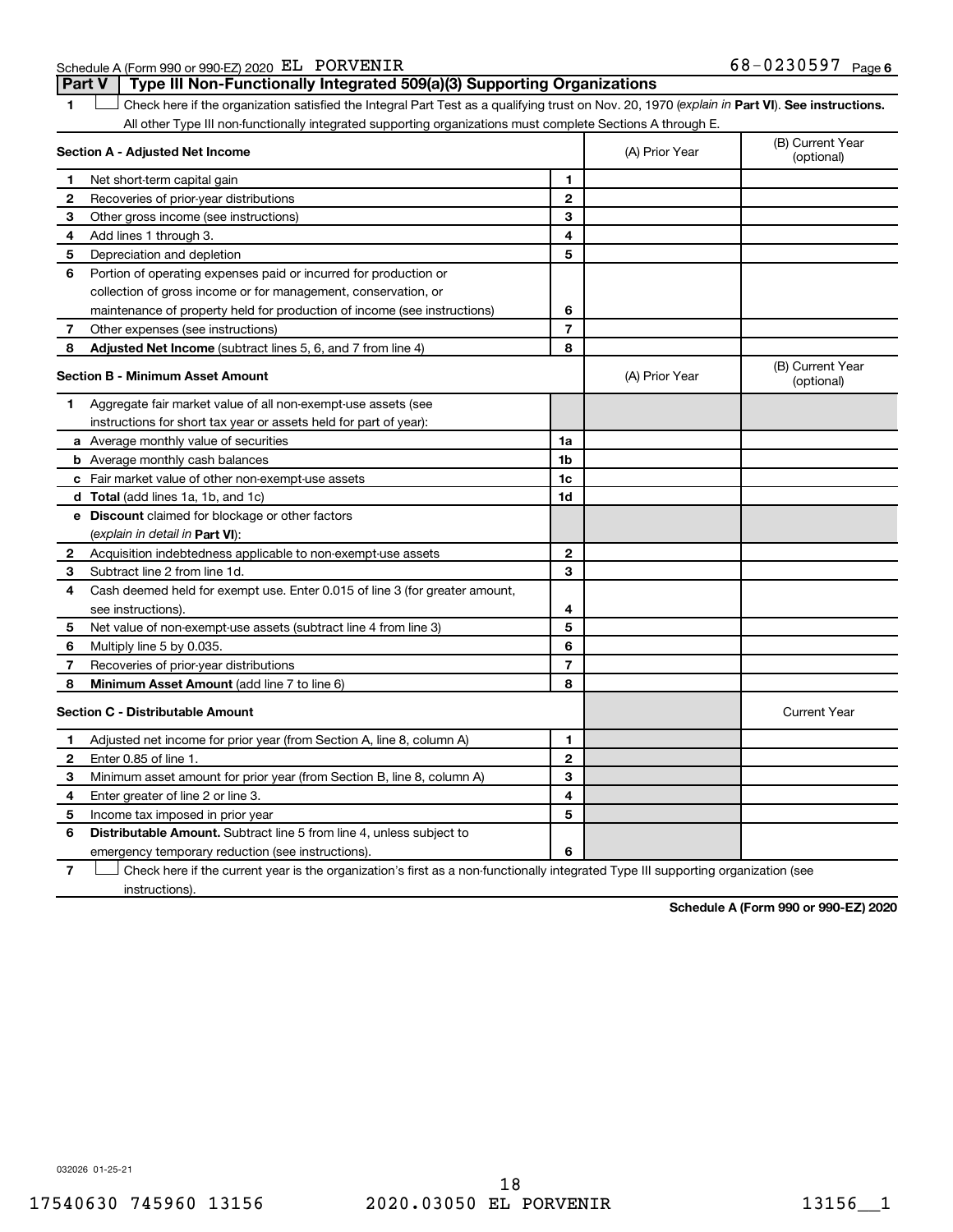Schedule A (Form 990 or 990-EZ) 2020 Page EL PORVENIR 68-0230597 **Part V Type III Non-Functionally Integrated 509(a)(3) Supporting Organizations** 

1 **Letter See instructions.** Check here if the organization satisfied the Integral Part Test as a qualifying trust on Nov. 20, 1970 (*explain in* Part **VI**). See instructions. All other Type III non-functionally integrated supporting organizations must complete Sections A through E.

| Section A - Adjusted Net Income |                                                                                                                                   | (A) Prior Year | (B) Current Year<br>(optional) |                                |
|---------------------------------|-----------------------------------------------------------------------------------------------------------------------------------|----------------|--------------------------------|--------------------------------|
| 1                               | Net short-term capital gain                                                                                                       | 1              |                                |                                |
| 2                               | Recoveries of prior-year distributions                                                                                            | $\mathbf{2}$   |                                |                                |
| З                               | Other gross income (see instructions)                                                                                             | З              |                                |                                |
| 4                               | Add lines 1 through 3.                                                                                                            | 4              |                                |                                |
| 5                               | Depreciation and depletion                                                                                                        | 5              |                                |                                |
| 6                               | Portion of operating expenses paid or incurred for production or                                                                  |                |                                |                                |
|                                 | collection of gross income or for management, conservation, or                                                                    |                |                                |                                |
|                                 | maintenance of property held for production of income (see instructions)                                                          | 6              |                                |                                |
| 7                               | Other expenses (see instructions)                                                                                                 | $\overline{7}$ |                                |                                |
| 8                               | Adjusted Net Income (subtract lines 5, 6, and 7 from line 4)                                                                      | 8              |                                |                                |
|                                 | <b>Section B - Minimum Asset Amount</b>                                                                                           |                | (A) Prior Year                 | (B) Current Year<br>(optional) |
| 1                               | Aggregate fair market value of all non-exempt-use assets (see                                                                     |                |                                |                                |
|                                 | instructions for short tax year or assets held for part of year):                                                                 |                |                                |                                |
|                                 | a Average monthly value of securities                                                                                             | 1a             |                                |                                |
|                                 | <b>b</b> Average monthly cash balances                                                                                            | 1 <sub>b</sub> |                                |                                |
|                                 | c Fair market value of other non-exempt-use assets                                                                                | 1c             |                                |                                |
|                                 | d Total (add lines 1a, 1b, and 1c)                                                                                                | 1d             |                                |                                |
|                                 | e Discount claimed for blockage or other factors                                                                                  |                |                                |                                |
|                                 | (explain in detail in <b>Part VI</b> ):                                                                                           |                |                                |                                |
| 2                               | Acquisition indebtedness applicable to non-exempt-use assets                                                                      | $\mathbf{2}$   |                                |                                |
| 3                               | Subtract line 2 from line 1d.                                                                                                     | 3              |                                |                                |
| 4                               | Cash deemed held for exempt use. Enter 0.015 of line 3 (for greater amount,                                                       |                |                                |                                |
|                                 | see instructions).                                                                                                                | 4              |                                |                                |
| 5                               | Net value of non-exempt-use assets (subtract line 4 from line 3)                                                                  | 5              |                                |                                |
| 6                               | Multiply line 5 by 0.035.                                                                                                         | 6              |                                |                                |
| 7                               | Recoveries of prior-year distributions                                                                                            | $\overline{7}$ |                                |                                |
| 8                               | Minimum Asset Amount (add line 7 to line 6)                                                                                       | 8              |                                |                                |
|                                 | <b>Section C - Distributable Amount</b>                                                                                           |                |                                | <b>Current Year</b>            |
| 1.                              | Adjusted net income for prior year (from Section A, line 8, column A)                                                             | 1              |                                |                                |
| 2                               | Enter 0.85 of line 1.                                                                                                             | $\overline{2}$ |                                |                                |
| з                               | Minimum asset amount for prior year (from Section B, line 8, column A)                                                            | 3              |                                |                                |
| 4                               | Enter greater of line 2 or line 3.                                                                                                | 4              |                                |                                |
| 5                               | Income tax imposed in prior year                                                                                                  | 5              |                                |                                |
| 6                               | <b>Distributable Amount.</b> Subtract line 5 from line 4, unless subject to                                                       |                |                                |                                |
|                                 | emergency temporary reduction (see instructions).                                                                                 | 6              |                                |                                |
| 7                               | Check here if the current year is the organization's first as a non-functionally integrated Type III supporting organization (see |                |                                |                                |

instructions).

**Schedule A (Form 990 or 990-EZ) 2020**

032026 01-25-21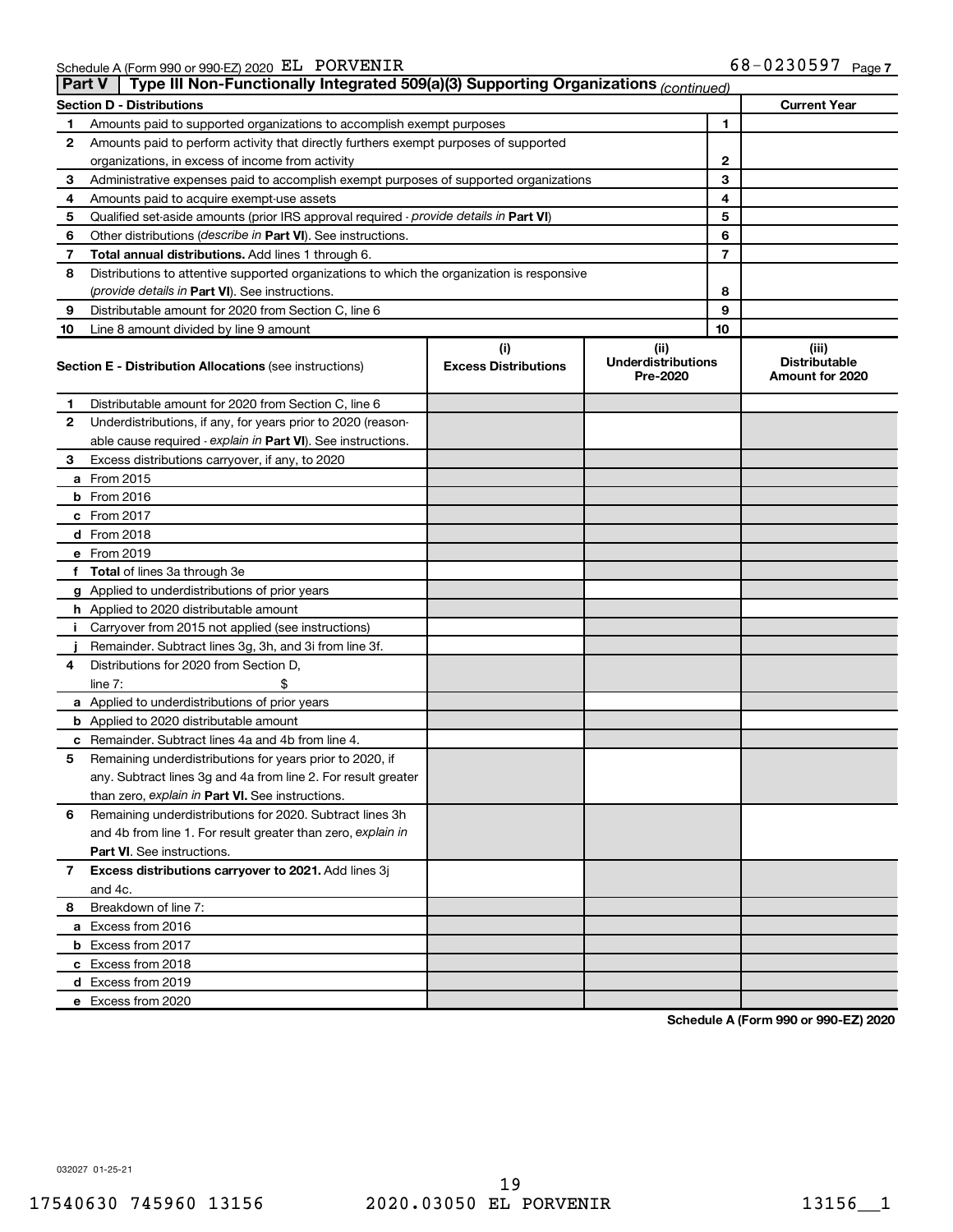| <b>Part V</b> | Type III Non-Functionally Integrated 509(a)(3) Supporting Organizations (continued)        |                                    |                                               |    |                                                  |
|---------------|--------------------------------------------------------------------------------------------|------------------------------------|-----------------------------------------------|----|--------------------------------------------------|
|               | <b>Section D - Distributions</b>                                                           |                                    |                                               |    | <b>Current Year</b>                              |
| 1             | Amounts paid to supported organizations to accomplish exempt purposes                      |                                    |                                               | 1  |                                                  |
| 2             | Amounts paid to perform activity that directly furthers exempt purposes of supported       |                                    |                                               |    |                                                  |
|               | organizations, in excess of income from activity                                           |                                    | 2                                             |    |                                                  |
| 3             | Administrative expenses paid to accomplish exempt purposes of supported organizations      |                                    |                                               | 3  |                                                  |
| 4             | Amounts paid to acquire exempt-use assets                                                  |                                    |                                               | 4  |                                                  |
| 5             | Qualified set-aside amounts (prior IRS approval required - provide details in Part VI)     |                                    |                                               | 5  |                                                  |
| 6             | Other distributions ( <i>describe in Part VI</i> ). See instructions.                      |                                    |                                               | 6  |                                                  |
| 7             | Total annual distributions. Add lines 1 through 6.                                         |                                    |                                               | 7  |                                                  |
| 8             | Distributions to attentive supported organizations to which the organization is responsive |                                    |                                               |    |                                                  |
|               | (provide details in Part VI). See instructions.                                            |                                    |                                               | 8  |                                                  |
| 9             | Distributable amount for 2020 from Section C, line 6                                       |                                    |                                               | 9  |                                                  |
| 10            | Line 8 amount divided by line 9 amount                                                     |                                    |                                               | 10 |                                                  |
|               | <b>Section E - Distribution Allocations (see instructions)</b>                             | (i)<br><b>Excess Distributions</b> | (ii)<br><b>Underdistributions</b><br>Pre-2020 |    | (iii)<br><b>Distributable</b><br>Amount for 2020 |
| 1             | Distributable amount for 2020 from Section C, line 6                                       |                                    |                                               |    |                                                  |
| 2             | Underdistributions, if any, for years prior to 2020 (reason-                               |                                    |                                               |    |                                                  |
|               | able cause required - explain in Part VI). See instructions.                               |                                    |                                               |    |                                                  |
| 3             | Excess distributions carryover, if any, to 2020                                            |                                    |                                               |    |                                                  |
|               | a From 2015                                                                                |                                    |                                               |    |                                                  |
|               | <b>b</b> From 2016                                                                         |                                    |                                               |    |                                                  |
|               | c From 2017                                                                                |                                    |                                               |    |                                                  |
|               | d From 2018                                                                                |                                    |                                               |    |                                                  |
|               | e From 2019                                                                                |                                    |                                               |    |                                                  |
|               | f Total of lines 3a through 3e                                                             |                                    |                                               |    |                                                  |
|               | g Applied to underdistributions of prior years                                             |                                    |                                               |    |                                                  |
|               | <b>h</b> Applied to 2020 distributable amount                                              |                                    |                                               |    |                                                  |
| Ť.            | Carryover from 2015 not applied (see instructions)                                         |                                    |                                               |    |                                                  |
|               | Remainder. Subtract lines 3g, 3h, and 3i from line 3f.                                     |                                    |                                               |    |                                                  |
| 4             | Distributions for 2020 from Section D,                                                     |                                    |                                               |    |                                                  |
|               | line $7:$                                                                                  |                                    |                                               |    |                                                  |
|               | a Applied to underdistributions of prior years                                             |                                    |                                               |    |                                                  |
|               | <b>b</b> Applied to 2020 distributable amount                                              |                                    |                                               |    |                                                  |
|               | c Remainder. Subtract lines 4a and 4b from line 4.                                         |                                    |                                               |    |                                                  |
| 5             | Remaining underdistributions for years prior to 2020, if                                   |                                    |                                               |    |                                                  |
|               | any. Subtract lines 3g and 4a from line 2. For result greater                              |                                    |                                               |    |                                                  |
|               | than zero, explain in Part VI. See instructions.                                           |                                    |                                               |    |                                                  |
| 6             | Remaining underdistributions for 2020. Subtract lines 3h                                   |                                    |                                               |    |                                                  |
|               | and 4b from line 1. For result greater than zero, explain in                               |                                    |                                               |    |                                                  |
|               | <b>Part VI.</b> See instructions.                                                          |                                    |                                               |    |                                                  |
| 7             | Excess distributions carryover to 2021. Add lines 3j                                       |                                    |                                               |    |                                                  |
|               | and 4c.                                                                                    |                                    |                                               |    |                                                  |
| 8             | Breakdown of line 7:                                                                       |                                    |                                               |    |                                                  |
|               | a Excess from 2016                                                                         |                                    |                                               |    |                                                  |
|               | <b>b</b> Excess from 2017                                                                  |                                    |                                               |    |                                                  |
|               | c Excess from 2018                                                                         |                                    |                                               |    |                                                  |
|               | d Excess from 2019                                                                         |                                    |                                               |    |                                                  |
|               | e Excess from 2020                                                                         |                                    |                                               |    |                                                  |

**Schedule A (Form 990 or 990-EZ) 2020**

032027 01-25-21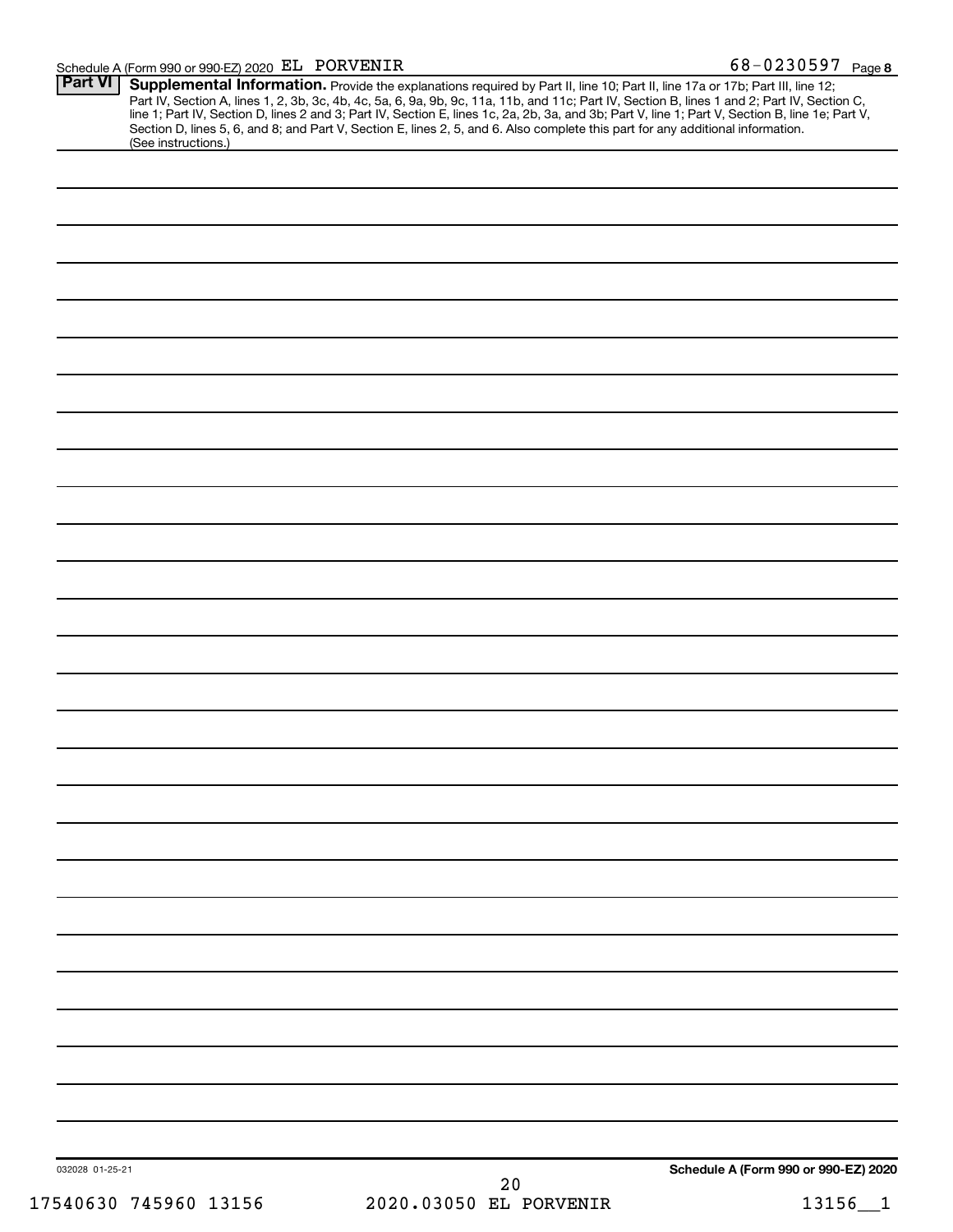## Schedule A (Form 990 or 990-EZ) 2020 Page EL PORVENIR 68-0230597

| Part VI<br>(See instructions.) | <b>Supplemental Information.</b> Provide the explanations required by Part II, line 10; Part II, line 17a or 17b; Part III, line 12;<br>Part IV, Section A, lines 1, 2, 3b, 3c, 4b, 4c, 5a, 6, 9a, 9b, 9c, 11a, 11b, and 11c; Part IV,<br>Section D, lines 5, 6, and 8; and Part V, Section E, lines 2, 5, and 6. Also complete this part for any additional information. |                                      |
|--------------------------------|---------------------------------------------------------------------------------------------------------------------------------------------------------------------------------------------------------------------------------------------------------------------------------------------------------------------------------------------------------------------------|--------------------------------------|
|                                |                                                                                                                                                                                                                                                                                                                                                                           |                                      |
|                                |                                                                                                                                                                                                                                                                                                                                                                           |                                      |
|                                |                                                                                                                                                                                                                                                                                                                                                                           |                                      |
|                                |                                                                                                                                                                                                                                                                                                                                                                           |                                      |
|                                |                                                                                                                                                                                                                                                                                                                                                                           |                                      |
|                                |                                                                                                                                                                                                                                                                                                                                                                           |                                      |
|                                |                                                                                                                                                                                                                                                                                                                                                                           |                                      |
|                                |                                                                                                                                                                                                                                                                                                                                                                           |                                      |
|                                |                                                                                                                                                                                                                                                                                                                                                                           |                                      |
|                                |                                                                                                                                                                                                                                                                                                                                                                           |                                      |
|                                |                                                                                                                                                                                                                                                                                                                                                                           |                                      |
|                                |                                                                                                                                                                                                                                                                                                                                                                           |                                      |
|                                |                                                                                                                                                                                                                                                                                                                                                                           |                                      |
|                                |                                                                                                                                                                                                                                                                                                                                                                           |                                      |
|                                |                                                                                                                                                                                                                                                                                                                                                                           |                                      |
|                                |                                                                                                                                                                                                                                                                                                                                                                           |                                      |
|                                |                                                                                                                                                                                                                                                                                                                                                                           |                                      |
|                                |                                                                                                                                                                                                                                                                                                                                                                           |                                      |
|                                |                                                                                                                                                                                                                                                                                                                                                                           |                                      |
|                                |                                                                                                                                                                                                                                                                                                                                                                           |                                      |
|                                |                                                                                                                                                                                                                                                                                                                                                                           |                                      |
|                                |                                                                                                                                                                                                                                                                                                                                                                           |                                      |
|                                |                                                                                                                                                                                                                                                                                                                                                                           |                                      |
|                                |                                                                                                                                                                                                                                                                                                                                                                           |                                      |
|                                |                                                                                                                                                                                                                                                                                                                                                                           |                                      |
|                                |                                                                                                                                                                                                                                                                                                                                                                           |                                      |
|                                |                                                                                                                                                                                                                                                                                                                                                                           |                                      |
|                                |                                                                                                                                                                                                                                                                                                                                                                           |                                      |
|                                |                                                                                                                                                                                                                                                                                                                                                                           |                                      |
|                                |                                                                                                                                                                                                                                                                                                                                                                           |                                      |
|                                |                                                                                                                                                                                                                                                                                                                                                                           |                                      |
|                                |                                                                                                                                                                                                                                                                                                                                                                           |                                      |
| 032028 01-25-21                |                                                                                                                                                                                                                                                                                                                                                                           | Schedule A (Form 990 or 990-EZ) 2020 |
|                                | 20                                                                                                                                                                                                                                                                                                                                                                        |                                      |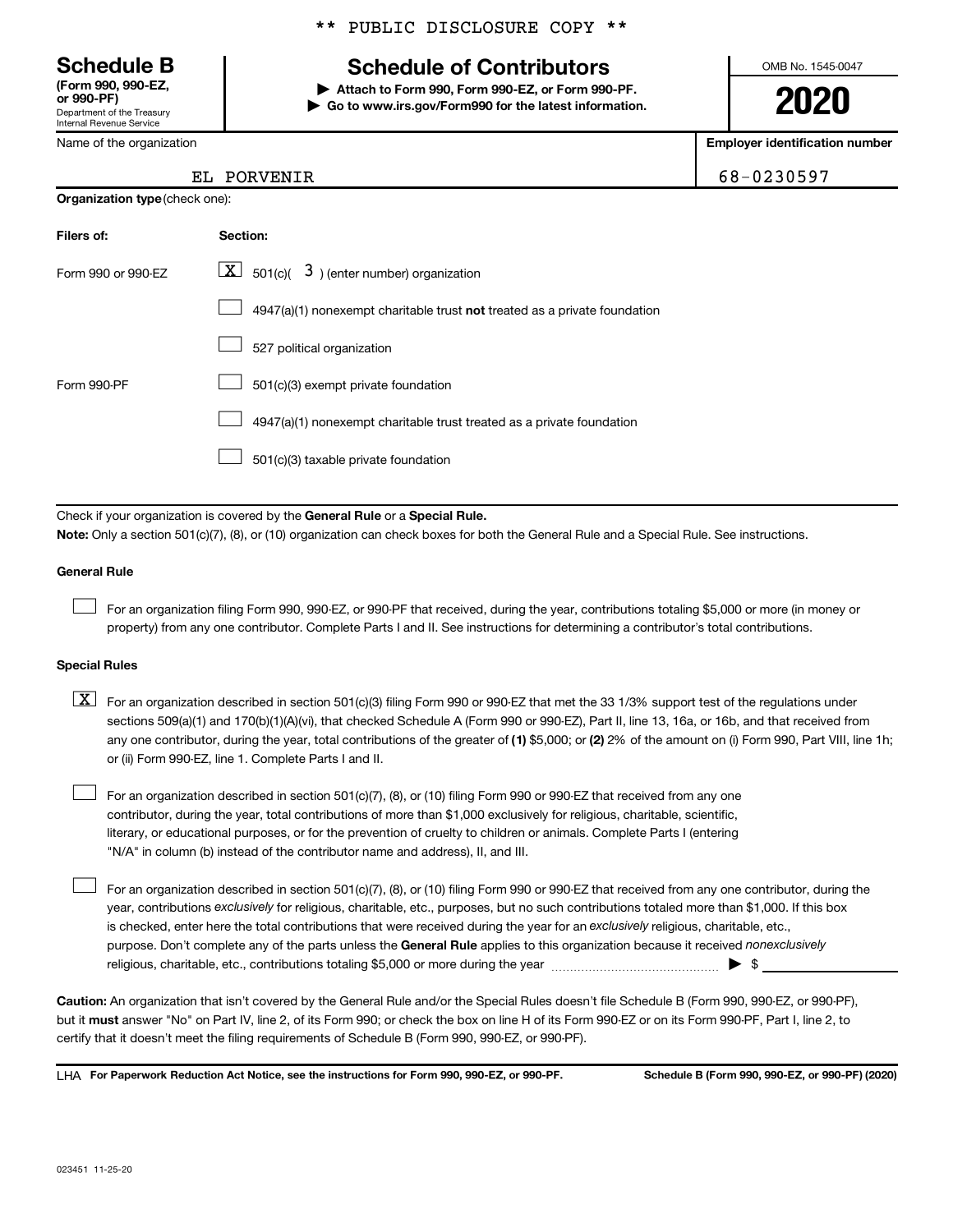Department of the Treasury Internal Revenue Service **(Form 990, 990-EZ,**

Name of the organization

\*\* PUBLIC DISCLOSURE COPY \*\*

# **Schedule B Schedule of Contributors**

**or 990-PF) | Attach to Form 990, Form 990-EZ, or Form 990-PF. | Go to www.irs.gov/Form990 for the latest information.** OMB No. 1545-0047

**2020**

**Employer identification number**

| $58 - 0230597$ |  |  |  |  |
|----------------|--|--|--|--|
|                |  |  |  |  |

| EL PORVENIR | 68-0230597 |
|-------------|------------|
|             |            |

| <b>Organization type (check one):</b> |                                                                           |  |  |  |
|---------------------------------------|---------------------------------------------------------------------------|--|--|--|
| Filers of:                            | Section:                                                                  |  |  |  |
| Form 990 or 990-EZ                    | $\lfloor x \rfloor$ 501(c)( 3) (enter number) organization                |  |  |  |
|                                       | 4947(a)(1) nonexempt charitable trust not treated as a private foundation |  |  |  |
|                                       | 527 political organization                                                |  |  |  |
| Form 990-PF                           | 501(c)(3) exempt private foundation                                       |  |  |  |
|                                       | 4947(a)(1) nonexempt charitable trust treated as a private foundation     |  |  |  |
|                                       | 501(c)(3) taxable private foundation                                      |  |  |  |

Check if your organization is covered by the General Rule or a Special Rule.

**Note:**  Only a section 501(c)(7), (8), or (10) organization can check boxes for both the General Rule and a Special Rule. See instructions.

#### **General Rule**

 $\Box$ 

 $\Box$ 

For an organization filing Form 990, 990-EZ, or 990-PF that received, during the year, contributions totaling \$5,000 or more (in money or property) from any one contributor. Complete Parts I and II. See instructions for determining a contributor's total contributions.

#### **Special Rules**

any one contributor, during the year, total contributions of the greater of (1) \$5,000; or (2) 2% of the amount on (i) Form 990, Part VIII, line 1h;  $\boxed{\text{X}}$  For an organization described in section 501(c)(3) filing Form 990 or 990-EZ that met the 33 1/3% support test of the regulations under sections 509(a)(1) and 170(b)(1)(A)(vi), that checked Schedule A (Form 990 or 990-EZ), Part II, line 13, 16a, or 16b, and that received from or (ii) Form 990-EZ, line 1. Complete Parts I and II.

For an organization described in section 501(c)(7), (8), or (10) filing Form 990 or 990-EZ that received from any one contributor, during the year, total contributions of more than \$1,000 exclusively for religious, charitable, scientific, literary, or educational purposes, or for the prevention of cruelty to children or animals. Complete Parts I (entering "N/A" in column (b) instead of the contributor name and address), II, and III.  $\Box$ 

purpose. Don't complete any of the parts unless the General Rule applies to this organization because it received nonexclusively year, contributions exclusively for religious, charitable, etc., purposes, but no such contributions totaled more than \$1,000. If this box is checked, enter here the total contributions that were received during the year for an exclusively religious, charitable, etc., For an organization described in section 501(c)(7), (8), or (10) filing Form 990 or 990-EZ that received from any one contributor, during the religious, charitable, etc., contributions totaling \$5,000 or more during the year  $~\ldots\ldots\ldots\ldots\ldots\ldots\ldots\ldots\blacktriangleright~$ \$

**Caution:**  An organization that isn't covered by the General Rule and/or the Special Rules doesn't file Schedule B (Form 990, 990-EZ, or 990-PF),  **must** but it answer "No" on Part IV, line 2, of its Form 990; or check the box on line H of its Form 990-EZ or on its Form 990-PF, Part I, line 2, to certify that it doesn't meet the filing requirements of Schedule B (Form 990, 990-EZ, or 990-PF).

**For Paperwork Reduction Act Notice, see the instructions for Form 990, 990-EZ, or 990-PF. Schedule B (Form 990, 990-EZ, or 990-PF) (2020)** LHA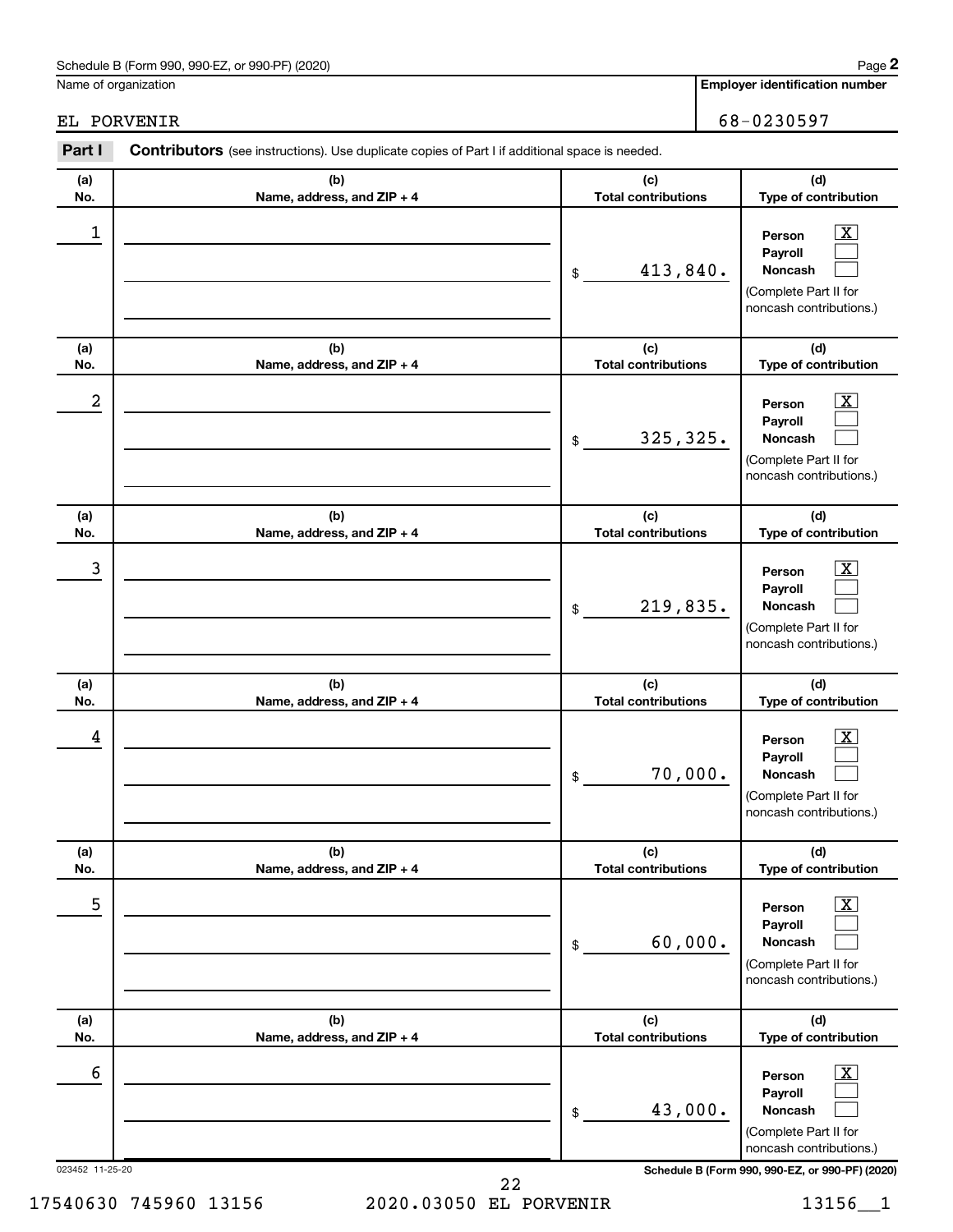# Schedule B (Form 990, 990-EZ, or 990-PF) (2020)

Name of organization

**Employer identification number**

# EL PORVENIR 68-0230597

| Part I          | <b>Contributors</b> (see instructions). Use duplicate copies of Part I if additional space is needed. |                                   |                                                                                                             |
|-----------------|-------------------------------------------------------------------------------------------------------|-----------------------------------|-------------------------------------------------------------------------------------------------------------|
| (a)<br>No.      | (b)<br>Name, address, and ZIP + 4                                                                     | (c)<br><b>Total contributions</b> | (d)<br>Type of contribution                                                                                 |
| 1               |                                                                                                       | 413,840.<br>\$                    | $\overline{\mathbf{X}}$<br>Person<br>Payroll<br>Noncash<br>(Complete Part II for<br>noncash contributions.) |
| (a)<br>No.      | (b)<br>Name, address, and ZIP + 4                                                                     | (c)<br><b>Total contributions</b> | (d)<br>Type of contribution                                                                                 |
| 2               |                                                                                                       | 325,325.<br>\$                    | $\mathbf{X}$<br>Person<br>Payroll<br>Noncash<br>(Complete Part II for<br>noncash contributions.)            |
| (a)<br>No.      | (b)<br>Name, address, and ZIP + 4                                                                     | (c)<br><b>Total contributions</b> | (d)<br>Type of contribution                                                                                 |
| 3               |                                                                                                       | 219,835.<br>\$                    | $\overline{\mathbf{X}}$<br>Person<br>Payroll<br>Noncash<br>(Complete Part II for<br>noncash contributions.) |
| (a)<br>No.      | (b)<br>Name, address, and ZIP + 4                                                                     | (c)<br><b>Total contributions</b> | (d)<br>Type of contribution                                                                                 |
| 4               |                                                                                                       | 70,000.<br>\$                     | $\mathbf{X}$<br>Person<br>Payroll<br>Noncash<br>(Complete Part II for<br>noncash contributions.)            |
| (a)<br>No.      | (b)<br>Name, address, and ZIP + 4                                                                     | (c)<br><b>Total contributions</b> | (d)<br>Type of contribution                                                                                 |
| 5               |                                                                                                       | 60,000.<br>$\,$                   | $\overline{\mathbf{X}}$<br>Person<br>Payroll<br>Noncash<br>(Complete Part II for<br>noncash contributions.) |
| (a)<br>No.      | (b)<br>Name, address, and ZIP + 4                                                                     | (c)<br><b>Total contributions</b> | (d)<br>Type of contribution                                                                                 |
| 6               |                                                                                                       | 43,000.<br>$\,$                   | $\overline{\mathbf{X}}$<br>Person<br>Payroll<br>Noncash<br>(Complete Part II for<br>noncash contributions.) |
| 023452 11-25-20 |                                                                                                       |                                   | Schedule B (Form 990, 990-EZ, or 990-PF) (2020)                                                             |

17540630 745960 13156 2020.03050 EL PORVENIR 13156 13156 22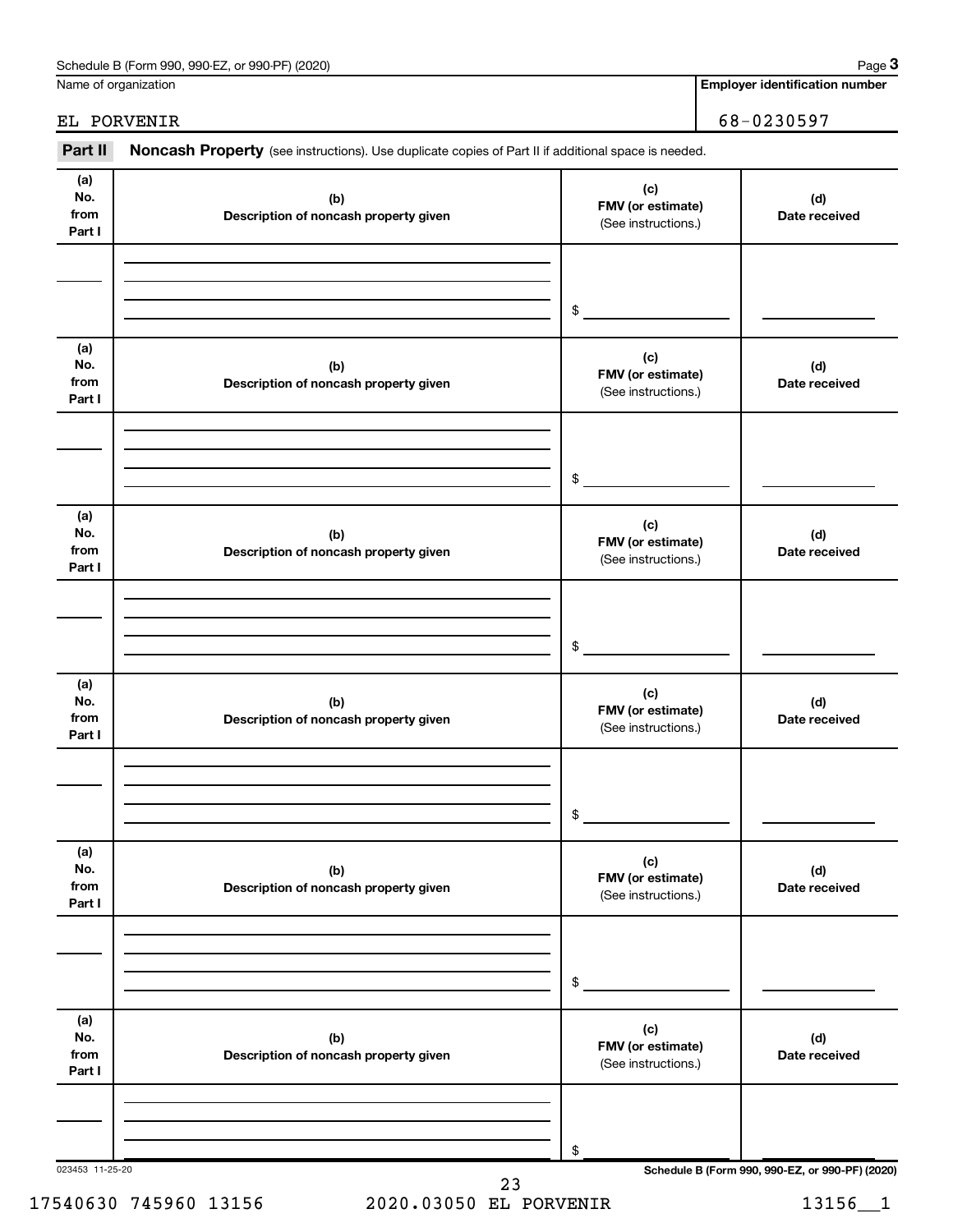| (2020)<br>990-EZ<br>Schedule<br>. or 990-PF)<br>B (Form 990. | Paɑe |
|--------------------------------------------------------------|------|
|                                                              |      |

Name of organization

**Employer identification number**

# EL PORVENIR 68-0230597

Part II Noncash Property (see instructions). Use duplicate copies of Part II if additional space is needed.

| (a)<br>No.<br>from<br>Part I | (b)<br>Description of noncash property given | (c)<br>FMV (or estimate)<br>(See instructions.) | (d)<br>Date received                            |
|------------------------------|----------------------------------------------|-------------------------------------------------|-------------------------------------------------|
|                              |                                              | $\frac{1}{2}$                                   |                                                 |
| (a)<br>No.<br>from<br>Part I | (b)<br>Description of noncash property given | (c)<br>FMV (or estimate)<br>(See instructions.) | (d)<br>Date received                            |
|                              |                                              | $\frac{1}{2}$                                   |                                                 |
| (a)<br>No.<br>from<br>Part I | (b)<br>Description of noncash property given | (c)<br>FMV (or estimate)<br>(See instructions.) | (d)<br>Date received                            |
|                              |                                              | \$                                              |                                                 |
| (a)<br>No.<br>from<br>Part I | (b)<br>Description of noncash property given | (c)<br>FMV (or estimate)<br>(See instructions.) | (d)<br>Date received                            |
|                              |                                              | \$                                              |                                                 |
| (a)<br>No.<br>from<br>Part I | (b)<br>Description of noncash property given | (c)<br>FMV (or estimate)<br>(See instructions.) | (d)<br>Date received                            |
|                              |                                              | \$                                              |                                                 |
| (a)<br>No.<br>from<br>Part I | (b)<br>Description of noncash property given | (c)<br>FMV (or estimate)<br>(See instructions.) | (d)<br>Date received                            |
|                              |                                              | \$                                              |                                                 |
| 023453 11-25-20              | 23                                           |                                                 | Schedule B (Form 990, 990-EZ, or 990-PF) (2020) |

17540630 745960 13156 2020.03050 EL PORVENIR 13156\_\_1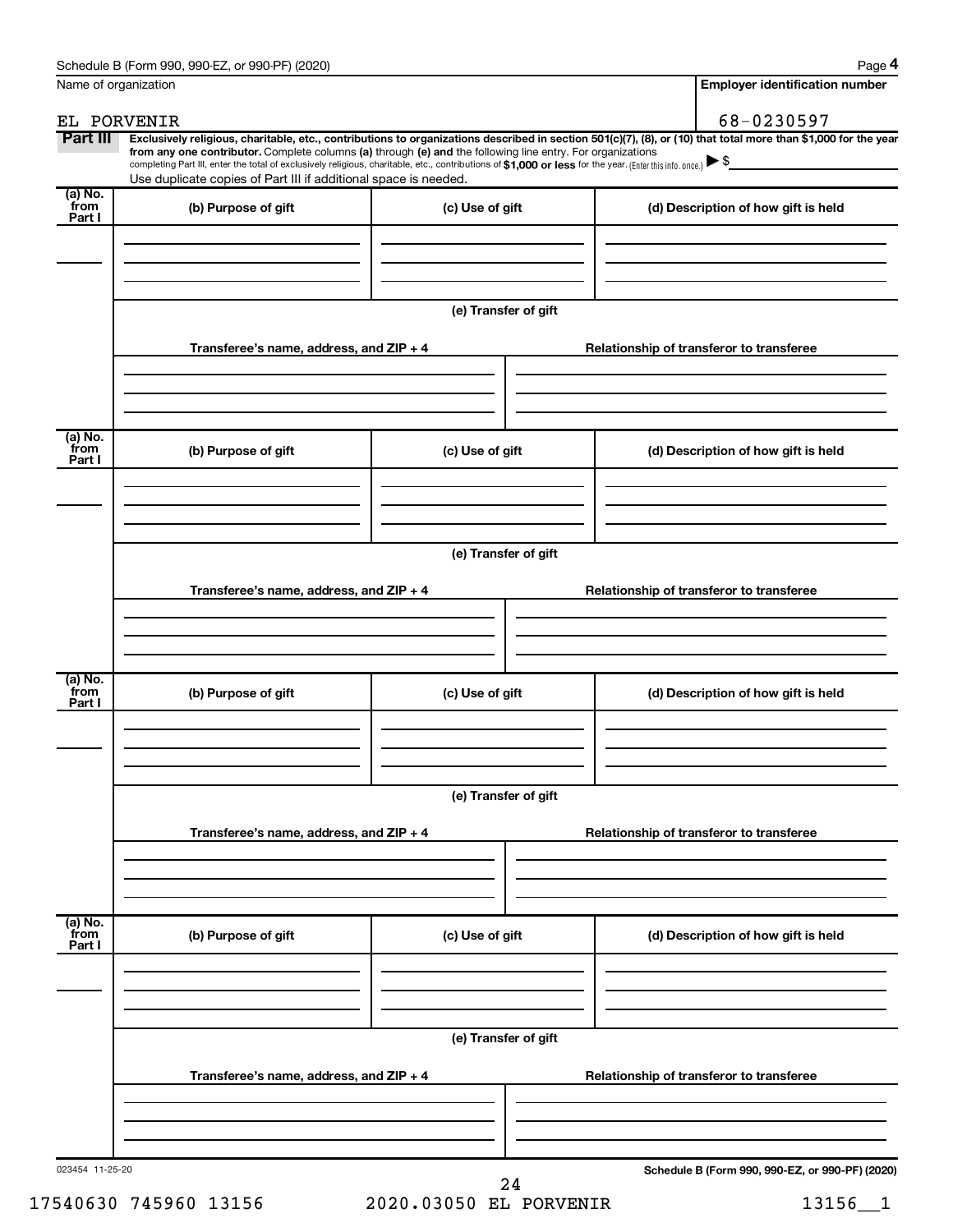| Part III                  | EL PORVENIR<br>Exclusively religious, charitable, etc., contributions to organizations described in section 501(c)(7), (8), or (10) that total more than \$1,000 for the year                                               |                      |  | 68-0230597                               |  |  |  |
|---------------------------|-----------------------------------------------------------------------------------------------------------------------------------------------------------------------------------------------------------------------------|----------------------|--|------------------------------------------|--|--|--|
|                           | from any one contributor. Complete columns (a) through (e) and the following line entry. For organizations                                                                                                                  |                      |  |                                          |  |  |  |
|                           | completing Part III, enter the total of exclusively religious, charitable, etc., contributions of \$1,000 or less for the year. (Enter this info. once.)<br>Use duplicate copies of Part III if additional space is needed. |                      |  |                                          |  |  |  |
| (a) No.                   |                                                                                                                                                                                                                             |                      |  |                                          |  |  |  |
| from<br>Part I            | (b) Purpose of gift                                                                                                                                                                                                         | (c) Use of gift      |  | (d) Description of how gift is held      |  |  |  |
|                           |                                                                                                                                                                                                                             |                      |  |                                          |  |  |  |
|                           |                                                                                                                                                                                                                             |                      |  |                                          |  |  |  |
|                           |                                                                                                                                                                                                                             |                      |  |                                          |  |  |  |
|                           |                                                                                                                                                                                                                             |                      |  |                                          |  |  |  |
|                           |                                                                                                                                                                                                                             |                      |  |                                          |  |  |  |
|                           | Transferee's name, address, and $ZIP + 4$                                                                                                                                                                                   |                      |  | Relationship of transferor to transferee |  |  |  |
|                           |                                                                                                                                                                                                                             |                      |  |                                          |  |  |  |
|                           |                                                                                                                                                                                                                             |                      |  |                                          |  |  |  |
| (a) No.                   |                                                                                                                                                                                                                             |                      |  |                                          |  |  |  |
| from<br>Part I            | (b) Purpose of gift                                                                                                                                                                                                         | (c) Use of gift      |  | (d) Description of how gift is held      |  |  |  |
|                           |                                                                                                                                                                                                                             |                      |  |                                          |  |  |  |
|                           |                                                                                                                                                                                                                             |                      |  |                                          |  |  |  |
|                           |                                                                                                                                                                                                                             |                      |  |                                          |  |  |  |
|                           |                                                                                                                                                                                                                             | (e) Transfer of gift |  |                                          |  |  |  |
|                           |                                                                                                                                                                                                                             |                      |  |                                          |  |  |  |
|                           | Transferee's name, address, and $ZIP + 4$                                                                                                                                                                                   |                      |  | Relationship of transferor to transferee |  |  |  |
|                           |                                                                                                                                                                                                                             |                      |  |                                          |  |  |  |
|                           |                                                                                                                                                                                                                             |                      |  |                                          |  |  |  |
|                           |                                                                                                                                                                                                                             |                      |  |                                          |  |  |  |
| (a) No.<br>from<br>Part I | (b) Purpose of gift                                                                                                                                                                                                         | (c) Use of gift      |  | (d) Description of how gift is held      |  |  |  |
|                           |                                                                                                                                                                                                                             |                      |  |                                          |  |  |  |
|                           |                                                                                                                                                                                                                             |                      |  |                                          |  |  |  |
|                           |                                                                                                                                                                                                                             |                      |  |                                          |  |  |  |
|                           |                                                                                                                                                                                                                             | (e) Transfer of gift |  |                                          |  |  |  |
|                           |                                                                                                                                                                                                                             |                      |  |                                          |  |  |  |
|                           | Transferee's name, address, and $ZIP + 4$                                                                                                                                                                                   |                      |  | Relationship of transferor to transferee |  |  |  |
|                           |                                                                                                                                                                                                                             |                      |  |                                          |  |  |  |
|                           |                                                                                                                                                                                                                             |                      |  |                                          |  |  |  |
|                           |                                                                                                                                                                                                                             |                      |  |                                          |  |  |  |
| (a) No.<br>from           | (b) Purpose of gift                                                                                                                                                                                                         | (c) Use of gift      |  | (d) Description of how gift is held      |  |  |  |
| Part I                    |                                                                                                                                                                                                                             |                      |  |                                          |  |  |  |
|                           |                                                                                                                                                                                                                             |                      |  |                                          |  |  |  |
|                           |                                                                                                                                                                                                                             |                      |  |                                          |  |  |  |
|                           |                                                                                                                                                                                                                             | (e) Transfer of gift |  |                                          |  |  |  |
|                           |                                                                                                                                                                                                                             |                      |  |                                          |  |  |  |
|                           | Transferee's name, address, and $ZIP + 4$                                                                                                                                                                                   |                      |  | Relationship of transferor to transferee |  |  |  |
|                           |                                                                                                                                                                                                                             |                      |  |                                          |  |  |  |
|                           |                                                                                                                                                                                                                             |                      |  |                                          |  |  |  |
|                           |                                                                                                                                                                                                                             |                      |  |                                          |  |  |  |
|                           |                                                                                                                                                                                                                             |                      |  |                                          |  |  |  |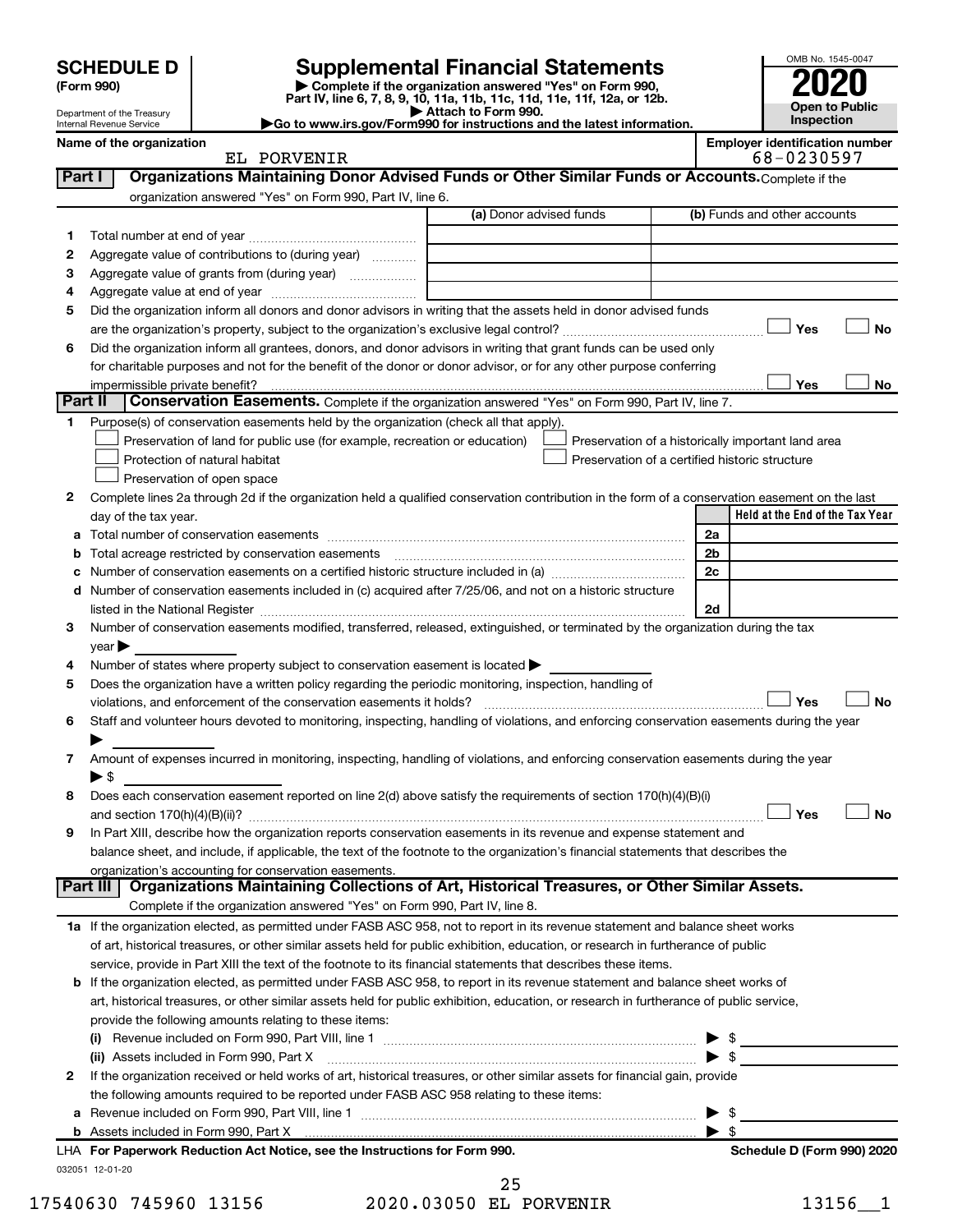| <b>SCHEDULE D</b> |  |
|-------------------|--|
|-------------------|--|

# **SCHEDULE D Supplemental Financial Statements**<br> **Form 990 2020**<br> **Part IV** line 6.7.8.9.10, 11a, 11b, 11d, 11d, 11d, 11d, 11d, 12a, 0r, 12b

**(Form 990) | Complete if the organization answered "Yes" on Form 990, Part IV, line 6, 7, 8, 9, 10, 11a, 11b, 11c, 11d, 11e, 11f, 12a, or 12b.**

**| Attach to Form 990. |Go to www.irs.gov/Form990 for instructions and the latest information.**



Department of the Treasury Internal Revenue Service **Name of the organization Employer identification number**

| EL PORVENIR | 68-0230597 |
|-------------|------------|
|             |            |

| Part I       | Organizations Maintaining Donor Advised Funds or Other Similar Funds or Accounts. Complete if the                                              |                         |                |                                                    |
|--------------|------------------------------------------------------------------------------------------------------------------------------------------------|-------------------------|----------------|----------------------------------------------------|
|              | organization answered "Yes" on Form 990, Part IV, line 6.                                                                                      |                         |                |                                                    |
|              |                                                                                                                                                | (a) Donor advised funds |                | (b) Funds and other accounts                       |
| 1.           |                                                                                                                                                |                         |                |                                                    |
| 2            | Aggregate value of contributions to (during year)                                                                                              |                         |                |                                                    |
| З            | Aggregate value of grants from (during year)                                                                                                   |                         |                |                                                    |
| 4            |                                                                                                                                                |                         |                |                                                    |
| 5            | Did the organization inform all donors and donor advisors in writing that the assets held in donor advised funds                               |                         |                |                                                    |
|              |                                                                                                                                                |                         |                | Yes<br><b>No</b>                                   |
| 6            | Did the organization inform all grantees, donors, and donor advisors in writing that grant funds can be used only                              |                         |                |                                                    |
|              | for charitable purposes and not for the benefit of the donor or donor advisor, or for any other purpose conferring                             |                         |                |                                                    |
|              | impermissible private benefit?                                                                                                                 |                         |                | Yes<br>No                                          |
| Part II      | <b>Conservation Easements.</b> Complete if the organization answered "Yes" on Form 990, Part IV, line 7.                                       |                         |                |                                                    |
| 1.           | Purpose(s) of conservation easements held by the organization (check all that apply).                                                          |                         |                |                                                    |
|              | Preservation of land for public use (for example, recreation or education)                                                                     |                         |                | Preservation of a historically important land area |
|              | Protection of natural habitat                                                                                                                  |                         |                | Preservation of a certified historic structure     |
|              | Preservation of open space                                                                                                                     |                         |                |                                                    |
| 2            | Complete lines 2a through 2d if the organization held a qualified conservation contribution in the form of a conservation easement on the last |                         |                |                                                    |
|              | day of the tax year.                                                                                                                           |                         |                | Held at the End of the Tax Year                    |
| a            |                                                                                                                                                |                         | 2a             |                                                    |
| b            | Total acreage restricted by conservation easements                                                                                             |                         | 2 <sub>b</sub> |                                                    |
|              | Number of conservation easements on a certified historic structure included in (a) manufacture included in (a)                                 |                         | 2c             |                                                    |
|              | d Number of conservation easements included in (c) acquired after 7/25/06, and not on a historic structure                                     |                         |                |                                                    |
|              | listed in the National Register [111] [12] The Marian Marian Marian Marian Marian Marian Marian Marian Marian M                                |                         | 2d             |                                                    |
| 3            | Number of conservation easements modified, transferred, released, extinguished, or terminated by the organization during the tax               |                         |                |                                                    |
|              | year                                                                                                                                           |                         |                |                                                    |
| 4            | Number of states where property subject to conservation easement is located >                                                                  |                         |                |                                                    |
| 5            | Does the organization have a written policy regarding the periodic monitoring, inspection, handling of                                         |                         |                |                                                    |
|              | violations, and enforcement of the conservation easements it holds?                                                                            |                         |                | Yes<br>No                                          |
| 6            | Staff and volunteer hours devoted to monitoring, inspecting, handling of violations, and enforcing conservation easements during the year      |                         |                |                                                    |
|              | Amount of expenses incurred in monitoring, inspecting, handling of violations, and enforcing conservation easements during the year            |                         |                |                                                    |
| 7            | $\blacktriangleright$ \$                                                                                                                       |                         |                |                                                    |
| 8            | Does each conservation easement reported on line 2(d) above satisfy the requirements of section 170(h)(4)(B)(i)                                |                         |                |                                                    |
|              |                                                                                                                                                |                         |                | Yes<br>Nο                                          |
| 9            | In Part XIII, describe how the organization reports conservation easements in its revenue and expense statement and                            |                         |                |                                                    |
|              | balance sheet, and include, if applicable, the text of the footnote to the organization's financial statements that describes the              |                         |                |                                                    |
|              | organization's accounting for conservation easements.                                                                                          |                         |                |                                                    |
|              | Organizations Maintaining Collections of Art, Historical Treasures, or Other Similar Assets.<br>Part III                                       |                         |                |                                                    |
|              | Complete if the organization answered "Yes" on Form 990, Part IV, line 8.                                                                      |                         |                |                                                    |
|              | 1a If the organization elected, as permitted under FASB ASC 958, not to report in its revenue statement and balance sheet works                |                         |                |                                                    |
|              | of art, historical treasures, or other similar assets held for public exhibition, education, or research in furtherance of public              |                         |                |                                                    |
|              | service, provide in Part XIII the text of the footnote to its financial statements that describes these items.                                 |                         |                |                                                    |
|              | <b>b</b> If the organization elected, as permitted under FASB ASC 958, to report in its revenue statement and balance sheet works of           |                         |                |                                                    |
|              | art, historical treasures, or other similar assets held for public exhibition, education, or research in furtherance of public service,        |                         |                |                                                    |
|              | provide the following amounts relating to these items:                                                                                         |                         |                |                                                    |
|              |                                                                                                                                                |                         |                | \$                                                 |
|              | (ii) Assets included in Form 990, Part X                                                                                                       |                         |                | $\blacktriangleright$ s                            |
| $\mathbf{2}$ | If the organization received or held works of art, historical treasures, or other similar assets for financial gain, provide                   |                         |                |                                                    |
|              | the following amounts required to be reported under FASB ASC 958 relating to these items:                                                      |                         |                |                                                    |
|              |                                                                                                                                                |                         |                | \$                                                 |
|              | <b>b</b> Assets included in Form 990, Part X                                                                                                   |                         |                | $\blacktriangleright$ \$                           |
|              | LHA For Paperwork Reduction Act Notice, see the Instructions for Form 990.                                                                     |                         |                | Schedule D (Form 990) 2020                         |
|              | 032051 12-01-20                                                                                                                                |                         |                |                                                    |

| <b>UULUUI IL UI LU</b> |                        |       |
|------------------------|------------------------|-------|
| 17540630 745960 13156  | 2020.03050 EL PORVENIR | 13156 |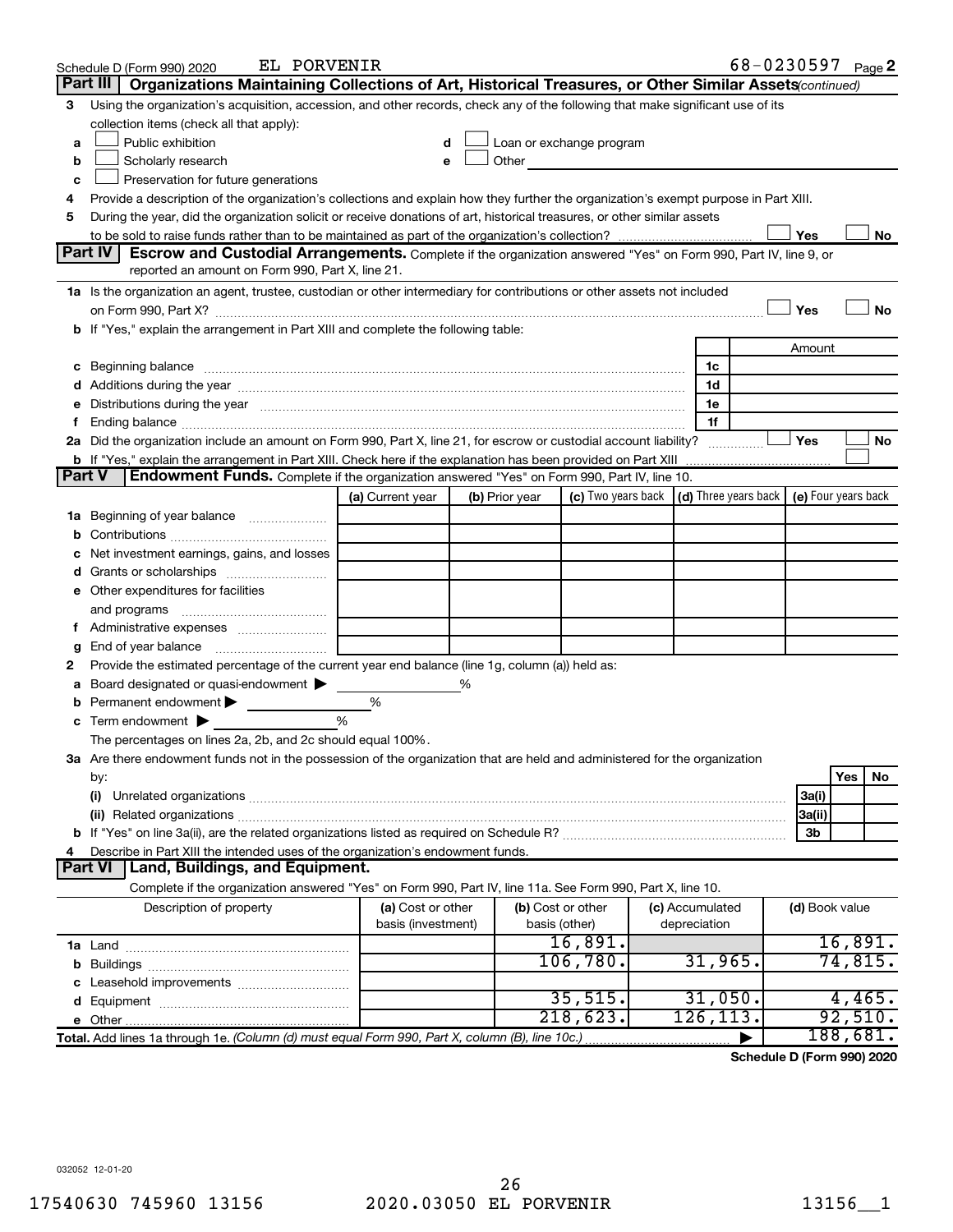|   | EL PORVENIR<br>Schedule D (Form 990) 2020                                                                                                                                                                                                                                                                                                            |                                         |   |                |                                                                                                                                                                                                                               |                                                                             | 68-0230597 Page 2 |          |    |
|---|------------------------------------------------------------------------------------------------------------------------------------------------------------------------------------------------------------------------------------------------------------------------------------------------------------------------------------------------------|-----------------------------------------|---|----------------|-------------------------------------------------------------------------------------------------------------------------------------------------------------------------------------------------------------------------------|-----------------------------------------------------------------------------|-------------------|----------|----|
|   | Part III  <br>Organizations Maintaining Collections of Art, Historical Treasures, or Other Similar Assets (continued)                                                                                                                                                                                                                                |                                         |   |                |                                                                                                                                                                                                                               |                                                                             |                   |          |    |
| 3 | Using the organization's acquisition, accession, and other records, check any of the following that make significant use of its                                                                                                                                                                                                                      |                                         |   |                |                                                                                                                                                                                                                               |                                                                             |                   |          |    |
|   | collection items (check all that apply):                                                                                                                                                                                                                                                                                                             |                                         |   |                |                                                                                                                                                                                                                               |                                                                             |                   |          |    |
| a | Public exhibition                                                                                                                                                                                                                                                                                                                                    |                                         |   |                | Loan or exchange program                                                                                                                                                                                                      |                                                                             |                   |          |    |
| b | Scholarly research                                                                                                                                                                                                                                                                                                                                   |                                         |   |                | Other and the contract of the contract of the contract of the contract of the contract of the contract of the contract of the contract of the contract of the contract of the contract of the contract of the contract of the |                                                                             |                   |          |    |
| с | Preservation for future generations                                                                                                                                                                                                                                                                                                                  |                                         |   |                |                                                                                                                                                                                                                               |                                                                             |                   |          |    |
| 4 | Provide a description of the organization's collections and explain how they further the organization's exempt purpose in Part XIII.                                                                                                                                                                                                                 |                                         |   |                |                                                                                                                                                                                                                               |                                                                             |                   |          |    |
| 5 | During the year, did the organization solicit or receive donations of art, historical treasures, or other similar assets                                                                                                                                                                                                                             |                                         |   |                |                                                                                                                                                                                                                               |                                                                             |                   |          |    |
|   |                                                                                                                                                                                                                                                                                                                                                      |                                         |   |                |                                                                                                                                                                                                                               |                                                                             | Yes               |          | No |
|   | Part IV<br><b>Escrow and Custodial Arrangements.</b> Complete if the organization answered "Yes" on Form 990, Part IV, line 9, or                                                                                                                                                                                                                    |                                         |   |                |                                                                                                                                                                                                                               |                                                                             |                   |          |    |
|   | reported an amount on Form 990, Part X, line 21.                                                                                                                                                                                                                                                                                                     |                                         |   |                |                                                                                                                                                                                                                               |                                                                             |                   |          |    |
|   | 1a Is the organization an agent, trustee, custodian or other intermediary for contributions or other assets not included                                                                                                                                                                                                                             |                                         |   |                |                                                                                                                                                                                                                               |                                                                             |                   |          |    |
|   | on Form 990, Part X? [11] matter contracts and contracts and contracts are contracted and contracts are contracted and contract and contract of the set of the set of the set of the set of the set of the set of the set of t                                                                                                                       |                                         |   |                |                                                                                                                                                                                                                               |                                                                             | Yes               |          | No |
|   | b If "Yes," explain the arrangement in Part XIII and complete the following table:                                                                                                                                                                                                                                                                   |                                         |   |                |                                                                                                                                                                                                                               |                                                                             |                   |          |    |
|   |                                                                                                                                                                                                                                                                                                                                                      |                                         |   |                |                                                                                                                                                                                                                               |                                                                             | Amount            |          |    |
|   | c Beginning balance <b>communications</b> and the contract of the contract of the contract of the contract of the contract of the contract of the contract of the contract of the contract of the contract of the contract of the c                                                                                                                  |                                         |   |                |                                                                                                                                                                                                                               | 1c                                                                          |                   |          |    |
|   | d Additions during the year measurement contains and a final state of the year measurement of the year measurement of the state of the state of the state of the state of the state of the state of the state of the state of                                                                                                                        |                                         |   |                |                                                                                                                                                                                                                               | 1d                                                                          |                   |          |    |
|   | e Distributions during the year manufactured and continuum and continuum and continuum and continuum and continuum and continuum and continuum and continuum and continuum and continuum and continuum and continuum and conti                                                                                                                       |                                         |   |                |                                                                                                                                                                                                                               | 1e                                                                          |                   |          |    |
|   | f Ending balance measurements and the contract of the contract of the contract of the contract of the contract of the contract of the contract of the contract of the contract of the contract of the contract of the contract<br>2a Did the organization include an amount on Form 990, Part X, line 21, for escrow or custodial account liability? |                                         |   |                |                                                                                                                                                                                                                               | 1f                                                                          | ∣ Yes             |          | No |
|   |                                                                                                                                                                                                                                                                                                                                                      |                                         |   |                |                                                                                                                                                                                                                               |                                                                             |                   |          |    |
|   | Endowment Funds. Complete if the organization answered "Yes" on Form 990, Part IV, line 10.<br><b>Part V</b>                                                                                                                                                                                                                                         |                                         |   |                |                                                                                                                                                                                                                               |                                                                             |                   |          |    |
|   |                                                                                                                                                                                                                                                                                                                                                      | (a) Current year                        |   | (b) Prior year |                                                                                                                                                                                                                               | (c) Two years back $\vert$ (d) Three years back $\vert$ (e) Four years back |                   |          |    |
|   | 1a Beginning of year balance                                                                                                                                                                                                                                                                                                                         |                                         |   |                |                                                                                                                                                                                                                               |                                                                             |                   |          |    |
| b |                                                                                                                                                                                                                                                                                                                                                      |                                         |   |                |                                                                                                                                                                                                                               |                                                                             |                   |          |    |
|   | Net investment earnings, gains, and losses                                                                                                                                                                                                                                                                                                           |                                         |   |                |                                                                                                                                                                                                                               |                                                                             |                   |          |    |
|   |                                                                                                                                                                                                                                                                                                                                                      |                                         |   |                |                                                                                                                                                                                                                               |                                                                             |                   |          |    |
|   | e Other expenditures for facilities                                                                                                                                                                                                                                                                                                                  |                                         |   |                |                                                                                                                                                                                                                               |                                                                             |                   |          |    |
|   |                                                                                                                                                                                                                                                                                                                                                      |                                         |   |                |                                                                                                                                                                                                                               |                                                                             |                   |          |    |
|   | f Administrative expenses                                                                                                                                                                                                                                                                                                                            |                                         |   |                |                                                                                                                                                                                                                               |                                                                             |                   |          |    |
| g |                                                                                                                                                                                                                                                                                                                                                      |                                         |   |                |                                                                                                                                                                                                                               |                                                                             |                   |          |    |
| 2 | Provide the estimated percentage of the current year end balance (line 1g, column (a)) held as:                                                                                                                                                                                                                                                      |                                         |   |                |                                                                                                                                                                                                                               |                                                                             |                   |          |    |
| а | Board designated or quasi-endowment                                                                                                                                                                                                                                                                                                                  |                                         | % |                |                                                                                                                                                                                                                               |                                                                             |                   |          |    |
|   | <b>b</b> Permanent endowment $\blacktriangleright$                                                                                                                                                                                                                                                                                                   | %                                       |   |                |                                                                                                                                                                                                                               |                                                                             |                   |          |    |
|   | $\mathbf c$ Term endowment $\blacktriangleright$                                                                                                                                                                                                                                                                                                     | $\frac{0}{0}$                           |   |                |                                                                                                                                                                                                                               |                                                                             |                   |          |    |
|   | The percentages on lines 2a, 2b, and 2c should equal 100%.                                                                                                                                                                                                                                                                                           |                                         |   |                |                                                                                                                                                                                                                               |                                                                             |                   |          |    |
|   | 3a Are there endowment funds not in the possession of the organization that are held and administered for the organization                                                                                                                                                                                                                           |                                         |   |                |                                                                                                                                                                                                                               |                                                                             |                   |          |    |
|   | by:                                                                                                                                                                                                                                                                                                                                                  |                                         |   |                |                                                                                                                                                                                                                               |                                                                             |                   | Yes      | No |
|   | (i)                                                                                                                                                                                                                                                                                                                                                  |                                         |   |                |                                                                                                                                                                                                                               |                                                                             | 3a(i)             |          |    |
|   |                                                                                                                                                                                                                                                                                                                                                      |                                         |   |                |                                                                                                                                                                                                                               |                                                                             | 3a(ii)            |          |    |
|   |                                                                                                                                                                                                                                                                                                                                                      |                                         |   |                |                                                                                                                                                                                                                               |                                                                             | 3b                |          |    |
| 4 | Describe in Part XIII the intended uses of the organization's endowment funds.                                                                                                                                                                                                                                                                       |                                         |   |                |                                                                                                                                                                                                                               |                                                                             |                   |          |    |
|   | Land, Buildings, and Equipment.<br><b>Part VI</b>                                                                                                                                                                                                                                                                                                    |                                         |   |                |                                                                                                                                                                                                                               |                                                                             |                   |          |    |
|   | Complete if the organization answered "Yes" on Form 990, Part IV, line 11a. See Form 990, Part X, line 10.                                                                                                                                                                                                                                           |                                         |   |                |                                                                                                                                                                                                                               |                                                                             |                   |          |    |
|   | Description of property                                                                                                                                                                                                                                                                                                                              | (a) Cost or other<br>basis (investment) |   |                | (b) Cost or other<br>basis (other)                                                                                                                                                                                            | (c) Accumulated<br>depreciation                                             | (d) Book value    |          |    |
|   |                                                                                                                                                                                                                                                                                                                                                      |                                         |   |                | 16,891.                                                                                                                                                                                                                       |                                                                             |                   | 16,891.  |    |
|   |                                                                                                                                                                                                                                                                                                                                                      |                                         |   |                | 106,780.                                                                                                                                                                                                                      | 31,965.                                                                     |                   | 74,815.  |    |
|   |                                                                                                                                                                                                                                                                                                                                                      |                                         |   |                |                                                                                                                                                                                                                               |                                                                             |                   |          |    |
|   |                                                                                                                                                                                                                                                                                                                                                      |                                         |   |                | 35,515.                                                                                                                                                                                                                       | 31,050.                                                                     |                   | 4,465.   |    |
|   |                                                                                                                                                                                                                                                                                                                                                      |                                         |   |                | 218,623.                                                                                                                                                                                                                      | 126, 113.                                                                   |                   | 92,510.  |    |
|   | Total. Add lines 1a through 1e. (Column (d) must equal Form 990, Part X, column (B), line 10c.)                                                                                                                                                                                                                                                      |                                         |   |                |                                                                                                                                                                                                                               |                                                                             |                   | 188,681. |    |

**Schedule D (Form 990) 2020**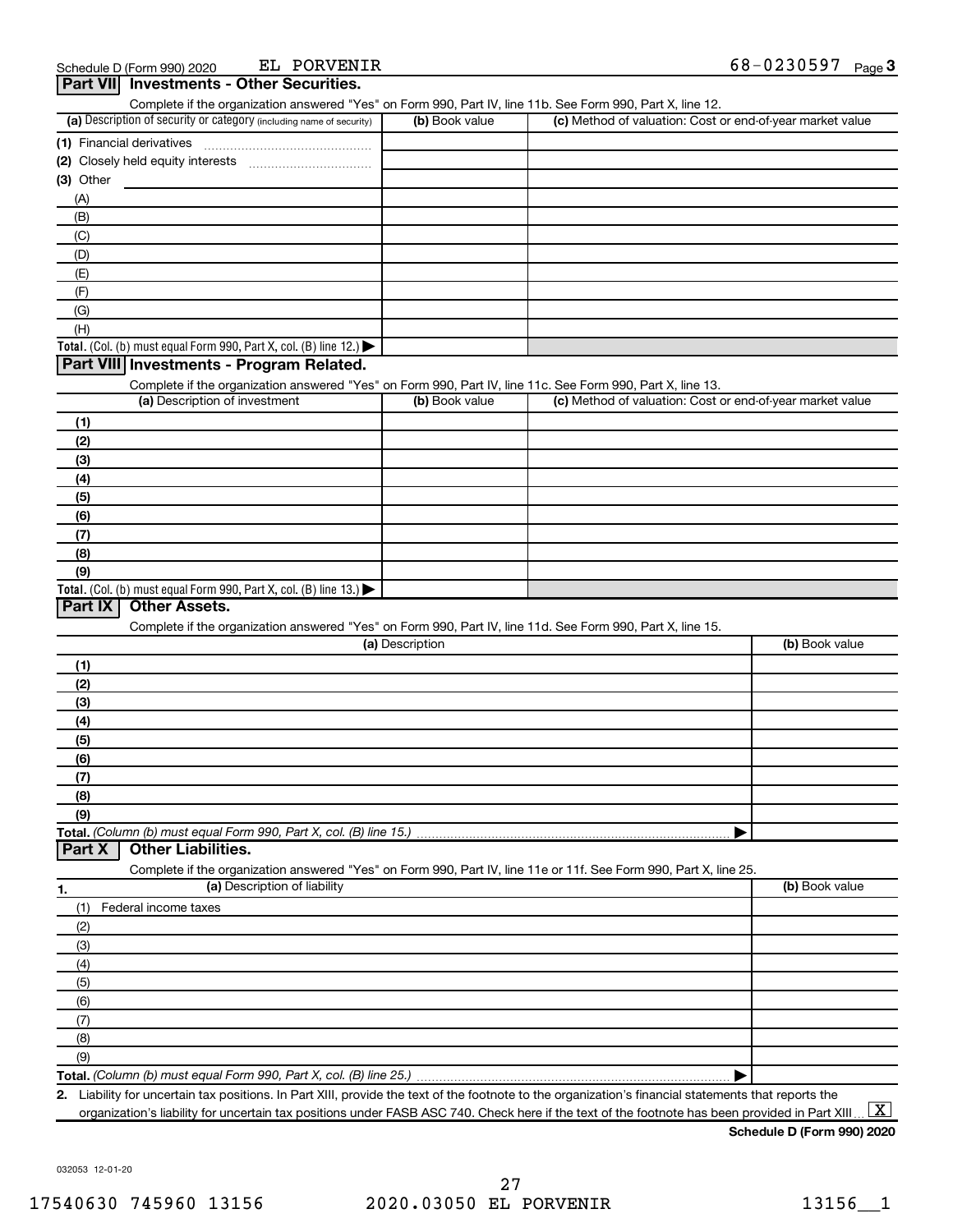**Part VII Investments - Other Securities.**

| Complete if the organization answered "Yes" on Form 990, Part IV, line 11b. See Form 990, Part X, line 12.        |                 |                                                           |                |
|-------------------------------------------------------------------------------------------------------------------|-----------------|-----------------------------------------------------------|----------------|
| (a) Description of security or category (including name of security)                                              | (b) Book value  | (c) Method of valuation: Cost or end-of-year market value |                |
|                                                                                                                   |                 |                                                           |                |
|                                                                                                                   |                 |                                                           |                |
| (3) Other                                                                                                         |                 |                                                           |                |
| (A)                                                                                                               |                 |                                                           |                |
|                                                                                                                   |                 |                                                           |                |
| (B)                                                                                                               |                 |                                                           |                |
| (C)                                                                                                               |                 |                                                           |                |
| (D)                                                                                                               |                 |                                                           |                |
| (E)                                                                                                               |                 |                                                           |                |
| (F)                                                                                                               |                 |                                                           |                |
| (G)                                                                                                               |                 |                                                           |                |
| (H)                                                                                                               |                 |                                                           |                |
| Total. (Col. (b) must equal Form 990, Part X, col. (B) line 12.) $\blacktriangleright$                            |                 |                                                           |                |
| Part VIII Investments - Program Related.                                                                          |                 |                                                           |                |
| Complete if the organization answered "Yes" on Form 990, Part IV, line 11c. See Form 990, Part X, line 13.        |                 |                                                           |                |
| (a) Description of investment                                                                                     | (b) Book value  | (c) Method of valuation: Cost or end-of-year market value |                |
| (1)                                                                                                               |                 |                                                           |                |
| (2)                                                                                                               |                 |                                                           |                |
| (3)                                                                                                               |                 |                                                           |                |
| (4)                                                                                                               |                 |                                                           |                |
| (5)                                                                                                               |                 |                                                           |                |
|                                                                                                                   |                 |                                                           |                |
| (6)                                                                                                               |                 |                                                           |                |
| (7)                                                                                                               |                 |                                                           |                |
| (8)                                                                                                               |                 |                                                           |                |
| (9)                                                                                                               |                 |                                                           |                |
| Total. (Col. (b) must equal Form 990, Part X, col. (B) line 13.) $\blacktriangleright$                            |                 |                                                           |                |
| <b>Part IX</b><br><b>Other Assets.</b>                                                                            |                 |                                                           |                |
| Complete if the organization answered "Yes" on Form 990, Part IV, line 11d. See Form 990, Part X, line 15.        |                 |                                                           |                |
|                                                                                                                   | (a) Description |                                                           | (b) Book value |
| (1)                                                                                                               |                 |                                                           |                |
| (2)                                                                                                               |                 |                                                           |                |
| (3)                                                                                                               |                 |                                                           |                |
| (4)                                                                                                               |                 |                                                           |                |
| (5)                                                                                                               |                 |                                                           |                |
|                                                                                                                   |                 |                                                           |                |
|                                                                                                                   |                 |                                                           |                |
| (6)                                                                                                               |                 |                                                           |                |
| (7)                                                                                                               |                 |                                                           |                |
| (8)                                                                                                               |                 |                                                           |                |
| (9)                                                                                                               |                 |                                                           |                |
|                                                                                                                   |                 |                                                           |                |
| <b>Other Liabilities.</b><br>Part X                                                                               |                 |                                                           |                |
| Complete if the organization answered "Yes" on Form 990, Part IV, line 11e or 11f. See Form 990, Part X, line 25. |                 |                                                           |                |
| (a) Description of liability<br>1.                                                                                |                 |                                                           | (b) Book value |
| (1)<br>Federal income taxes                                                                                       |                 |                                                           |                |
| (2)                                                                                                               |                 |                                                           |                |
| (3)                                                                                                               |                 |                                                           |                |
| (4)                                                                                                               |                 |                                                           |                |
| (5)                                                                                                               |                 |                                                           |                |
| (6)                                                                                                               |                 |                                                           |                |
| (7)                                                                                                               |                 |                                                           |                |
|                                                                                                                   |                 |                                                           |                |
| (8)                                                                                                               |                 |                                                           |                |
| (9)                                                                                                               |                 | ▶                                                         |                |

**2.** Liability for uncertain tax positions. In Part XIII, provide the text of the footnote to the organization's financial statements that reports the organization's liability for uncertain tax positions under FASB ASC 740. Check here if the text of the footnote has been provided in Part XIII ...  $\fbox{\bf X}$ 

**Schedule D (Form 990) 2020**

032053 12-01-20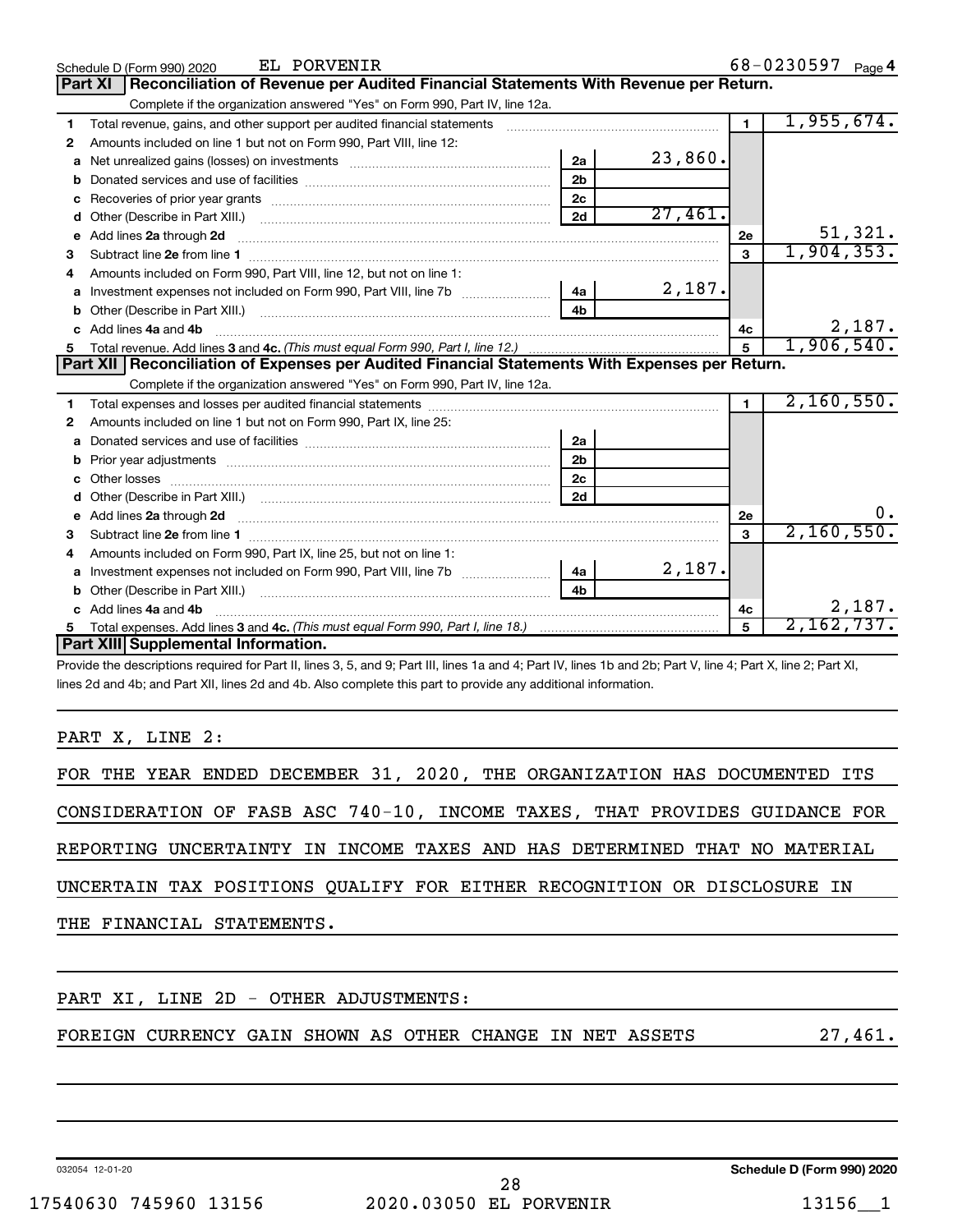|              | EL PORVENIR<br>Schedule D (Form 990) 2020                                                                                                                                                                                            |                |         |                | 68-0230597 Page 4 |
|--------------|--------------------------------------------------------------------------------------------------------------------------------------------------------------------------------------------------------------------------------------|----------------|---------|----------------|-------------------|
|              | Reconciliation of Revenue per Audited Financial Statements With Revenue per Return.<br><b>Part XI</b>                                                                                                                                |                |         |                |                   |
|              | Complete if the organization answered "Yes" on Form 990, Part IV, line 12a.                                                                                                                                                          |                |         |                |                   |
| 1            | Total revenue, gains, and other support per audited financial statements [111] [11] Total revenue, gains, and other support per audited financial statements                                                                         |                |         | $\blacksquare$ | 1,955,674.        |
| $\mathbf{2}$ | Amounts included on line 1 but not on Form 990, Part VIII, line 12:                                                                                                                                                                  |                |         |                |                   |
| a            |                                                                                                                                                                                                                                      | 2a             | 23,860. |                |                   |
| b            |                                                                                                                                                                                                                                      | 2 <sub>b</sub> |         |                |                   |
| c            |                                                                                                                                                                                                                                      | 2c             |         |                |                   |
| d            | Other (Describe in Part XIII.)                                                                                                                                                                                                       | 2d             | 27,461. |                |                   |
| е            | Add lines 2a through 2d                                                                                                                                                                                                              |                |         | 2e             | 51,321.           |
| З.           |                                                                                                                                                                                                                                      |                |         | 3              | 1,904,353.        |
|              | Amounts included on Form 990, Part VIII, line 12, but not on line 1:                                                                                                                                                                 |                |         |                |                   |
| a            |                                                                                                                                                                                                                                      | 4a             | 2,187.  |                |                   |
| b            |                                                                                                                                                                                                                                      | 4 <sub>b</sub> |         |                |                   |
| C.           | Add lines 4a and 4b                                                                                                                                                                                                                  |                |         | 4c             | 2,187.            |
| 5            |                                                                                                                                                                                                                                      |                |         | $\overline{5}$ | 1,906,540.        |
|              |                                                                                                                                                                                                                                      |                |         |                |                   |
|              | Part XII   Reconciliation of Expenses per Audited Financial Statements With Expenses per Return.                                                                                                                                     |                |         |                |                   |
|              | Complete if the organization answered "Yes" on Form 990, Part IV, line 12a.                                                                                                                                                          |                |         |                |                   |
| 1            |                                                                                                                                                                                                                                      |                |         |                | 2,160,550.        |
| 2            | Amounts included on line 1 but not on Form 990, Part IX, line 25:                                                                                                                                                                    |                |         |                |                   |
| a            |                                                                                                                                                                                                                                      | <b>2a</b>      |         |                |                   |
| b            |                                                                                                                                                                                                                                      | 2 <sub>b</sub> |         |                |                   |
| c            |                                                                                                                                                                                                                                      | 2c             |         |                |                   |
|              |                                                                                                                                                                                                                                      | 2d             |         |                |                   |
| e            |                                                                                                                                                                                                                                      |                |         | 2e             |                   |
| 3            | Add lines 2a through 2d <b>contract and contract and contract and contract and contract and contract and contract and contract and contract and contract and contract and contract and contract and contract and contract and co</b> |                |         | 3              | 2,160,550.        |
| 4            | Amounts included on Form 990, Part IX, line 25, but not on line 1:                                                                                                                                                                   |                |         |                |                   |
| a            |                                                                                                                                                                                                                                      | 4a             | 2,187.  |                |                   |
|              |                                                                                                                                                                                                                                      | 4h             |         |                |                   |
|              | Add lines 4a and 4b                                                                                                                                                                                                                  |                |         | 4c             | 2,187.            |
| 5            | Part XIII Supplemental Information.                                                                                                                                                                                                  |                |         | 5              | 2,162,737.        |

Provide the descriptions required for Part II, lines 3, 5, and 9; Part III, lines 1a and 4; Part IV, lines 1b and 2b; Part V, line 4; Part X, line 2; Part XI, lines 2d and 4b; and Part XII, lines 2d and 4b. Also complete this part to provide any additional information.

PART X, LINE 2:

|  |  |                           | FOR THE YEAR ENDED DECEMBER 31, 2020, THE ORGANIZATION HAS DOCUMENTED ITS  |  |  |  |  |  |
|--|--|---------------------------|----------------------------------------------------------------------------|--|--|--|--|--|
|  |  |                           | CONSIDERATION OF FASB ASC 740-10, INCOME TAXES, THAT PROVIDES GUIDANCE FOR |  |  |  |  |  |
|  |  |                           | REPORTING UNCERTAINTY IN INCOME TAXES AND HAS DETERMINED THAT NO MATERIAL  |  |  |  |  |  |
|  |  |                           | UNCERTAIN TAX POSITIONS QUALIFY FOR EITHER RECOGNITION OR DISCLOSURE IN    |  |  |  |  |  |
|  |  | THE FINANCIAL STATEMENTS. |                                                                            |  |  |  |  |  |
|  |  |                           |                                                                            |  |  |  |  |  |

PART XI, LINE 2D - OTHER ADJUSTMENTS:

FOREIGN CURRENCY GAIN SHOWN AS OTHER CHANGE IN NET ASSETS 27,461.

032054 12-01-20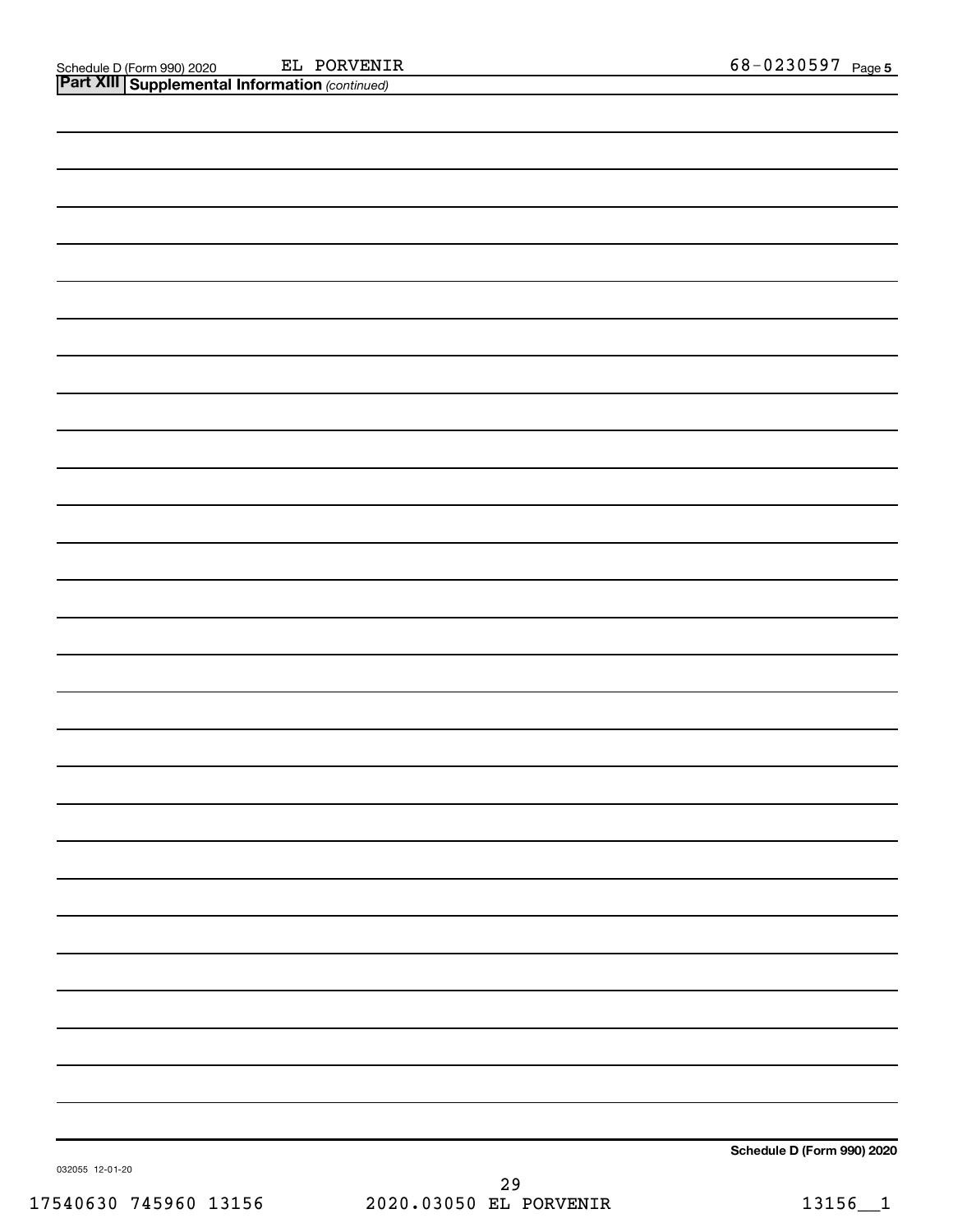| <b>Part XIII Supplemental Information (continued)</b> |                            |
|-------------------------------------------------------|----------------------------|
|                                                       |                            |
|                                                       |                            |
|                                                       |                            |
|                                                       |                            |
|                                                       |                            |
|                                                       |                            |
|                                                       |                            |
|                                                       |                            |
|                                                       |                            |
|                                                       |                            |
|                                                       |                            |
|                                                       |                            |
|                                                       |                            |
|                                                       |                            |
|                                                       |                            |
|                                                       |                            |
|                                                       |                            |
|                                                       |                            |
|                                                       |                            |
|                                                       |                            |
|                                                       |                            |
|                                                       |                            |
|                                                       |                            |
|                                                       |                            |
|                                                       |                            |
|                                                       |                            |
|                                                       |                            |
|                                                       |                            |
|                                                       |                            |
|                                                       |                            |
|                                                       |                            |
|                                                       |                            |
|                                                       | Schedule D (Form 990) 2020 |

032055 12-01-20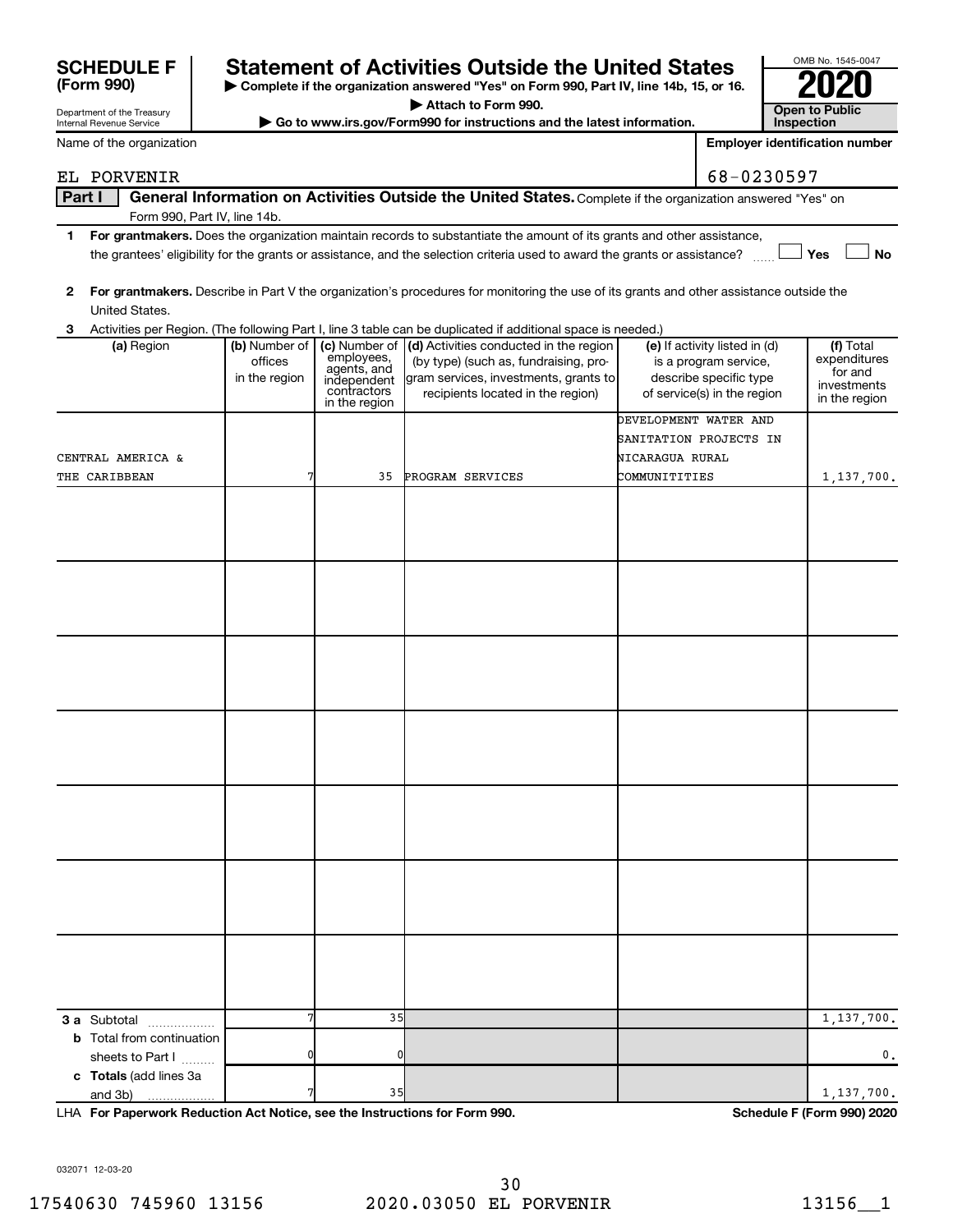| uui ildulli<br>(Form 990)  |  |
|----------------------------|--|
| Department of the Treasury |  |

# **SCHEDULE F Statement of Activities Outside the United States 2020**

**| Complete if the organization answered "Yes" on Form 990, Part IV, line 14b, 15, or 16. | Attach to Form 990.**

▶ Go to www.irs.gov/Form990 for instructions and the latest information.

| OMB No. 1545-0047                   |
|-------------------------------------|
| 021                                 |
| <b>Open to Public</b><br>Inspection |

Internal Revenue Service Name of the organization

| - - |  |  | -------- |  |  |  |
|-----|--|--|----------|--|--|--|
|     |  |  |          |  |  |  |
|     |  |  |          |  |  |  |

**Employer identification number**

#### EL PORVENIR 68-0230597

**3**

Part I | General Information on Activities Outside the United States. Complete if the organization answered "Yes" on Form 990, Part IV, line 14b.

- **1 For grantmakers.**  Does the organization maintain records to substantiate the amount of its grants and other assistance,  $\Box$  Yes  $\Box$  No the grantees' eligibility for the grants or assistance, and the selection criteria used to award the grants or assistance? ......
- **2 For grantmakers.**  Describe in Part V the organization's procedures for monitoring the use of its grants and other assistance outside the United States.

Activities per Region. (The following Part I, line 3 table can be duplicated if additional space is needed.)

| (a) Region                                 | (b) Number of<br>offices<br>in the region | employees,<br>agents, and<br>independent | (c) Number of (d) Activities conducted in the region<br>(by type) (such as, fundraising, pro-<br>gram services, investments, grants to | (e) If activity listed in (d)<br>is a program service,<br>describe specific type | (f) Total<br>expenditures<br>for and<br>investments |
|--------------------------------------------|-------------------------------------------|------------------------------------------|----------------------------------------------------------------------------------------------------------------------------------------|----------------------------------------------------------------------------------|-----------------------------------------------------|
|                                            |                                           | contractors<br>in the region             | recipients located in the region)                                                                                                      | of service(s) in the region                                                      | in the region                                       |
|                                            |                                           |                                          |                                                                                                                                        | DEVELOPMENT WATER AND                                                            |                                                     |
|                                            |                                           |                                          |                                                                                                                                        | SANITATION PROJECTS IN                                                           |                                                     |
| CENTRAL AMERICA &                          |                                           |                                          |                                                                                                                                        | NICARAGUA RURAL                                                                  |                                                     |
| THE CARIBBEAN                              | 7                                         | 35                                       | PROGRAM SERVICES                                                                                                                       | COMMUNITITIES                                                                    | 1,137,700.                                          |
|                                            |                                           |                                          |                                                                                                                                        |                                                                                  |                                                     |
|                                            |                                           |                                          |                                                                                                                                        |                                                                                  |                                                     |
|                                            |                                           |                                          |                                                                                                                                        |                                                                                  |                                                     |
|                                            |                                           |                                          |                                                                                                                                        |                                                                                  |                                                     |
|                                            |                                           |                                          |                                                                                                                                        |                                                                                  |                                                     |
|                                            |                                           |                                          |                                                                                                                                        |                                                                                  |                                                     |
|                                            |                                           |                                          |                                                                                                                                        |                                                                                  |                                                     |
|                                            |                                           |                                          |                                                                                                                                        |                                                                                  |                                                     |
|                                            |                                           |                                          |                                                                                                                                        |                                                                                  |                                                     |
|                                            |                                           |                                          |                                                                                                                                        |                                                                                  |                                                     |
|                                            |                                           |                                          |                                                                                                                                        |                                                                                  |                                                     |
|                                            |                                           |                                          |                                                                                                                                        |                                                                                  |                                                     |
|                                            |                                           |                                          |                                                                                                                                        |                                                                                  |                                                     |
|                                            |                                           |                                          |                                                                                                                                        |                                                                                  |                                                     |
|                                            |                                           |                                          |                                                                                                                                        |                                                                                  |                                                     |
|                                            |                                           |                                          |                                                                                                                                        |                                                                                  |                                                     |
|                                            |                                           |                                          |                                                                                                                                        |                                                                                  |                                                     |
|                                            |                                           |                                          |                                                                                                                                        |                                                                                  |                                                     |
|                                            |                                           |                                          |                                                                                                                                        |                                                                                  |                                                     |
|                                            |                                           |                                          |                                                                                                                                        |                                                                                  |                                                     |
|                                            |                                           |                                          |                                                                                                                                        |                                                                                  |                                                     |
|                                            |                                           |                                          |                                                                                                                                        |                                                                                  |                                                     |
|                                            |                                           |                                          |                                                                                                                                        |                                                                                  |                                                     |
|                                            |                                           |                                          |                                                                                                                                        |                                                                                  |                                                     |
|                                            |                                           |                                          |                                                                                                                                        |                                                                                  |                                                     |
|                                            |                                           |                                          |                                                                                                                                        |                                                                                  |                                                     |
|                                            |                                           |                                          |                                                                                                                                        |                                                                                  |                                                     |
|                                            | 7                                         | 35                                       |                                                                                                                                        |                                                                                  | 1, 137, 700.                                        |
| 3 a Subtotal<br>.                          |                                           |                                          |                                                                                                                                        |                                                                                  |                                                     |
| <b>b</b> Total from continuation           | 0                                         | 0                                        |                                                                                                                                        |                                                                                  | 0.                                                  |
| sheets to Part I<br>c Totals (add lines 3a |                                           |                                          |                                                                                                                                        |                                                                                  |                                                     |
| and 3b)                                    | $\overline{7}$                            | 35                                       |                                                                                                                                        |                                                                                  | 1,137,700.                                          |
|                                            |                                           |                                          |                                                                                                                                        |                                                                                  |                                                     |

**For Paperwork Reduction Act Notice, see the Instructions for Form 990. Schedule F (Form 990) 2020** LHA

032071 12-03-20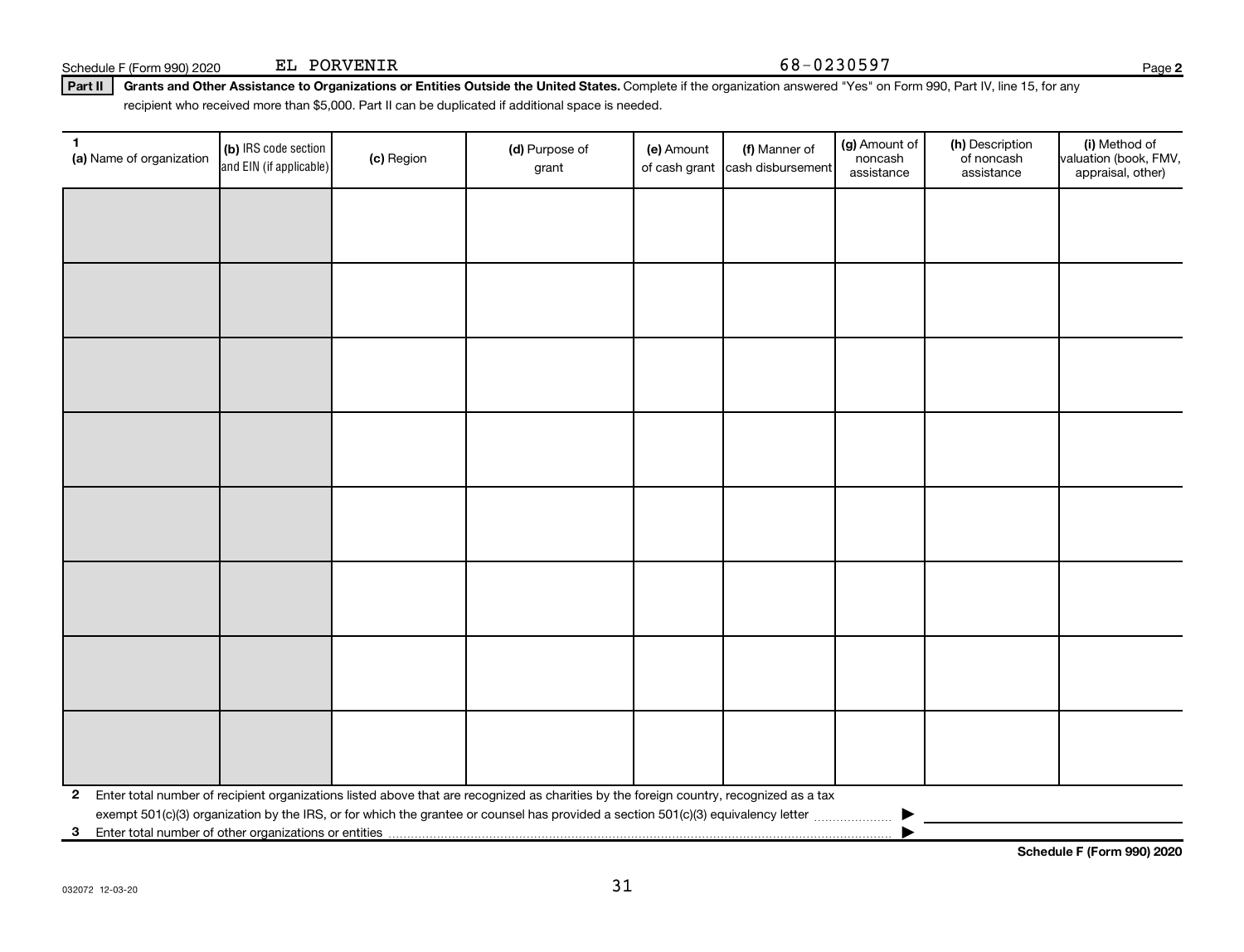31

**3** Enter total number of other organizations or entities |

**2** Enter total number of recipient organizations listed above that are recognized as charities by the foreign country, recognized as a tax exempt 501(c)(3) organization by the IRS, or for which the grantee or counsel has provided a section 501(c)(3) equivalency letter ~~~~~~~ |

Part II | Grants and Other Assistance to Organizations or Entities Outside the United States. Complete if the organization answered "Yes" on Form 990, Part IV, line 15, for any recipient who received more than \$5,000. Part II can be duplicated if additional space is needed.

grant

**(a)** Name of organization (b) IRS code section (c) Region (c) Region (d) Purpose of (e) Amount (f) Manner of (g) Amount of (h) Description (i) (a) Name of organization (f) IRS code section (c) Region (d) Purpose of (d) Am

(e) Amount of cash grant

Schedule F (Form 990) 2020  $\qquad$  EL PORVENIR  $68-0230597$ EL PORVENIR 68-0230597

(a) Name of organization  $\begin{bmatrix} \textbf{(b)} \text{ IRS code section} \\ \textbf{conf} \text{ In the image of } \textbf{C} \text{ Region} \end{bmatrix}$  (c) Region (d) Purpose of

(b) IRS code section and EIN (if applicable) (g) Amount of noncash assistance

(h) Description of noncash assistance

(f) Manner of cash disbursement **2**

(i) Method of valuation (book, FMV, appraisal, other)

**Schedule F (Form 990) 2020**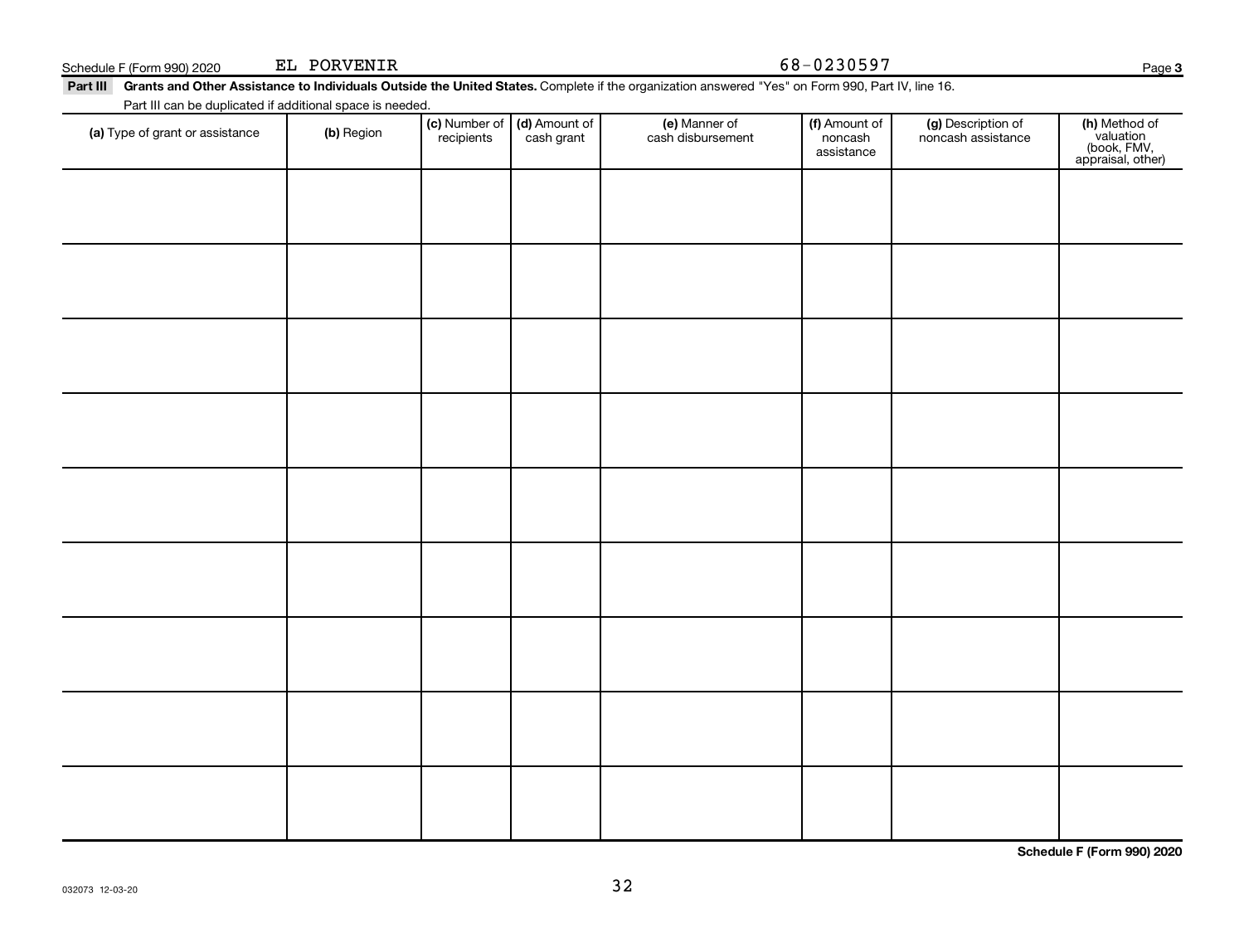EL PORVENIR 68-0230597

# Schedule F (Form 990) 2020 EL PORVENIR  $68-0230597$

Part III Grants and Other Assistance to Individuals Outside the United States. Complete if the organization answered "Yes" on Form 990, Part IV, line 16. Part III can be duplicated if additional space is needed. Number of Amount of Manner of  $\overline{A}$  Amount of  $\overline{A}$ 

| (a) Type of grant or assistance | (b) Region | (c) Number of<br>recipients | (d) Amount of<br>cash grant | (e) Manner of<br>cash disbursement | (f) Amount of<br>noncash<br>assistance | (g) Description of<br>noncash assistance | (h) Method of<br>valuation<br>(book, FMV,<br>appraisal, other) |
|---------------------------------|------------|-----------------------------|-----------------------------|------------------------------------|----------------------------------------|------------------------------------------|----------------------------------------------------------------|
|                                 |            |                             |                             |                                    |                                        |                                          |                                                                |
|                                 |            |                             |                             |                                    |                                        |                                          |                                                                |
|                                 |            |                             |                             |                                    |                                        |                                          |                                                                |
|                                 |            |                             |                             |                                    |                                        |                                          |                                                                |
|                                 |            |                             |                             |                                    |                                        |                                          |                                                                |
|                                 |            |                             |                             |                                    |                                        |                                          |                                                                |
|                                 |            |                             |                             |                                    |                                        |                                          |                                                                |
|                                 |            |                             |                             |                                    |                                        |                                          |                                                                |
|                                 |            |                             |                             |                                    |                                        |                                          |                                                                |
|                                 |            |                             |                             |                                    |                                        |                                          |                                                                |

32

**Schedule F (Form 990) 2020**

**3**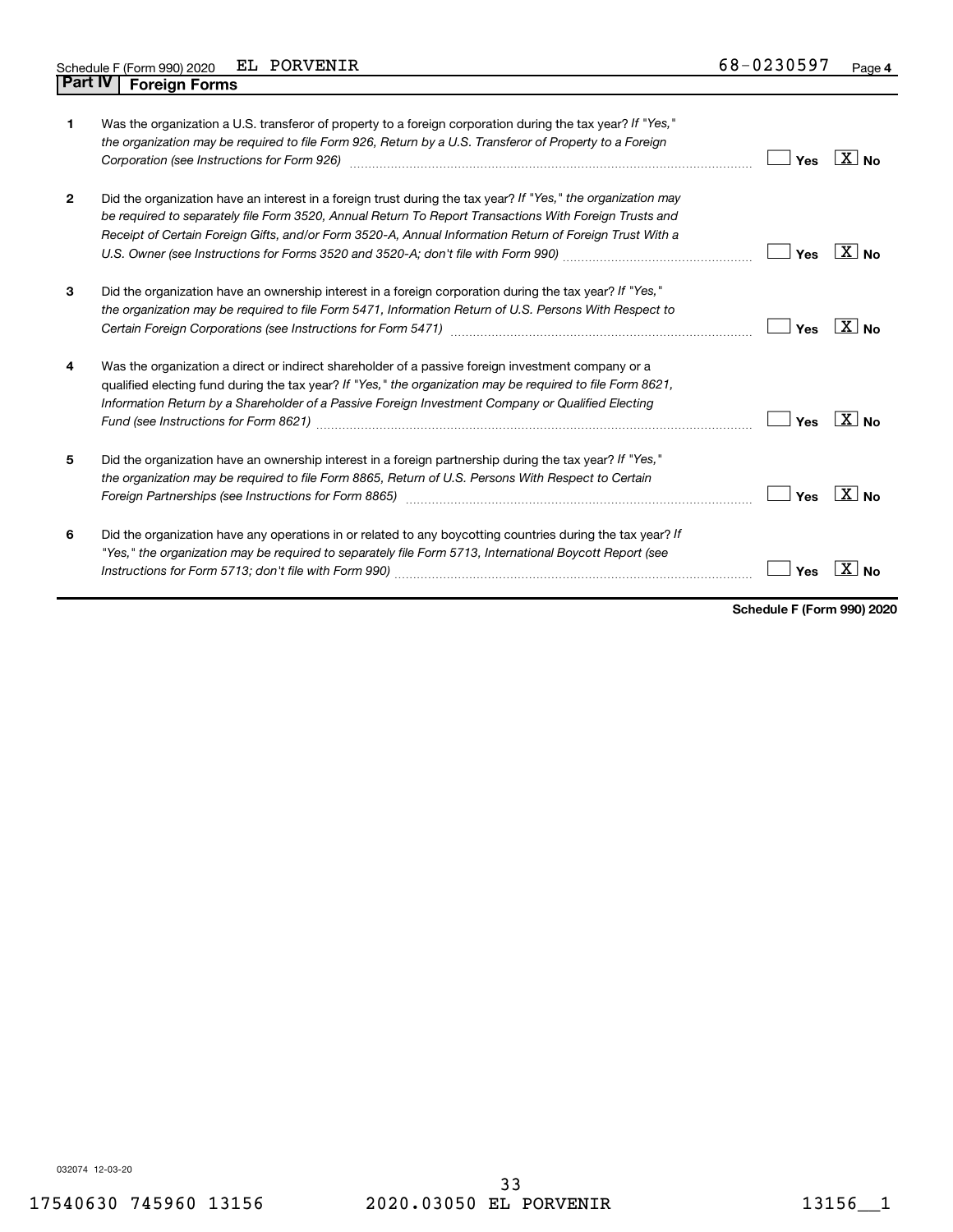| 1            | Was the organization a U.S. transferor of property to a foreign corporation during the tax year? If "Yes,"<br>the organization may be required to file Form 926, Return by a U.S. Transferor of Property to a Foreign                                                                                                             | Yes | $X_{\text{No}}$   |
|--------------|-----------------------------------------------------------------------------------------------------------------------------------------------------------------------------------------------------------------------------------------------------------------------------------------------------------------------------------|-----|-------------------|
| $\mathbf{2}$ | Did the organization have an interest in a foreign trust during the tax year? If "Yes," the organization may<br>be required to separately file Form 3520, Annual Return To Report Transactions With Foreign Trusts and<br>Receipt of Certain Foreign Gifts, and/or Form 3520-A, Annual Information Return of Foreign Trust With a | Yes | $X _{\text{No}}$  |
| 3            | Did the organization have an ownership interest in a foreign corporation during the tax year? If "Yes,"<br>the organization may be required to file Form 5471, Information Return of U.S. Persons With Respect to                                                                                                                 | Yes | $X _{\text{No}}$  |
| 4            | Was the organization a direct or indirect shareholder of a passive foreign investment company or a<br>qualified electing fund during the tax year? If "Yes," the organization may be required to file Form 8621,<br>Information Return by a Shareholder of a Passive Foreign Investment Company or Qualified Electing             | Yes | $X_{\text{No}}$   |
| 5            | Did the organization have an ownership interest in a foreign partnership during the tax year? If "Yes,"<br>the organization may be required to file Form 8865, Return of U.S. Persons With Respect to Certain                                                                                                                     | Yes | $X _{N_{\Omega}}$ |
| 6            | Did the organization have any operations in or related to any boycotting countries during the tax year? If<br>"Yes," the organization may be required to separately file Form 5713, International Boycott Report (see                                                                                                             | Yes |                   |

**Schedule F (Form 990) 2020**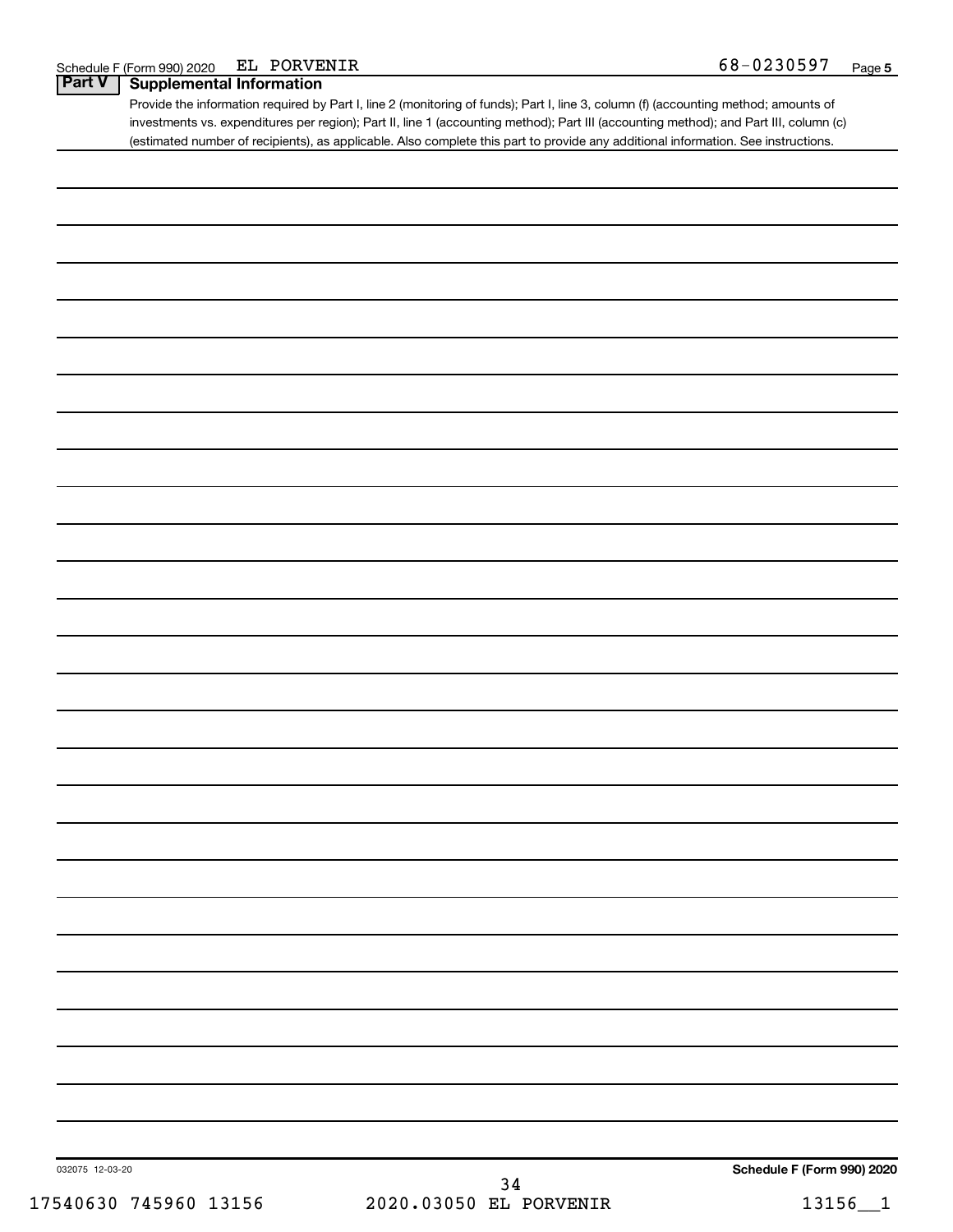# **Part V Supplemental Information**

Provide the information required by Part I, line 2 (monitoring of funds); Part I, line 3, column (f) (accounting method; amounts of investments vs. expenditures per region); Part II, line 1 (accounting method); Part III (accounting method); and Part III, column (c) (estimated number of recipients), as applicable. Also complete this part to provide any additional information. See instructions.

| 032075 12-03-20 |    | Schedule F (Form 990) 2020 |
|-----------------|----|----------------------------|
|                 | 34 |                            |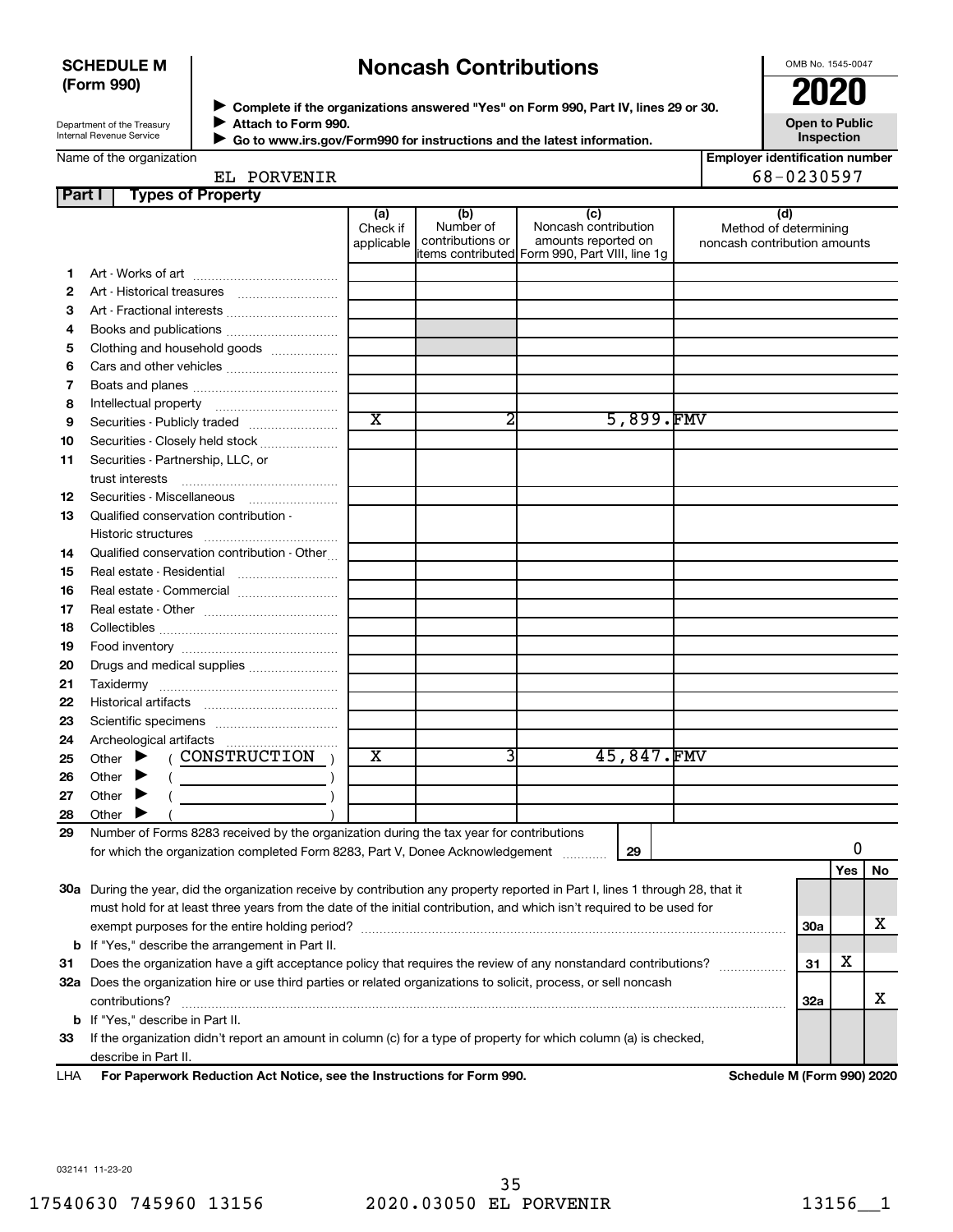# **SCHEDULE M (Form 990)**

# **Noncash Contributions**

OMB No. 1545-0047

Department of the Treasury Internal Revenue Service

◆ Complete if the organizations answered "Yes" on Form 990, Part IV, lines 29 or 30.<br>● Complete if the organizations answered "Yes" on Form 990, Part IV, lines 29 or 30. **Attach to Form 990.**  $\blacktriangleright$ 

 **Go to www.irs.gov/Form990 for instructions and the latest information.** J

**Open to Public Inspection**

Name of the organization

| PORVENTR |  |  |
|----------|--|--|

| <b>Employer identification number</b> |  |            |  |  |
|---------------------------------------|--|------------|--|--|
|                                       |  | CO AODAFAR |  |  |

EL PORVENIR 68-0230597

| Part I | <b>Types of Property</b>                                                                                                       |                               |                                      |                                                                                                      |            |                                                              |     |     |     |
|--------|--------------------------------------------------------------------------------------------------------------------------------|-------------------------------|--------------------------------------|------------------------------------------------------------------------------------------------------|------------|--------------------------------------------------------------|-----|-----|-----|
|        |                                                                                                                                | (a)<br>Check if<br>applicable | (b)<br>Number of<br>contributions or | (c)<br>Noncash contribution<br>amounts reported on<br>items contributed Form 990, Part VIII, line 1g |            | (d)<br>Method of determining<br>noncash contribution amounts |     |     |     |
| 1.     |                                                                                                                                |                               |                                      |                                                                                                      |            |                                                              |     |     |     |
| 2      | Art - Historical treasures                                                                                                     |                               |                                      |                                                                                                      |            |                                                              |     |     |     |
| З      | Art - Fractional interests                                                                                                     |                               |                                      |                                                                                                      |            |                                                              |     |     |     |
| 4      | Books and publications                                                                                                         |                               |                                      |                                                                                                      |            |                                                              |     |     |     |
| 5      | Clothing and household goods                                                                                                   |                               |                                      |                                                                                                      |            |                                                              |     |     |     |
| 6      |                                                                                                                                |                               |                                      |                                                                                                      |            |                                                              |     |     |     |
| 7      |                                                                                                                                |                               |                                      |                                                                                                      |            |                                                              |     |     |     |
| 8      |                                                                                                                                |                               |                                      |                                                                                                      |            |                                                              |     |     |     |
| 9      | Securities - Publicly traded                                                                                                   | $\overline{\text{x}}$         | 2                                    |                                                                                                      | 5,899.FMV  |                                                              |     |     |     |
| 10     | Securities - Closely held stock                                                                                                |                               |                                      |                                                                                                      |            |                                                              |     |     |     |
| 11     | Securities - Partnership, LLC, or                                                                                              |                               |                                      |                                                                                                      |            |                                                              |     |     |     |
|        | trust interests                                                                                                                |                               |                                      |                                                                                                      |            |                                                              |     |     |     |
| 12     | Securities - Miscellaneous                                                                                                     |                               |                                      |                                                                                                      |            |                                                              |     |     |     |
| 13     | Qualified conservation contribution -                                                                                          |                               |                                      |                                                                                                      |            |                                                              |     |     |     |
|        |                                                                                                                                |                               |                                      |                                                                                                      |            |                                                              |     |     |     |
| 14     | Qualified conservation contribution - Other                                                                                    |                               |                                      |                                                                                                      |            |                                                              |     |     |     |
| 15     | Real estate - Residential                                                                                                      |                               |                                      |                                                                                                      |            |                                                              |     |     |     |
| 16     | Real estate - Commercial                                                                                                       |                               |                                      |                                                                                                      |            |                                                              |     |     |     |
| 17     |                                                                                                                                |                               |                                      |                                                                                                      |            |                                                              |     |     |     |
| 18     |                                                                                                                                |                               |                                      |                                                                                                      |            |                                                              |     |     |     |
| 19     |                                                                                                                                |                               |                                      |                                                                                                      |            |                                                              |     |     |     |
| 20     | Drugs and medical supplies                                                                                                     |                               |                                      |                                                                                                      |            |                                                              |     |     |     |
| 21     |                                                                                                                                |                               |                                      |                                                                                                      |            |                                                              |     |     |     |
| 22     |                                                                                                                                |                               |                                      |                                                                                                      |            |                                                              |     |     |     |
| 23     |                                                                                                                                |                               |                                      |                                                                                                      |            |                                                              |     |     |     |
| 24     |                                                                                                                                |                               |                                      |                                                                                                      |            |                                                              |     |     |     |
| 25     | ( CONSTRUCTION<br>Other $\blacktriangleright$                                                                                  | X                             |                                      |                                                                                                      | 45,847.FMV |                                                              |     |     |     |
| 26     | Other                                                                                                                          |                               |                                      |                                                                                                      |            |                                                              |     |     |     |
| 27     | Other<br>▶                                                                                                                     |                               |                                      |                                                                                                      |            |                                                              |     |     |     |
| 28     | Other                                                                                                                          |                               |                                      |                                                                                                      |            |                                                              |     |     |     |
| 29     | Number of Forms 8283 received by the organization during the tax year for contributions                                        |                               |                                      |                                                                                                      |            |                                                              |     |     |     |
|        | for which the organization completed Form 8283, Part V, Donee Acknowledgement                                                  |                               |                                      |                                                                                                      | 29         |                                                              |     | 0   |     |
|        |                                                                                                                                |                               |                                      |                                                                                                      |            |                                                              |     | Yes | No. |
|        | 30a During the year, did the organization receive by contribution any property reported in Part I, lines 1 through 28, that it |                               |                                      |                                                                                                      |            |                                                              |     |     |     |
|        | must hold for at least three years from the date of the initial contribution, and which isn't required to be used for          |                               |                                      |                                                                                                      |            |                                                              |     |     |     |
|        |                                                                                                                                |                               |                                      |                                                                                                      |            |                                                              | 30a |     | х   |
|        | <b>b</b> If "Yes," describe the arrangement in Part II.                                                                        |                               |                                      |                                                                                                      |            |                                                              |     |     |     |
| 31     | Does the organization have a gift acceptance policy that requires the review of any nonstandard contributions?                 |                               |                                      |                                                                                                      |            |                                                              | 31  | x   |     |
|        | 32a Does the organization hire or use third parties or related organizations to solicit, process, or sell noncash              |                               |                                      |                                                                                                      |            |                                                              |     |     |     |
|        | contributions?                                                                                                                 |                               |                                      |                                                                                                      |            |                                                              | 32a |     | x   |
|        | b If "Yes," describe in Part II.                                                                                               |                               |                                      |                                                                                                      |            |                                                              |     |     |     |
| 33     | If the organization didn't report an amount in column (c) for a type of property for which column (a) is checked,              |                               |                                      |                                                                                                      |            |                                                              |     |     |     |
|        | describe in Part II.                                                                                                           |                               |                                      |                                                                                                      |            |                                                              |     |     |     |
| LHA    | For Paperwork Reduction Act Notice, see the Instructions for Form 990.                                                         |                               |                                      |                                                                                                      |            | Schedule M (Form 990) 2020                                   |     |     |     |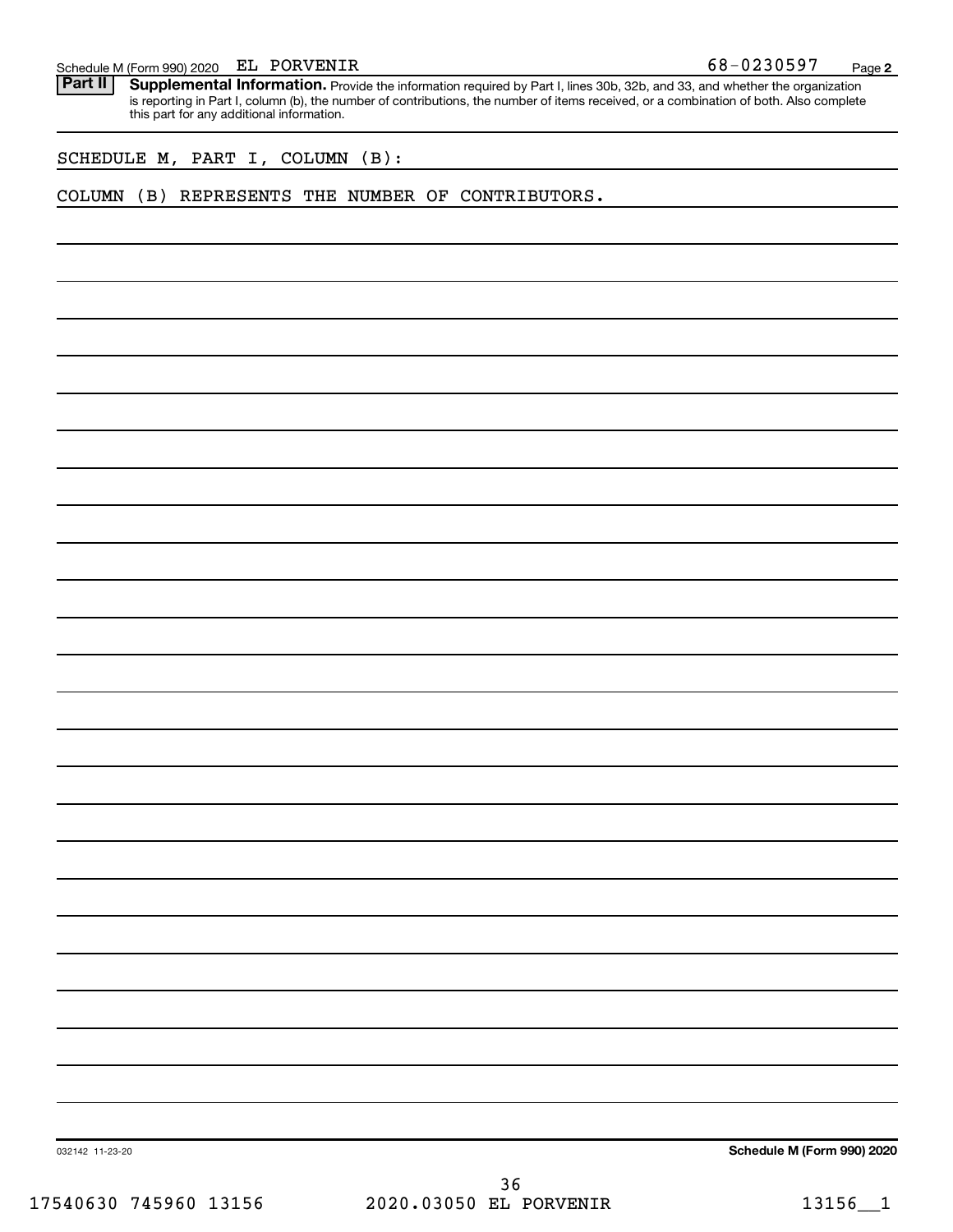#### EL PORVENIR 68-0230597

Schedule M (Form 990) 2020 EL PORVENIR<br>**Part II** Supplemental Information. Provide the information required by Part I. lines 30b. 32b. and 33, and whether the orga Part II | Supplemental Information. Provide the information required by Part I, lines 30b, 32b, and 33, and whether the organization is reporting in Part I, column (b), the number of contributions, the number of items received, or a combination of both. Also complete this part for any additional information.

SCHEDULE M, PART I, COLUMN (B):

## COLUMN (B) REPRESENTS THE NUMBER OF CONTRIBUTORS.

**Schedule M (Form 990) 2020**

032142 11-23-20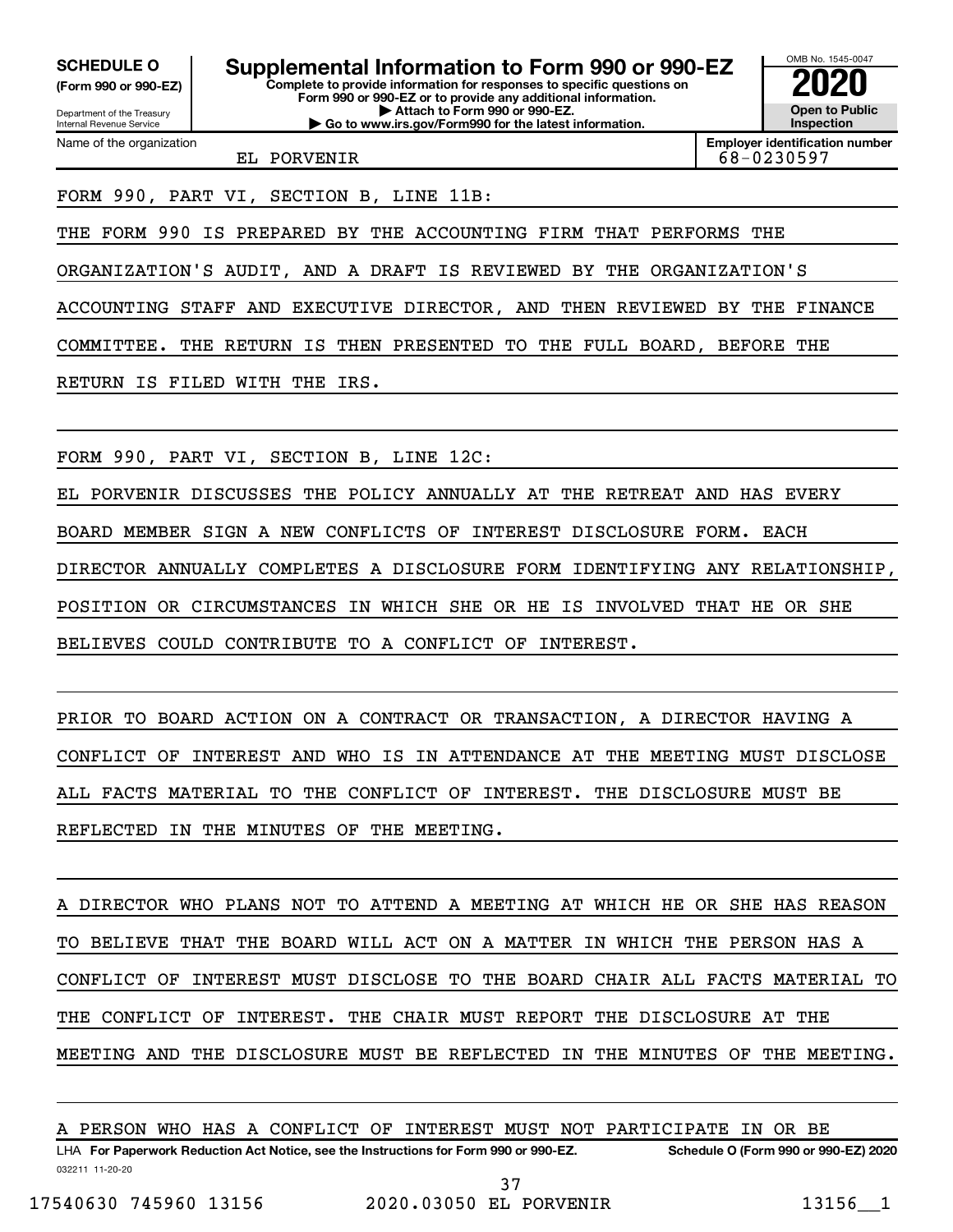Department of the Treasury **(Form 990 or 990-EZ)**

Internal Revenue Service

**Complete to provide information for responses to specific questions on Form 990 or 990-EZ or to provide any additional information. | Attach to Form 990 or 990-EZ. SCHEDULE O Supplemental Information to Form 990 or 990-EZ 2020**<br>(Form 990 or 990-EZ) Complete to provide information for responses to specific questions on

**| Go to www.irs.gov/Form990 for the latest information.**

Name of the organization

**Employer identification number** EL PORVENIR 68-0230597

OMB No. 1545-0047

**Open to Public Inspection**

# FORM 990, PART VI, SECTION B, LINE 11B:

THE FORM 990 IS PREPARED BY THE ACCOUNTING FIRM THAT PERFORMS THE

ORGANIZATION'S AUDIT, AND A DRAFT IS REVIEWED BY THE ORGANIZATION'S

ACCOUNTING STAFF AND EXECUTIVE DIRECTOR, AND THEN REVIEWED BY THE FINANCE

COMMITTEE. THE RETURN IS THEN PRESENTED TO THE FULL BOARD, BEFORE THE

RETURN IS FILED WITH THE IRS.

FORM 990, PART VI, SECTION B, LINE 12C:

EL PORVENIR DISCUSSES THE POLICY ANNUALLY AT THE RETREAT AND HAS EVERY BOARD MEMBER SIGN A NEW CONFLICTS OF INTEREST DISCLOSURE FORM. EACH DIRECTOR ANNUALLY COMPLETES A DISCLOSURE FORM IDENTIFYING ANY RELATIONSHIP, POSITION OR CIRCUMSTANCES IN WHICH SHE OR HE IS INVOLVED THAT HE OR SHE BELIEVES COULD CONTRIBUTE TO A CONFLICT OF INTEREST.

PRIOR TO BOARD ACTION ON A CONTRACT OR TRANSACTION, A DIRECTOR HAVING A CONFLICT OF INTEREST AND WHO IS IN ATTENDANCE AT THE MEETING MUST DISCLOSE ALL FACTS MATERIAL TO THE CONFLICT OF INTEREST. THE DISCLOSURE MUST BE REFLECTED IN THE MINUTES OF THE MEETING.

DIRECTOR WHO PLANS NOT TO ATTEND A MEETING AT WHICH HE OR SHE HAS REASON TO BELIEVE THAT THE BOARD WILL ACT ON A MATTER IN WHICH THE PERSON HAS A CONFLICT OF INTEREST MUST DISCLOSE TO THE BOARD CHAIR ALL FACTS MATERIAL TO THE CONFLICT OF INTEREST. THE CHAIR MUST REPORT THE DISCLOSURE AT THE MEETING AND THE DISCLOSURE MUST BE REFLECTED IN THE MINUTES OF THE MEETING.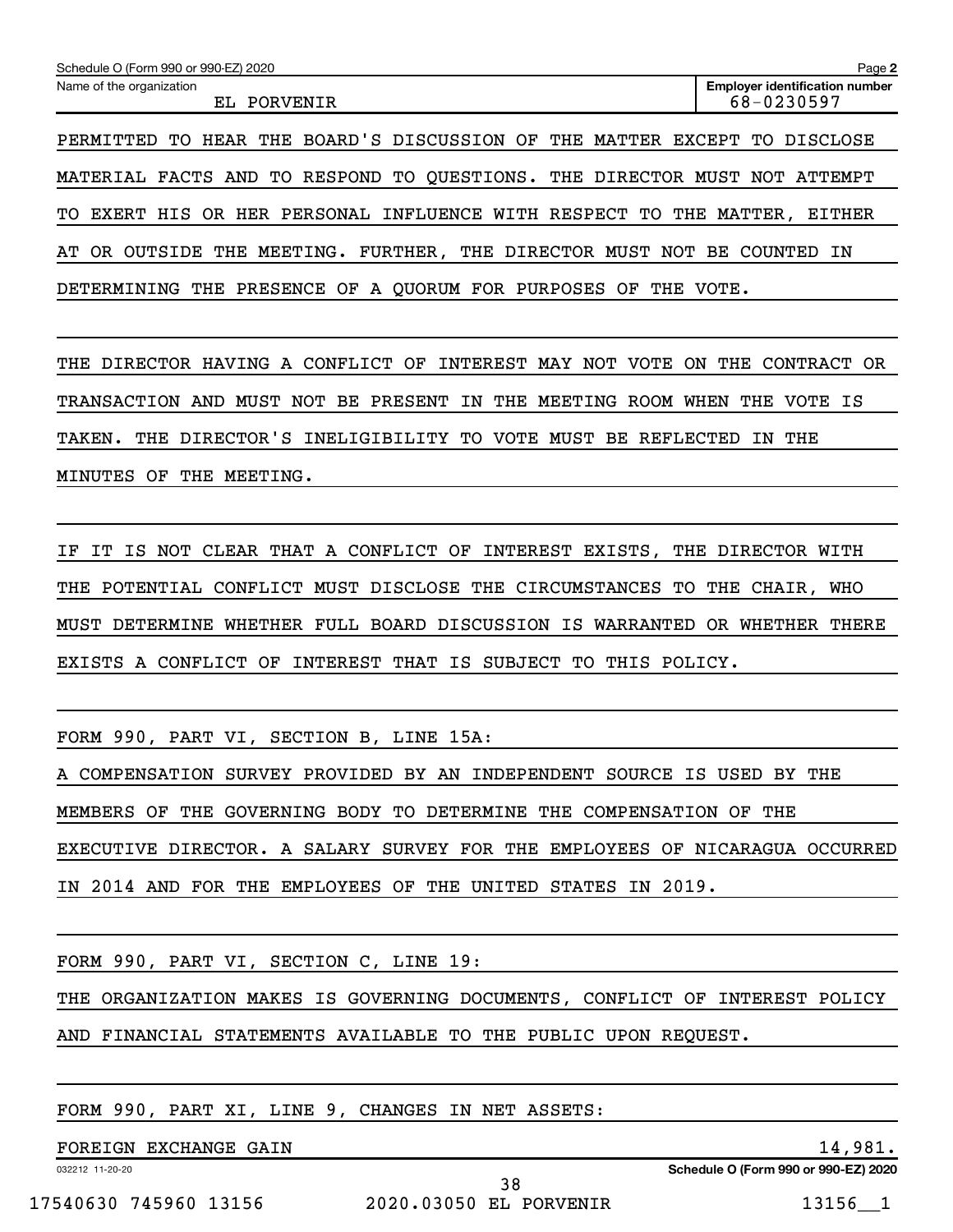| Schedule O (Form 990 or 990-EZ) 2020                                       | Page 2                                              |
|----------------------------------------------------------------------------|-----------------------------------------------------|
| Name of the organization<br>EL PORVENIR                                    | <b>Employer identification number</b><br>68-0230597 |
| PERMITTED TO HEAR THE BOARD'S DISCUSSION OF THE MATTER EXCEPT TO DISCLOSE  |                                                     |
| MATERIAL FACTS AND TO RESPOND TO QUESTIONS. THE DIRECTOR MUST NOT ATTEMPT  |                                                     |
| TO EXERT HIS OR HER PERSONAL INFLUENCE WITH RESPECT TO THE MATTER, EITHER  |                                                     |
| AT OR OUTSIDE THE MEETING. FURTHER,<br>THE DIRECTOR MUST NOT BE COUNTED IN |                                                     |
| DETERMINING THE PRESENCE OF A OUORUM FOR PURPOSES OF THE VOTE.             |                                                     |

THE DIRECTOR HAVING A CONFLICT OF INTEREST MAY NOT VOTE ON THE CONTRACT OR TRANSACTION AND MUST NOT BE PRESENT IN THE MEETING ROOM WHEN THE VOTE IS TAKEN. THE DIRECTOR'S INELIGIBILITY TO VOTE MUST BE REFLECTED IN THE MINUTES OF THE MEETING.

IF IT IS NOT CLEAR THAT A CONFLICT OF INTEREST EXISTS, THE DIRECTOR WITH THE POTENTIAL CONFLICT MUST DISCLOSE THE CIRCUMSTANCES TO THE CHAIR, WHO MUST DETERMINE WHETHER FULL BOARD DISCUSSION IS WARRANTED OR WHETHER THERE EXISTS A CONFLICT OF INTEREST THAT IS SUBJECT TO THIS POLICY.

FORM 990, PART VI, SECTION B, LINE 15A:

A COMPENSATION SURVEY PROVIDED BY AN INDEPENDENT SOURCE IS USED BY THE MEMBERS OF THE GOVERNING BODY TO DETERMINE THE COMPENSATION OF THE EXECUTIVE DIRECTOR. A SALARY SURVEY FOR THE EMPLOYEES OF NICARAGUA OCCURRED IN 2014 AND FOR THE EMPLOYEES OF THE UNITED STATES IN 2019.

FORM 990, PART VI, SECTION C, LINE 19:

THE ORGANIZATION MAKES IS GOVERNING DOCUMENTS, CONFLICT OF INTEREST POLICY AND FINANCIAL STATEMENTS AVAILABLE TO THE PUBLIC UPON REQUEST.

FORM 990, PART XI, LINE 9, CHANGES IN NET ASSETS:

FOREIGN EXCHANGE GAIN  $14,981$ .

**Schedule O (Form 990 or 990-EZ) 2020**

032212 11-20-20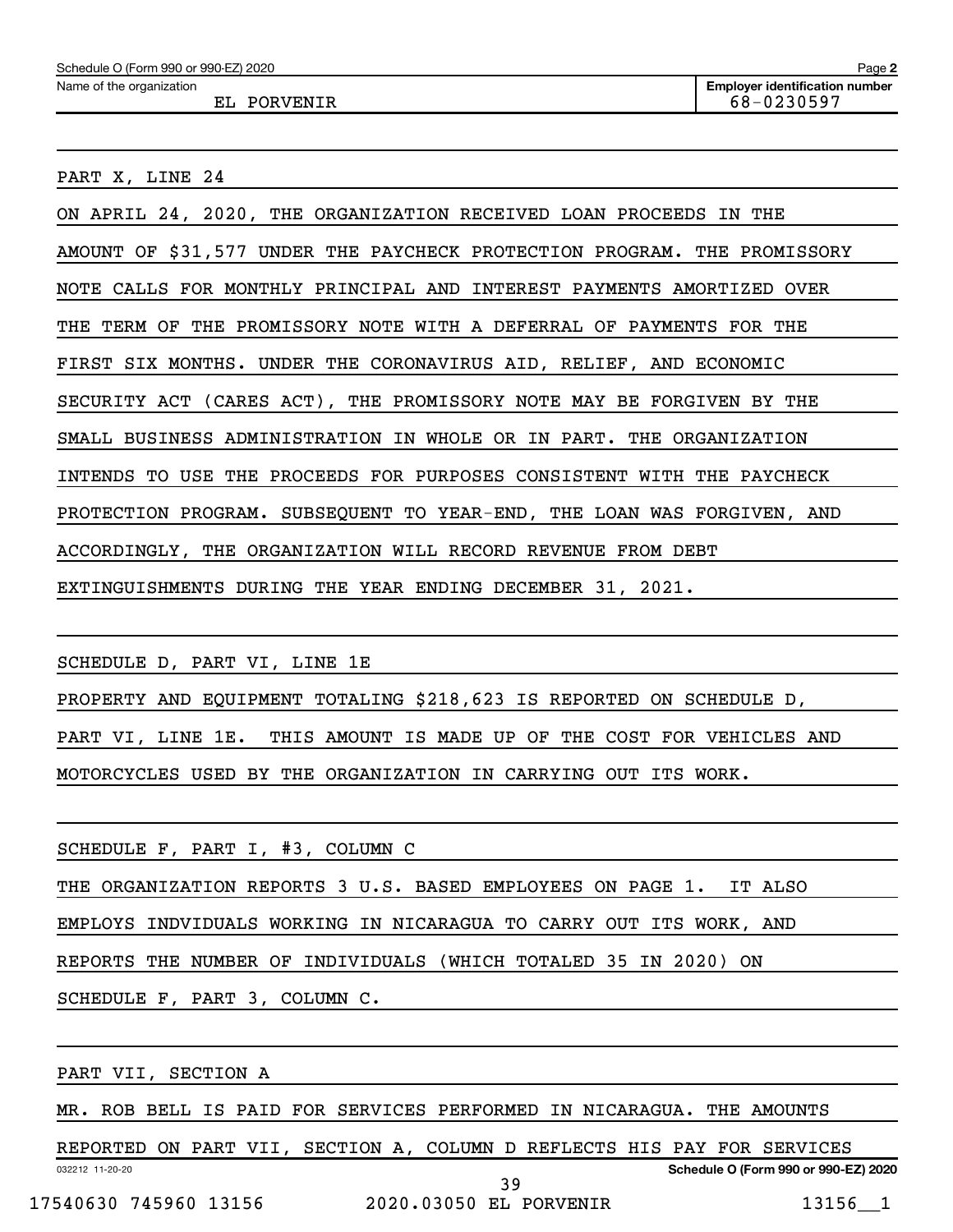Name of the organization

EL PORVENIR 68-0230597

PART X, LINE 24

ON APRIL 24, 2020, THE ORGANIZATION RECEIVED LOAN PROCEEDS IN THE AMOUNT OF \$31,577 UNDER THE PAYCHECK PROTECTION PROGRAM. THE PROMISSORY NOTE CALLS FOR MONTHLY PRINCIPAL AND INTEREST PAYMENTS AMORTIZED OVER THE TERM OF THE PROMISSORY NOTE WITH A DEFERRAL OF PAYMENTS FOR THE FIRST SIX MONTHS. UNDER THE CORONAVIRUS AID, RELIEF, AND ECONOMIC SECURITY ACT (CARES ACT), THE PROMISSORY NOTE MAY BE FORGIVEN BY THE SMALL BUSINESS ADMINISTRATION IN WHOLE OR IN PART. THE ORGANIZATION INTENDS TO USE THE PROCEEDS FOR PURPOSES CONSISTENT WITH THE PAYCHECK PROTECTION PROGRAM. SUBSEQUENT TO YEAR-END, THE LOAN WAS FORGIVEN, AND ACCORDINGLY, THE ORGANIZATION WILL RECORD REVENUE FROM DEBT EXTINGUISHMENTS DURING THE YEAR ENDING DECEMBER 31, 2021.

SCHEDULE D, PART VI, LINE 1E PROPERTY AND EQUIPMENT TOTALING \$218,623 IS REPORTED ON SCHEDULE D, PART VI, LINE 1E. THIS AMOUNT IS MADE UP OF THE COST FOR VEHICLES AND MOTORCYCLES USED BY THE ORGANIZATION IN CARRYING OUT ITS WORK.

SCHEDULE F, PART I, #3, COLUMN C THE ORGANIZATION REPORTS 3 U.S. BASED EMPLOYEES ON PAGE 1. IT ALSO EMPLOYS INDVIDUALS WORKING IN NICARAGUA TO CARRY OUT ITS WORK, AND REPORTS THE NUMBER OF INDIVIDUALS (WHICH TOTALED 35 IN 2020) ON SCHEDULE F, PART 3, COLUMN C.

PART VII, SECTION A

MR. ROB BELL IS PAID FOR SERVICES PERFORMED IN NICARAGUA. THE AMOUNTS

032212 11-20-20 **Schedule O (Form 990 or 990-EZ) 2020** REPORTED ON PART VII, SECTION A, COLUMN D REFLECTS HIS PAY FOR SERVICES 39